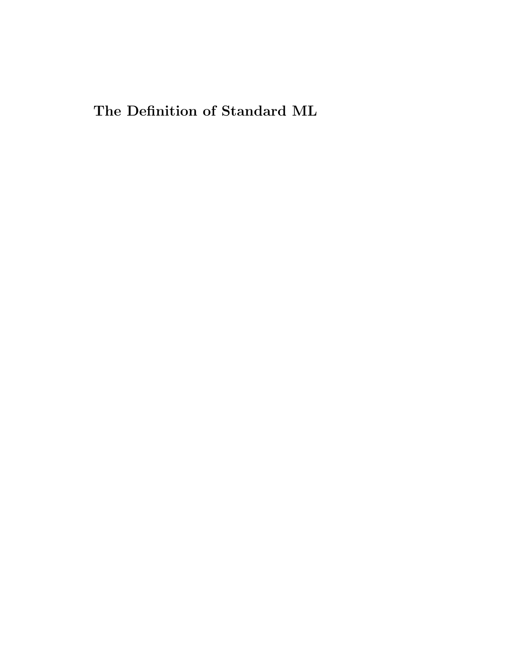The Definition of Standard ML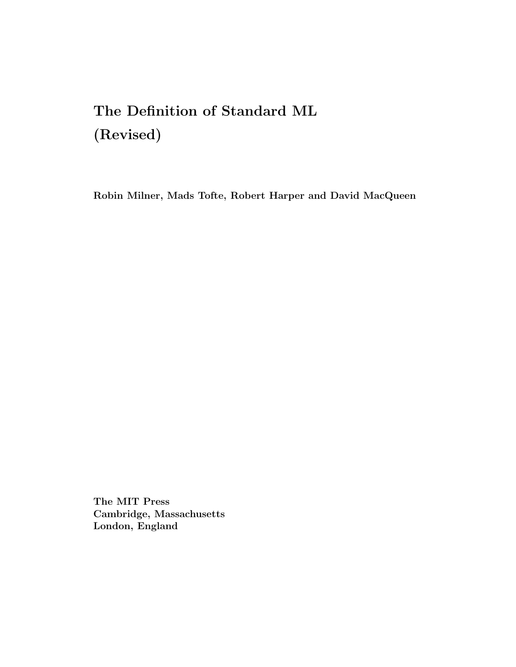# The Definition of Standard ML (Revised)

Robin Milner, Mads Tofte, Robert Harper and David MacQueen

The MIT Press Cambridge, Massachusetts London, England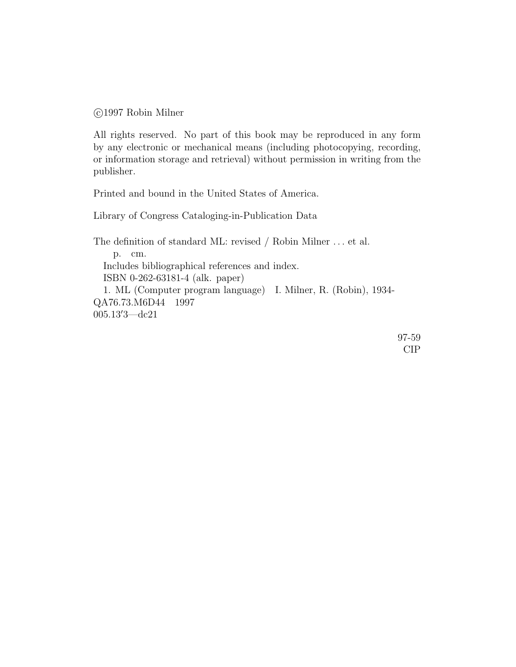c 1997 Robin Milner

All rights reserved. No part of this book may be reproduced in any form by any electronic or mechanical means (including photocopying, recording, or information storage and retrieval) without permission in writing from the publisher.

Printed and bound in the United States of America.

Library of Congress Cataloging-in-Publication Data

The definition of standard ML: revised / Robin Milner . . . et al. p. cm. Includes bibliographical references and index. ISBN 0-262-63181-4 (alk. paper) 1. ML (Computer program language) I. Milner, R. (Robin), 1934- QA76.73.M6D44 1997  $005.13'3 - dc21$ 

> 97-59 CIP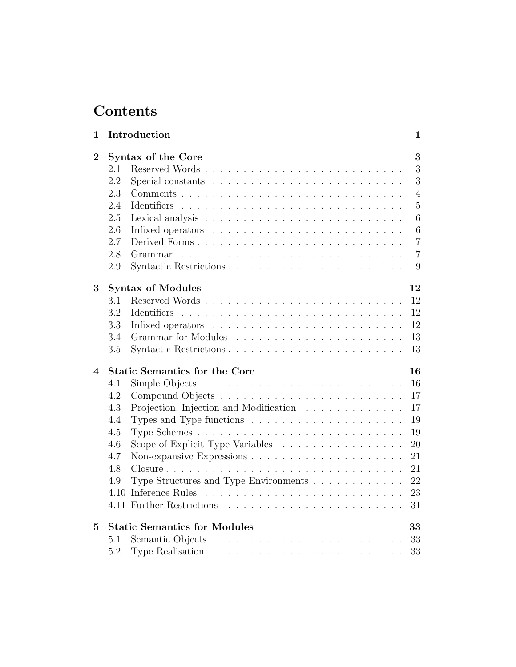# Contents

| 1              |         | Introduction                                                                                                                                                                                                                                        | 1              |
|----------------|---------|-----------------------------------------------------------------------------------------------------------------------------------------------------------------------------------------------------------------------------------------------------|----------------|
| $\overline{2}$ |         | Syntax of the Core                                                                                                                                                                                                                                  | 3              |
|                | 2.1     | Reserved Words                                                                                                                                                                                                                                      | 3              |
|                | 2.2     | Special constants $\ldots \ldots \ldots \ldots \ldots \ldots \ldots \ldots$                                                                                                                                                                         | 3              |
|                | 2.3     |                                                                                                                                                                                                                                                     | $\overline{4}$ |
|                | 2.4     | <b>Identifiers</b><br>and a construction of the construction of the construction of the construction of the construction of the construction of the construction of the construction of the construction of the construction of the construction of | $\overline{5}$ |
|                | 2.5     |                                                                                                                                                                                                                                                     | 6              |
|                | 2.6     | Infixed operators $\dots \dots \dots \dots \dots \dots \dots \dots \dots \dots$                                                                                                                                                                     | 6              |
|                | 2.7     | Derived Forms                                                                                                                                                                                                                                       | $\overline{7}$ |
|                | 2.8     |                                                                                                                                                                                                                                                     | $\overline{7}$ |
|                | $2.9\,$ | Syntactic Restrictions                                                                                                                                                                                                                              | 9              |
| 3              |         | <b>Syntax of Modules</b>                                                                                                                                                                                                                            | 12             |
|                | 3.1     |                                                                                                                                                                                                                                                     | 12             |
|                | 3.2     |                                                                                                                                                                                                                                                     | 12             |
|                | 3.3     |                                                                                                                                                                                                                                                     | 12             |
|                | 3.4     |                                                                                                                                                                                                                                                     | 13             |
|                | 3.5     | Syntactic Restrictions                                                                                                                                                                                                                              | 13             |
| 4              |         | <b>Static Semantics for the Core</b>                                                                                                                                                                                                                | 16             |
|                | 4.1     | Simple Objects $\dots \dots \dots \dots \dots \dots \dots \dots \dots \dots$                                                                                                                                                                        | 16             |
|                | 4.2     |                                                                                                                                                                                                                                                     | 17             |
|                | 4.3     | Projection, Injection and Modification                                                                                                                                                                                                              | 17             |
|                | 4.4     | Types and Type functions $\ldots \ldots \ldots \ldots \ldots \ldots$                                                                                                                                                                                | 19             |
|                | 4.5     |                                                                                                                                                                                                                                                     | 19             |
|                | 4.6     | Scope of Explicit Type Variables                                                                                                                                                                                                                    | 20             |
|                | 4.7     |                                                                                                                                                                                                                                                     | 21             |
|                | 4.8     |                                                                                                                                                                                                                                                     | 21             |
|                | 4.9     | Type Structures and Type Environments                                                                                                                                                                                                               | 22             |
|                | 4.10    |                                                                                                                                                                                                                                                     | 23             |
|                |         |                                                                                                                                                                                                                                                     | 31             |
| 5              |         | <b>Static Semantics for Modules</b>                                                                                                                                                                                                                 | 33             |
|                | 5.1     |                                                                                                                                                                                                                                                     | 33             |
|                | 5.2     | Type Realisation $\ldots \ldots \ldots \ldots \ldots \ldots \ldots \ldots$                                                                                                                                                                          | 33             |
|                |         |                                                                                                                                                                                                                                                     |                |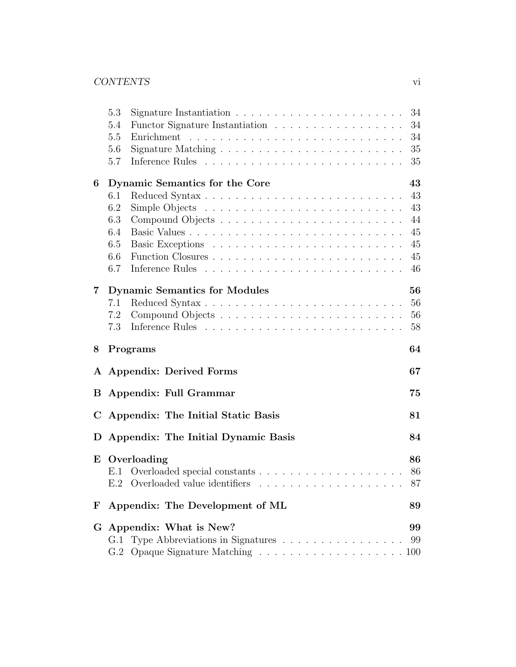|                | 5.3 | Signature Instantiation $\ldots \ldots \ldots \ldots \ldots \ldots \ldots$      | 34 |
|----------------|-----|---------------------------------------------------------------------------------|----|
|                | 5.4 |                                                                                 | 34 |
|                | 5.5 |                                                                                 | 34 |
|                | 5.6 |                                                                                 | 35 |
|                | 5.7 |                                                                                 | 35 |
| 6              |     | Dynamic Semantics for the Core                                                  | 43 |
|                | 6.1 |                                                                                 | 43 |
|                | 6.2 | Simple Objects $\ldots \ldots \ldots \ldots \ldots \ldots \ldots \ldots \ldots$ | 43 |
|                | 6.3 |                                                                                 | 44 |
|                | 6.4 |                                                                                 | 45 |
|                | 6.5 |                                                                                 | 45 |
|                | 6.6 |                                                                                 | 45 |
|                | 6.7 |                                                                                 | 46 |
| $\overline{7}$ |     | <b>Dynamic Semantics for Modules</b>                                            | 56 |
|                | 7.1 |                                                                                 | 56 |
|                | 7.2 |                                                                                 | 56 |
|                | 7.3 |                                                                                 | 58 |
|                |     |                                                                                 |    |
| 8              |     | Programs                                                                        | 64 |
|                |     | A Appendix: Derived Forms                                                       | 67 |
|                |     |                                                                                 |    |
| B              |     | Appendix: Full Grammar                                                          | 75 |
| $\mathbf C$    |     | Appendix: The Initial Static Basis                                              | 81 |
| D              |     | Appendix: The Initial Dynamic Basis                                             | 84 |
| E              |     | Overloading                                                                     | 86 |
|                |     |                                                                                 | 86 |
|                |     |                                                                                 | 87 |
| $\mathbf{F}$   |     | Appendix: The Development of ML                                                 | 89 |
|                |     | G Appendix: What is New?                                                        | 99 |
|                |     | G.1 Type Abbreviations in Signatures                                            | 99 |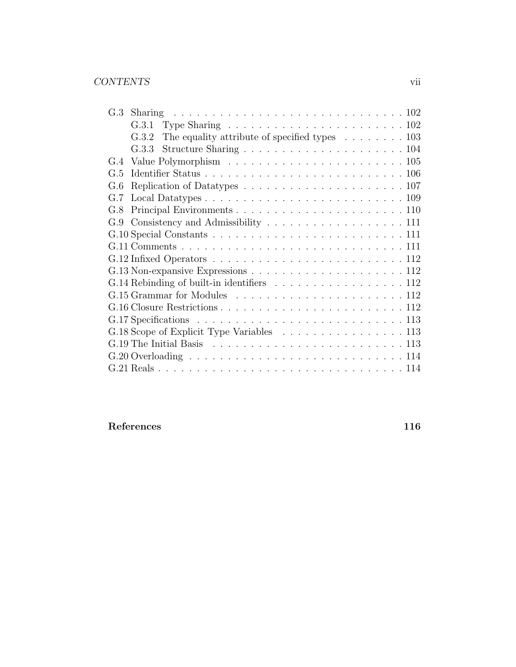| G.3 | Sharing $\ldots \ldots \ldots \ldots \ldots \ldots \ldots \ldots \ldots \ldots \ldots \ldots 102$ |
|-----|---------------------------------------------------------------------------------------------------|
|     |                                                                                                   |
|     | G.3.2 The equality attribute of specified types $\dots \dots \dots \dots$ 103                     |
|     | G.3.3                                                                                             |
| G.4 |                                                                                                   |
| G.5 |                                                                                                   |
| G.6 | Replication of Datatypes $\ldots \ldots \ldots \ldots \ldots \ldots \ldots \ldots 107$            |
| G.7 |                                                                                                   |
| G.8 |                                                                                                   |
|     | G.9 Consistency and Admissibility 111                                                             |
|     |                                                                                                   |
|     |                                                                                                   |
|     |                                                                                                   |
|     |                                                                                                   |
|     | G.14 Rebinding of built-in identifiers 112                                                        |
|     |                                                                                                   |
|     |                                                                                                   |
|     | $G.17$ Specifications $\ldots \ldots \ldots \ldots \ldots \ldots \ldots \ldots \ldots \ldots 113$ |
|     | G.18 Scope of Explicit Type Variables 113                                                         |
|     |                                                                                                   |
|     |                                                                                                   |
|     |                                                                                                   |

# References 116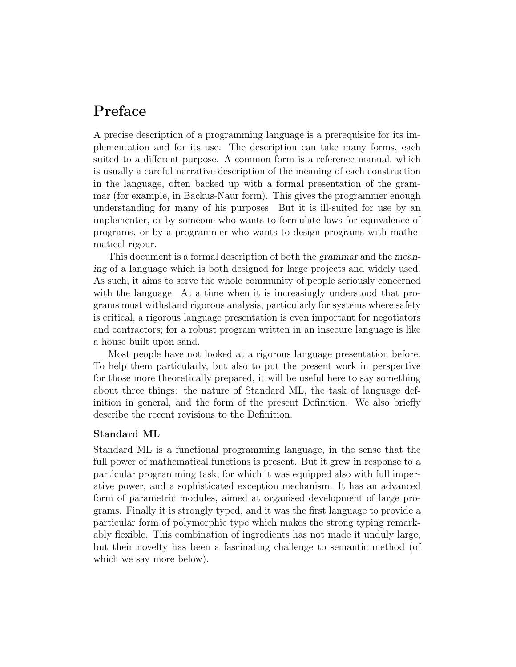# Preface

A precise description of a programming language is a prerequisite for its implementation and for its use. The description can take many forms, each suited to a different purpose. A common form is a reference manual, which is usually a careful narrative description of the meaning of each construction in the language, often backed up with a formal presentation of the grammar (for example, in Backus-Naur form). This gives the programmer enough understanding for many of his purposes. But it is ill-suited for use by an implementer, or by someone who wants to formulate laws for equivalence of programs, or by a programmer who wants to design programs with mathematical rigour.

This document is a formal description of both the grammar and the meaning of a language which is both designed for large projects and widely used. As such, it aims to serve the whole community of people seriously concerned with the language. At a time when it is increasingly understood that programs must withstand rigorous analysis, particularly for systems where safety is critical, a rigorous language presentation is even important for negotiators and contractors; for a robust program written in an insecure language is like a house built upon sand.

Most people have not looked at a rigorous language presentation before. To help them particularly, but also to put the present work in perspective for those more theoretically prepared, it will be useful here to say something about three things: the nature of Standard ML, the task of language definition in general, and the form of the present Definition. We also briefly describe the recent revisions to the Definition.

#### Standard ML

Standard ML is a functional programming language, in the sense that the full power of mathematical functions is present. But it grew in response to a particular programming task, for which it was equipped also with full imperative power, and a sophisticated exception mechanism. It has an advanced form of parametric modules, aimed at organised development of large programs. Finally it is strongly typed, and it was the first language to provide a particular form of polymorphic type which makes the strong typing remarkably flexible. This combination of ingredients has not made it unduly large, but their novelty has been a fascinating challenge to semantic method (of which we say more below).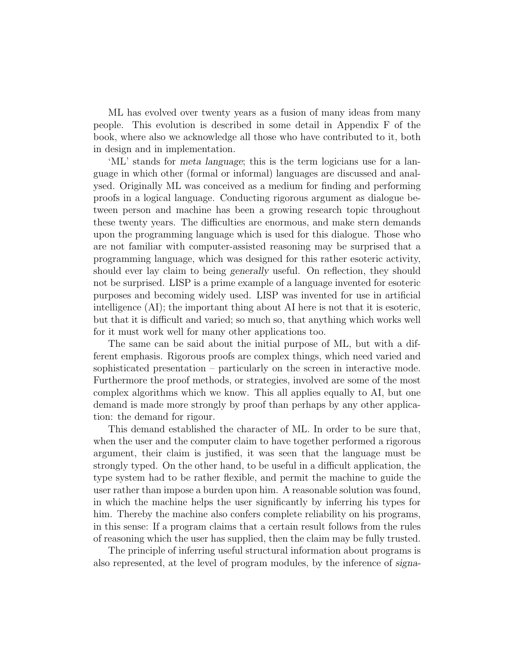ML has evolved over twenty years as a fusion of many ideas from many people. This evolution is described in some detail in Appendix F of the book, where also we acknowledge all those who have contributed to it, both in design and in implementation.

'ML' stands for meta language; this is the term logicians use for a language in which other (formal or informal) languages are discussed and analysed. Originally ML was conceived as a medium for finding and performing proofs in a logical language. Conducting rigorous argument as dialogue between person and machine has been a growing research topic throughout these twenty years. The difficulties are enormous, and make stern demands upon the programming language which is used for this dialogue. Those who are not familiar with computer-assisted reasoning may be surprised that a programming language, which was designed for this rather esoteric activity, should ever lay claim to being generally useful. On reflection, they should not be surprised. LISP is a prime example of a language invented for esoteric purposes and becoming widely used. LISP was invented for use in artificial intelligence (AI); the important thing about AI here is not that it is esoteric, but that it is difficult and varied; so much so, that anything which works well for it must work well for many other applications too.

The same can be said about the initial purpose of ML, but with a different emphasis. Rigorous proofs are complex things, which need varied and sophisticated presentation – particularly on the screen in interactive mode. Furthermore the proof methods, or strategies, involved are some of the most complex algorithms which we know. This all applies equally to AI, but one demand is made more strongly by proof than perhaps by any other application: the demand for rigour.

This demand established the character of ML. In order to be sure that, when the user and the computer claim to have together performed a rigorous argument, their claim is justified, it was seen that the language must be strongly typed. On the other hand, to be useful in a difficult application, the type system had to be rather flexible, and permit the machine to guide the user rather than impose a burden upon him. A reasonable solution was found, in which the machine helps the user significantly by inferring his types for him. Thereby the machine also confers complete reliability on his programs, in this sense: If a program claims that a certain result follows from the rules of reasoning which the user has supplied, then the claim may be fully trusted.

The principle of inferring useful structural information about programs is also represented, at the level of program modules, by the inference of signa-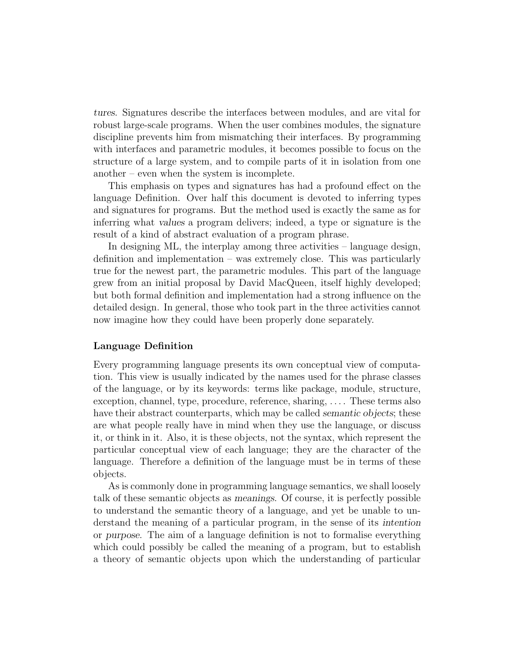tures. Signatures describe the interfaces between modules, and are vital for robust large-scale programs. When the user combines modules, the signature discipline prevents him from mismatching their interfaces. By programming with interfaces and parametric modules, it becomes possible to focus on the structure of a large system, and to compile parts of it in isolation from one another – even when the system is incomplete.

This emphasis on types and signatures has had a profound effect on the language Definition. Over half this document is devoted to inferring types and signatures for programs. But the method used is exactly the same as for inferring what values a program delivers; indeed, a type or signature is the result of a kind of abstract evaluation of a program phrase.

In designing ML, the interplay among three activities – language design, definition and implementation – was extremely close. This was particularly true for the newest part, the parametric modules. This part of the language grew from an initial proposal by David MacQueen, itself highly developed; but both formal definition and implementation had a strong influence on the detailed design. In general, those who took part in the three activities cannot now imagine how they could have been properly done separately.

#### Language Definition

Every programming language presents its own conceptual view of computation. This view is usually indicated by the names used for the phrase classes of the language, or by its keywords: terms like package, module, structure, exception, channel, type, procedure, reference, sharing, . . . . These terms also have their abstract counterparts, which may be called *semantic objects*; these are what people really have in mind when they use the language, or discuss it, or think in it. Also, it is these objects, not the syntax, which represent the particular conceptual view of each language; they are the character of the language. Therefore a definition of the language must be in terms of these objects.

As is commonly done in programming language semantics, we shall loosely talk of these semantic objects as meanings. Of course, it is perfectly possible to understand the semantic theory of a language, and yet be unable to understand the meaning of a particular program, in the sense of its intention or purpose. The aim of a language definition is not to formalise everything which could possibly be called the meaning of a program, but to establish a theory of semantic objects upon which the understanding of particular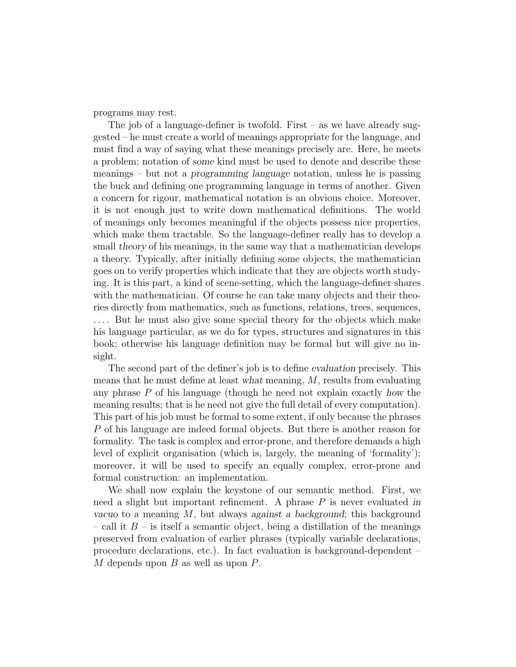programs may rest.

The job of a language-definer is twofold. First – as we have already suggested – he must create a world of meanings appropriate for the language, and must find a way of saying what these meanings precisely are. Here, he meets a problem; notation of some kind must be used to denote and describe these meanings – but not a programming language notation, unless he is passing the buck and defining one programming language in terms of another. Given a concern for rigour, mathematical notation is an obvious choice. Moreover, it is not enough just to write down mathematical definitions. The world of meanings only becomes meaningful if the objects possess nice properties, which make them tractable. So the language-definer really has to develop a small theory of his meanings, in the same way that a mathematician develops a theory. Typically, after initially defining some objects, the mathematician goes on to verify properties which indicate that they are objects worth studying. It is this part, a kind of scene-setting, which the language-definer shares with the mathematician. Of course he can take many objects and their theories directly from mathematics, such as functions, relations, trees, sequences, . . . . But he must also give some special theory for the objects which make his language particular, as we do for types, structures and signatures in this book; otherwise his language definition may be formal but will give no insight.

The second part of the definer's job is to define evaluation precisely. This means that he must define at least what meaning,  $M$ , results from evaluating any phrase  $P$  of his language (though he need not explain exactly how the meaning results; that is he need not give the full detail of every computation). This part of his job must be formal to some extent, if only because the phrases P of his language are indeed formal objects. But there is another reason for formality. The task is complex and error-prone, and therefore demands a high level of explicit organisation (which is, largely, the meaning of 'formality'); moreover, it will be used to specify an equally complex, error-prone and formal construction: an implementation.

We shall now explain the keystone of our semantic method. First, we need a slight but important refinement. A phrase  $P$  is never evaluated in vacuo to a meaning  $M$ , but always against a background; this background – call it  $B$  – is itself a semantic object, being a distillation of the meanings preserved from evaluation of earlier phrases (typically variable declarations, procedure declarations, etc.). In fact evaluation is background-dependent –  $M$  depends upon  $B$  as well as upon  $P$ .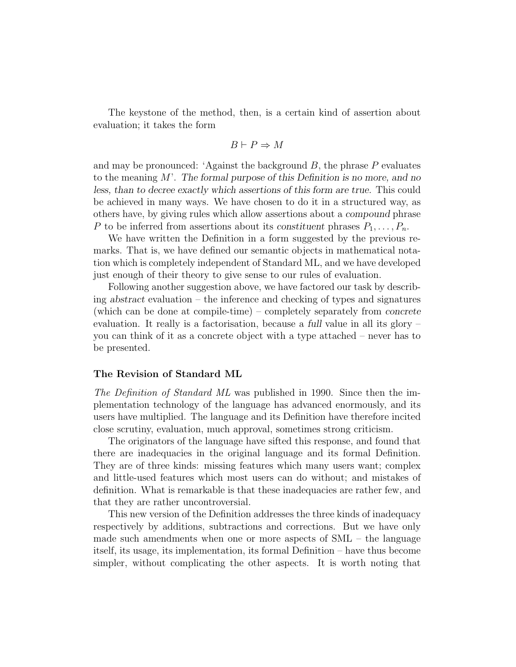The keystone of the method, then, is a certain kind of assertion about evaluation; it takes the form

$$
B \vdash P \Rightarrow M
$$

and may be pronounced: 'Against the background  $B$ , the phrase  $P$  evaluates to the meaning  $M'$ . The formal purpose of this Definition is no more, and no less, than to decree exactly which assertions of this form are true. This could be achieved in many ways. We have chosen to do it in a structured way, as others have, by giving rules which allow assertions about a compound phrase P to be inferred from assertions about its constituent phrases  $P_1, \ldots, P_n$ .

We have written the Definition in a form suggested by the previous remarks. That is, we have defined our semantic objects in mathematical notation which is completely independent of Standard ML, and we have developed just enough of their theory to give sense to our rules of evaluation.

Following another suggestion above, we have factored our task by describing abstract evaluation – the inference and checking of types and signatures (which can be done at compile-time) – completely separately from concrete evaluation. It really is a factorisation, because a full value in all its glory – you can think of it as a concrete object with a type attached – never has to be presented.

#### The Revision of Standard ML

The Definition of Standard ML was published in 1990. Since then the implementation technology of the language has advanced enormously, and its users have multiplied. The language and its Definition have therefore incited close scrutiny, evaluation, much approval, sometimes strong criticism.

The originators of the language have sifted this response, and found that there are inadequacies in the original language and its formal Definition. They are of three kinds: missing features which many users want; complex and little-used features which most users can do without; and mistakes of definition. What is remarkable is that these inadequacies are rather few, and that they are rather uncontroversial.

This new version of the Definition addresses the three kinds of inadequacy respectively by additions, subtractions and corrections. But we have only made such amendments when one or more aspects of SML – the language itself, its usage, its implementation, its formal Definition – have thus become simpler, without complicating the other aspects. It is worth noting that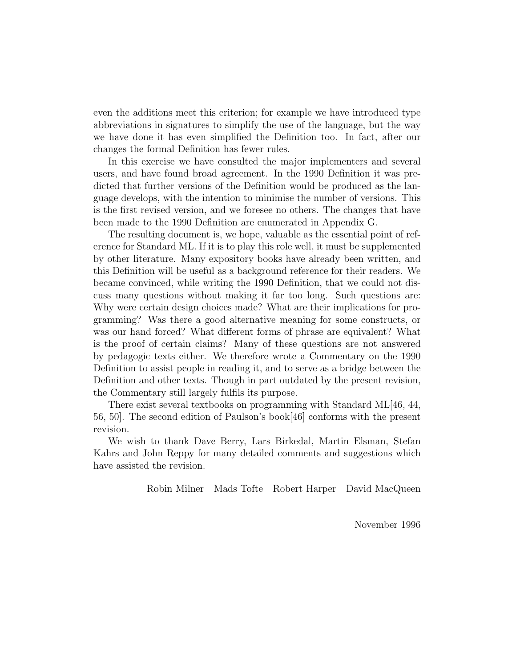even the additions meet this criterion; for example we have introduced type abbreviations in signatures to simplify the use of the language, but the way we have done it has even simplified the Definition too. In fact, after our changes the formal Definition has fewer rules.

In this exercise we have consulted the major implementers and several users, and have found broad agreement. In the 1990 Definition it was predicted that further versions of the Definition would be produced as the language develops, with the intention to minimise the number of versions. This is the first revised version, and we foresee no others. The changes that have been made to the 1990 Definition are enumerated in Appendix G.

The resulting document is, we hope, valuable as the essential point of reference for Standard ML. If it is to play this role well, it must be supplemented by other literature. Many expository books have already been written, and this Definition will be useful as a background reference for their readers. We became convinced, while writing the 1990 Definition, that we could not discuss many questions without making it far too long. Such questions are: Why were certain design choices made? What are their implications for programming? Was there a good alternative meaning for some constructs, or was our hand forced? What different forms of phrase are equivalent? What is the proof of certain claims? Many of these questions are not answered by pedagogic texts either. We therefore wrote a Commentary on the 1990 Definition to assist people in reading it, and to serve as a bridge between the Definition and other texts. Though in part outdated by the present revision, the Commentary still largely fulfils its purpose.

There exist several textbooks on programming with Standard ML[46, 44, 56, 50]. The second edition of Paulson's book[46] conforms with the present revision.

We wish to thank Dave Berry, Lars Birkedal, Martin Elsman, Stefan Kahrs and John Reppy for many detailed comments and suggestions which have assisted the revision.

Robin Milner Mads Tofte Robert Harper David MacQueen

November 1996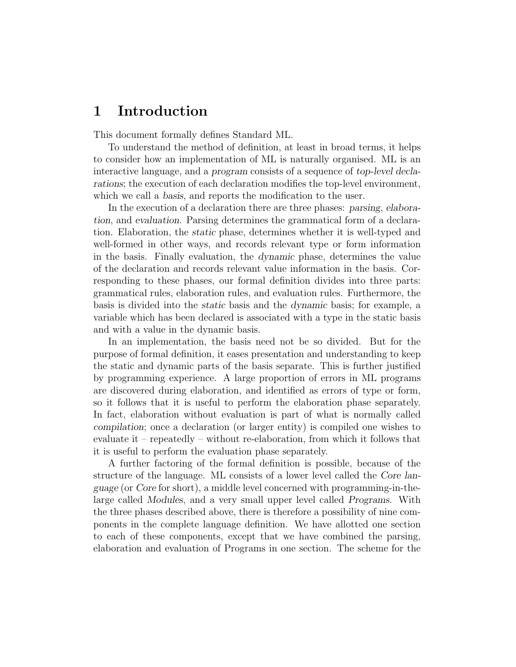# 1 Introduction

This document formally defines Standard ML.

To understand the method of definition, at least in broad terms, it helps to consider how an implementation of ML is naturally organised. ML is an interactive language, and a program consists of a sequence of top-level declarations; the execution of each declaration modifies the top-level environment, which we call a basis, and reports the modification to the user.

In the execution of a declaration there are three phases: parsing, elaboration, and evaluation. Parsing determines the grammatical form of a declaration. Elaboration, the static phase, determines whether it is well-typed and well-formed in other ways, and records relevant type or form information in the basis. Finally evaluation, the dynamic phase, determines the value of the declaration and records relevant value information in the basis. Corresponding to these phases, our formal definition divides into three parts: grammatical rules, elaboration rules, and evaluation rules. Furthermore, the basis is divided into the static basis and the dynamic basis; for example, a variable which has been declared is associated with a type in the static basis and with a value in the dynamic basis.

In an implementation, the basis need not be so divided. But for the purpose of formal definition, it eases presentation and understanding to keep the static and dynamic parts of the basis separate. This is further justified by programming experience. A large proportion of errors in ML programs are discovered during elaboration, and identified as errors of type or form, so it follows that it is useful to perform the elaboration phase separately. In fact, elaboration without evaluation is part of what is normally called compilation; once a declaration (or larger entity) is compiled one wishes to evaluate it – repeatedly – without re-elaboration, from which it follows that it is useful to perform the evaluation phase separately.

A further factoring of the formal definition is possible, because of the structure of the language. ML consists of a lower level called the Core language (or Core for short), a middle level concerned with programming-in-thelarge called Modules, and a very small upper level called Programs. With the three phases described above, there is therefore a possibility of nine components in the complete language definition. We have allotted one section to each of these components, except that we have combined the parsing, elaboration and evaluation of Programs in one section. The scheme for the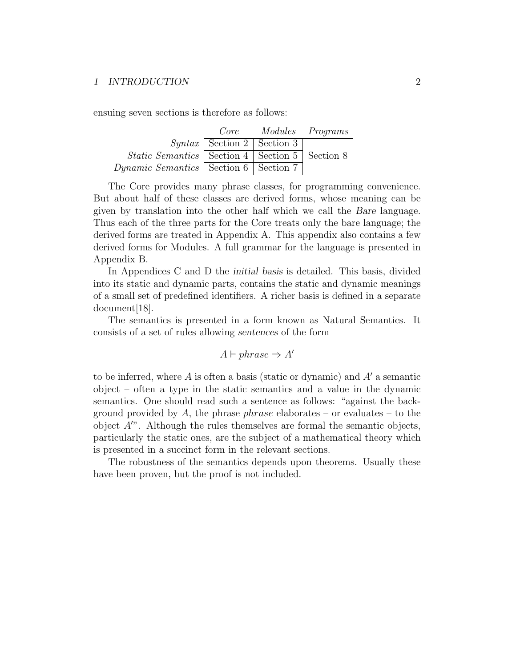#### 1 INTRODUCTION 2

ensuing seven sections is therefore as follows:

|                                                                          |                                   | Core Modules Programs |  |
|--------------------------------------------------------------------------|-----------------------------------|-----------------------|--|
|                                                                          | $Syn tax$   Section 2   Section 3 |                       |  |
| <i>Static Semantics</i>   Section 4   Section $\overline{5}$   Section 8 |                                   |                       |  |
| <i>Dynamic Semantics</i>   Section 6   Section 7                         |                                   |                       |  |

The Core provides many phrase classes, for programming convenience. But about half of these classes are derived forms, whose meaning can be given by translation into the other half which we call the Bare language. Thus each of the three parts for the Core treats only the bare language; the derived forms are treated in Appendix A. This appendix also contains a few derived forms for Modules. A full grammar for the language is presented in Appendix B.

In Appendices C and D the initial basis is detailed. This basis, divided into its static and dynamic parts, contains the static and dynamic meanings of a small set of predefined identifiers. A richer basis is defined in a separate document[18].

The semantics is presented in a form known as Natural Semantics. It consists of a set of rules allowing sentences of the form

 $A \vdash phrase \Rightarrow A'$ 

to be inferred, where A is often a basis (static or dynamic) and  $A'$  a semantic object – often a type in the static semantics and a value in the dynamic semantics. One should read such a sentence as follows: "against the background provided by A, the phrase *phrase* elaborates – or evaluates – to the object  $A^{\prime\prime\prime}$ . Although the rules themselves are formal the semantic objects, particularly the static ones, are the subject of a mathematical theory which is presented in a succinct form in the relevant sections.

The robustness of the semantics depends upon theorems. Usually these have been proven, but the proof is not included.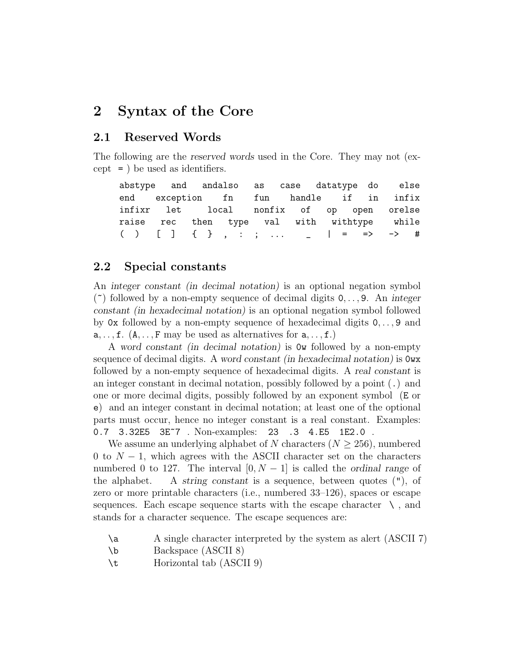# 2 Syntax of the Core

# 2.1 Reserved Words

The following are the reserved words used in the Core. They may not (except = ) be used as identifiers.

|  |  |  |  | abstype and andalso as case datatype do else |
|--|--|--|--|----------------------------------------------|
|  |  |  |  | end exception fn fun handle if in infix      |
|  |  |  |  | infixr let local nonfix of op open orelse    |
|  |  |  |  | raise rec then type val with withtype while  |
|  |  |  |  | ( ) [ ] { } , : ;  _   = => -> #             |

# 2.2 Special constants

An integer constant (in decimal notation) is an optional negation symbol  $(\tilde{\ }')$  followed by a non-empty sequence of decimal digits 0, ..., 9. An integer constant (in hexadecimal notation) is an optional negation symbol followed by 0x followed by a non-empty sequence of hexadecimal digits 0, . . , 9 and  $a, \ldots, f.$  (A,  $\ldots, F$  may be used as alternatives for  $a, \ldots, f.$ )

A word constant (in decimal notation) is 0w followed by a non-empty sequence of decimal digits. A word constant (in hexadecimal notation) is 0wx followed by a non-empty sequence of hexadecimal digits. A real constant is an integer constant in decimal notation, possibly followed by a point (.) and one or more decimal digits, possibly followed by an exponent symbol (E or e) and an integer constant in decimal notation; at least one of the optional parts must occur, hence no integer constant is a real constant. Examples: 0.7 3.32E5 3E~7 . Non-examples: 23 .3 4.E5 1E2.0 .

We assume an underlying alphabet of N characters ( $N \geq 256$ ), numbered 0 to  $N-1$ , which agrees with the ASCII character set on the characters numbered 0 to 127. The interval  $[0, N-1]$  is called the ordinal range of the alphabet. A string constant is a sequence, between quotes ("), of zero or more printable characters (i.e., numbered 33–126), spaces or escape sequences. Each escape sequence starts with the escape character  $\setminus$ , and stands for a character sequence. The escape sequences are:

- \a A single character interpreted by the system as alert (ASCII 7)
- \b Backspace (ASCII 8)
- \t Horizontal tab (ASCII 9)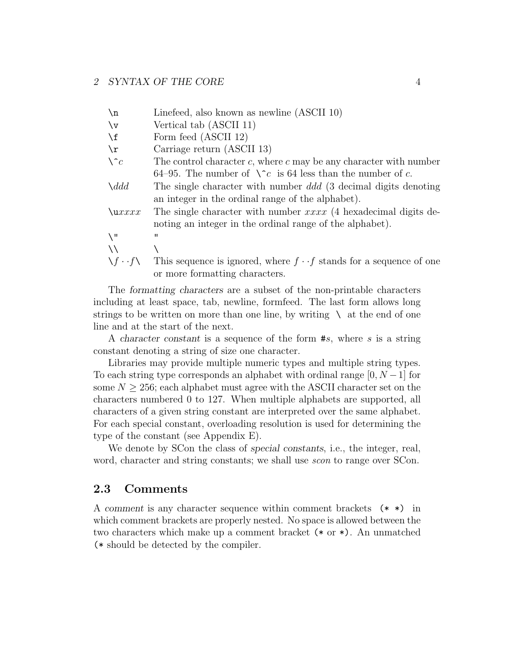- \n Linefeed, also known as newline (ASCII 10)
- $\forall$  Vertical tab (ASCII 11)
- \f Form feed (ASCII 12)
- \r Carriage return (ASCII 13)
- $\setminus c$  The control character c, where c may be any character with number 64–95. The number of  $\setminus c$  is 64 less than the number of c.
- $\lambda d\hat{d}$  The single character with number ddd (3 decimal digits denoting an integer in the ordinal range of the alphabet).
- $\langle \u{x}xxx \rangle$  The single character with number  $xxxx$  (4 hexadecimal digits denoting an integer in the ordinal range of the alphabet).
- $\sqrt{u}$  "  $\sqrt{u}$
- $\sqrt{1}$
- $\setminus f \cdot f\setminus$  This sequence is ignored, where  $f \cdot f$  stands for a sequence of one or more formatting characters.

The formatting characters are a subset of the non-printable characters including at least space, tab, newline, formfeed. The last form allows long strings to be written on more than one line, by writing  $\setminus$  at the end of one line and at the start of the next.

A character constant is a sequence of the form #s, where s is a string constant denoting a string of size one character.

Libraries may provide multiple numeric types and multiple string types. To each string type corresponds an alphabet with ordinal range  $[0, N-1]$  for some  $N > 256$ ; each alphabet must agree with the ASCII character set on the characters numbered 0 to 127. When multiple alphabets are supported, all characters of a given string constant are interpreted over the same alphabet. For each special constant, overloading resolution is used for determining the type of the constant (see Appendix E).

We denote by SCon the class of special constants, i.e., the integer, real, word, character and string constants; we shall use scon to range over SCon.

## 2.3 Comments

A comment is any character sequence within comment brackets (\* \*) in which comment brackets are properly nested. No space is allowed between the two characters which make up a comment bracket  $(* or *)$ . An unmatched (\* should be detected by the compiler.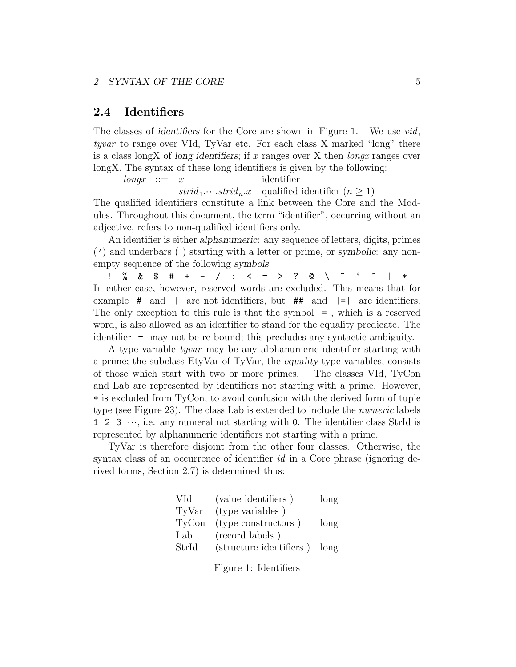# 2.4 Identifiers

The classes of *identifiers* for the Core are shown in Figure 1. We use *vid*, tyvar to range over VId, TyVar etc. For each class X marked "long" there is a class longX of long identifiers; if x ranges over X then longx ranges over longX. The syntax of these long identifiers is given by the following:

 $longx$  :  $x$  identifier  $strid_1.\dotsstrid_n.x$  qualified identifier  $(n \geq 1)$ 

The qualified identifiers constitute a link between the Core and the Modules. Throughout this document, the term "identifier", occurring without an adjective, refers to non-qualified identifiers only.

An identifier is either *alphanumeric*: any sequence of letters, digits, primes (') and underbars ( ) starting with a letter or prime, or symbolic: any nonempty sequence of the following symbols

! % & \$ # + - / : < = > ? @ \ ~ ' ^ | \* In either case, however, reserved words are excluded. This means that for example # and | are not identifiers, but ## and |=| are identifiers. The only exception to this rule is that the symbol = , which is a reserved word, is also allowed as an identifier to stand for the equality predicate. The identifier = may not be re-bound; this precludes any syntactic ambiguity.

A type variable tyvar may be any alphanumeric identifier starting with a prime; the subclass EtyVar of TyVar, the equality type variables, consists of those which start with two or more primes. The classes VId, TyCon and Lab are represented by identifiers not starting with a prime. However, \* is excluded from TyCon, to avoid confusion with the derived form of tuple type (see Figure 23). The class Lab is extended to include the numeric labels 1 2 3  $\cdots$ , i.e. any numeral not starting with 0. The identifier class StrId is represented by alphanumeric identifiers not starting with a prime.

TyVar is therefore disjoint from the other four classes. Otherwise, the syntax class of an occurrence of identifier id in a Core phrase (ignoring derived forms, Section 2.7) is determined thus:

| VId   | (value identifiers)     | long |
|-------|-------------------------|------|
| TyVar | (type variables)        |      |
| TyCon | (type constructors)     | long |
| Lab   | (record labels)         |      |
| StrId | (structure identifiers) | long |
|       |                         |      |

Figure 1: Identifiers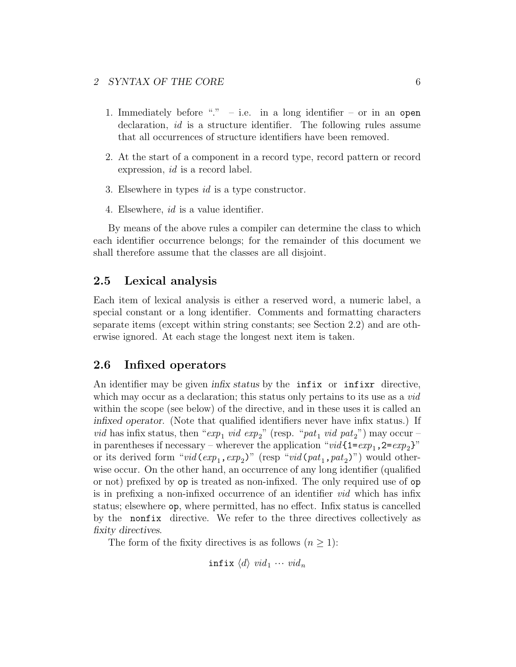#### 2 SYNTAX OF THE CORE 6

- 1. Immediately before "." i.e. in a long identifier or in an open declaration, id is a structure identifier. The following rules assume that all occurrences of structure identifiers have been removed.
- 2. At the start of a component in a record type, record pattern or record expression, id is a record label.
- 3. Elsewhere in types id is a type constructor.
- 4. Elsewhere, id is a value identifier.

By means of the above rules a compiler can determine the class to which each identifier occurrence belongs; for the remainder of this document we shall therefore assume that the classes are all disjoint.

# 2.5 Lexical analysis

Each item of lexical analysis is either a reserved word, a numeric label, a special constant or a long identifier. Comments and formatting characters separate items (except within string constants; see Section 2.2) and are otherwise ignored. At each stage the longest next item is taken.

# 2.6 Infixed operators

An identifier may be given *infix status* by the **infix** or **infixr** directive, which may occur as a declaration; this status only pertains to its use as a *vid* within the scope (see below) of the directive, and in these uses it is called an infixed operator. (Note that qualified identifiers never have infix status.) If *vid* has infix status, then " $exp_1$  *vid*  $exp_2$ " (resp. " $pat_1$  *vid*  $pat_2$ ") may occur in parentheses if necessary – wherever the application "vid $\{1=exp_1, 2=exp_2\}$ " or its derived form "vid( $exp_1, exp_2$ )" (resp "vid( $pat_1, pat_2$ )") would otherwise occur. On the other hand, an occurrence of any long identifier (qualified or not) prefixed by op is treated as non-infixed. The only required use of op is in prefixing a non-infixed occurrence of an identifier vid which has infix status; elsewhere op, where permitted, has no effect. Infix status is cancelled by the nonfix directive. We refer to the three directives collectively as fixity directives.

The form of the fixity directives is as follows  $(n \geq 1)$ :

$$
\mathtt{infix} \langle d \rangle \ \mathit{vid}_1 \ \cdots \ \mathit{vid}_n
$$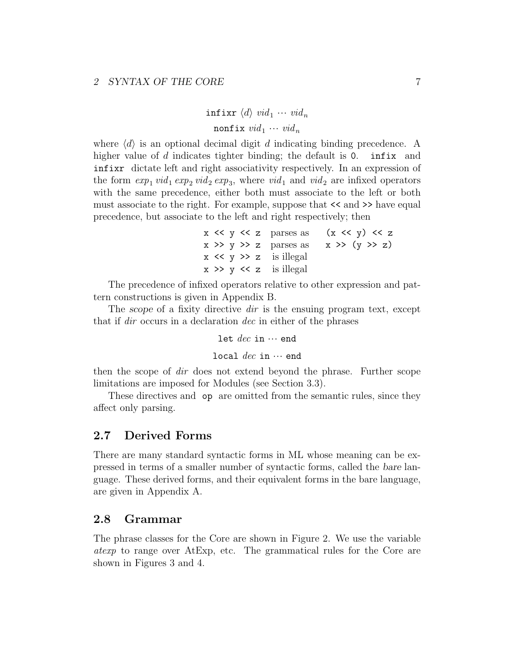infixr  $\langle d \rangle$  vid<sub>1</sub>  $\cdots$  vid<sub>n</sub> nonfix  $vid_1 \cdots$   $vid_n$ 

where  $\langle d \rangle$  is an optional decimal digit d indicating binding precedence. A higher value of d indicates tighter binding; the default is 0. **infix** and infixr dictate left and right associativity respectively. In an expression of the form  $\exp_1 \textit{vid}_1 \exp_2 \textit{vid}_2 \exp_3$ , where  $\textit{vid}_1$  and  $\textit{vid}_2$  are infixed operators with the same precedence, either both must associate to the left or both must associate to the right. For example, suppose that  $\lt\lt$  and  $\gt$  have equal precedence, but associate to the left and right respectively; then

```
x \leq y \leq z parses as (x \leq y) \leq zx \gg y \gg z parses as x \gg (y \gg z)x \leq y \geq z is illegal
x \gg y \ll z is illegal
```
The precedence of infixed operators relative to other expression and pattern constructions is given in Appendix B.

The scope of a fixity directive dir is the ensuing program text, except that if dir occurs in a declaration dec in either of the phrases

```
let dec in \cdots end
local dec in \cdots end
```
then the scope of dir does not extend beyond the phrase. Further scope limitations are imposed for Modules (see Section 3.3).

These directives and op are omitted from the semantic rules, since they affect only parsing.

# 2.7 Derived Forms

There are many standard syntactic forms in ML whose meaning can be expressed in terms of a smaller number of syntactic forms, called the bare language. These derived forms, and their equivalent forms in the bare language, are given in Appendix A.

# 2.8 Grammar

The phrase classes for the Core are shown in Figure 2. We use the variable atexp to range over AtExp, etc. The grammatical rules for the Core are shown in Figures 3 and 4.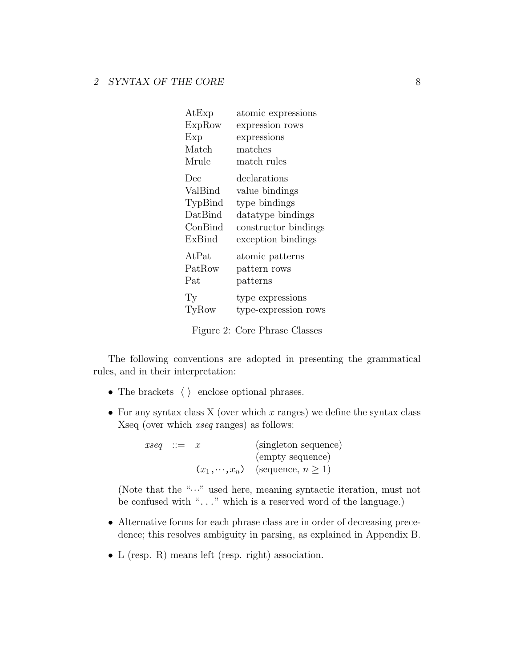| AtExp   | atomic expressions            |
|---------|-------------------------------|
| ExpRow  | expression rows               |
| Exp     | expressions                   |
| Match   | matches                       |
| Mrule   | match rules                   |
| Dec     | declarations                  |
| ValBind | value bindings                |
| TypBind | type bindings                 |
| DatBind | datatype bindings             |
| ConBind | constructor bindings          |
| ExBind  | exception bindings            |
| AtPat   | atomic patterns               |
| PatRow  | pattern rows                  |
| Pat     | patterns                      |
| Тy      | type expressions              |
| TyRow   | type-expression rows          |
|         | Figure 2: Core Phrase Classes |

The following conventions are adopted in presenting the grammatical rules, and in their interpretation:

- The brackets  $\langle \rangle$  enclose optional phrases.
- For any syntax class  $X$  (over which x ranges) we define the syntax class Xseq (over which xseq ranges) as follows:

 $xseq$  ::=  $x$  (singleton sequence) (empty sequence)  $(x_1,\dots,x_n)$  (sequence,  $n \geq 1$ )

(Note that the "···" used here, meaning syntactic iteration, must not be confused with "..." which is a reserved word of the language.)

- Alternative forms for each phrase class are in order of decreasing precedence; this resolves ambiguity in parsing, as explained in Appendix B.
- L (resp. R) means left (resp. right) association.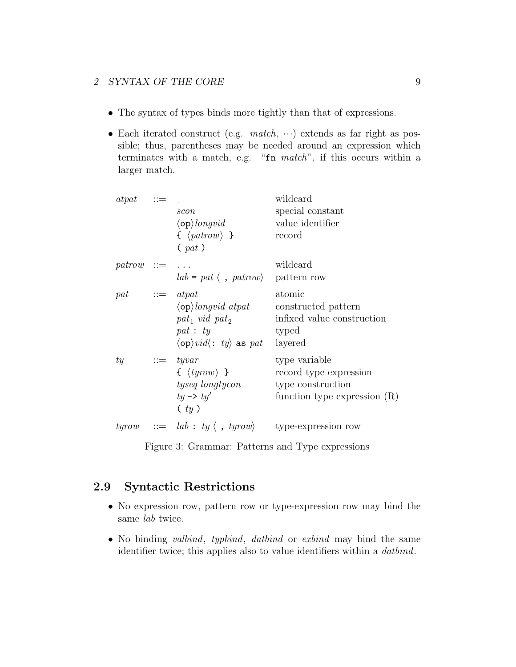## 2 SYNTAX OF THE CORE 9

- The syntax of types binds more tightly than that of expressions.
- Each iterated construct (e.g.  $match, \dots$ ) extends as far right as possible; thus, parentheses may be needed around an expression which terminates with a match, e.g. "fn match", if this occurs within a larger match.

| at pat | $\cdots =$                      | scon<br>$\langle$ op $\rangle$ <i>longvid</i><br>$\{$ $\langle$ <i>patrow</i> $\rangle$ }<br>$(\text{pat})$                                                                 | wildcard<br>special constant<br>value identifier<br>record                                     |
|--------|---------------------------------|-----------------------------------------------------------------------------------------------------------------------------------------------------------------------------|------------------------------------------------------------------------------------------------|
| patrow | $\mathbb{R}^2 = \mathbb{R}^2$ . | $lab = pat \langle , patrow \rangle$                                                                                                                                        | wildcard<br>pattern row                                                                        |
| pat    |                                 | $\dot{=}$ atpat<br>$\langle op \rangle$ <i>longvid atpat</i><br>$pat_1$ vid pat <sub>2</sub><br>pat:ty<br>$\langle$ op $\rangle$ <i>vid</i> $\langle :$ ty $\rangle$ as pat | atomic<br>constructed pattern<br>infixed value construction<br>typed<br>layered                |
| ty     |                                 | $\dddot{=}$ tyvar<br>$\{ \langle t y row \rangle \}$<br>tyseq longtycon<br>$ty \rightarrow ty'$<br>(y)                                                                      | type variable<br>record type expression<br>type construction<br>function type expression $(R)$ |
|        |                                 | $\textit{tyrow}$ ::= $\textit{lab}: \textit{ty} \langle , \textit{tyrow} \rangle$ type-expression row                                                                       |                                                                                                |

Figure 3: Grammar: Patterns and Type expressions

# 2.9 Syntactic Restrictions

- No expression row, pattern row or type-expression row may bind the same *lab* twice.
- No binding valbind, typbind, datbind or exbind may bind the same identifier twice; this applies also to value identifiers within a datbind.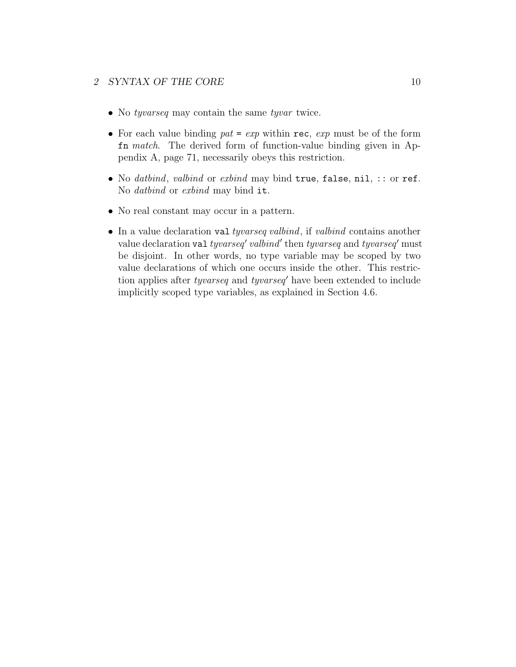#### 2 SYNTAX OF THE CORE 10

- No tyvarseq may contain the same tyvar twice.
- For each value binding  $pat = exp$  within rec,  $exp$  must be of the form fn match. The derived form of function-value binding given in Appendix A, page 71, necessarily obeys this restriction.
- No datbind, valbind or exbind may bind true, false,  $nil$ ,  $::$  or ref. No datbind or exbind may bind it.
- No real constant may occur in a pattern.
- In a value declaration val tyvarseq valbind, if valbind contains another value declaration val  $\it{tyvarseq'}$  valbind' then  $\it{tyvarseq}$  and  $\it{tyvarseq'}$  must be disjoint. In other words, no type variable may be scoped by two value declarations of which one occurs inside the other. This restriction applies after tyvarseq and tyvarseq' have been extended to include implicitly scoped type variables, as explained in Section 4.6.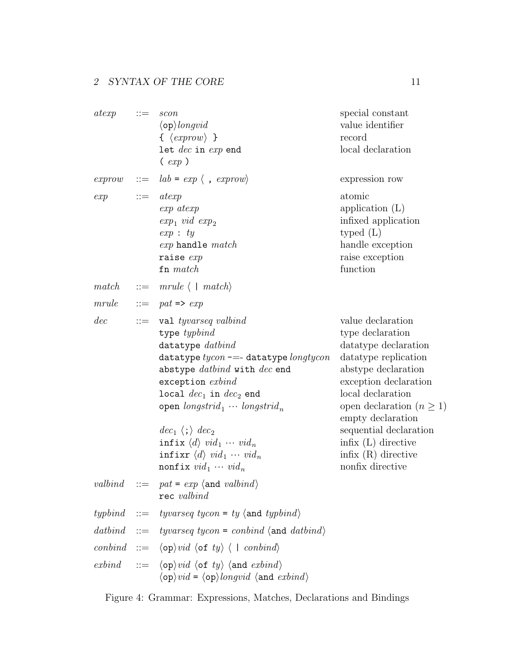| $\emph{atexp}$   | $\mathrel{\mathop:}=$ | scon<br>$\langle$ op $\rangle$ <i>longvid</i><br>$\{ \langle \text{exprow} \rangle \}$<br>let $dec$ in $exp$ end<br>$(\exp)$                                                                                                                                                                                                                                                                                                                                    | special constant<br>value identifier<br>record<br>local declaration                                                                                                                                                                                                                                              |
|------------------|-----------------------|-----------------------------------------------------------------------------------------------------------------------------------------------------------------------------------------------------------------------------------------------------------------------------------------------------------------------------------------------------------------------------------------------------------------------------------------------------------------|------------------------------------------------------------------------------------------------------------------------------------------------------------------------------------------------------------------------------------------------------------------------------------------------------------------|
|                  |                       | $\exp row \quad ::= \quad lab = \exp \langle , \exp row \rangle$                                                                                                                                                                                                                                                                                                                                                                                                | expression row                                                                                                                                                                                                                                                                                                   |
| exp              |                       | $exp \, \, \textit{atexp}$<br>$exp_1$ vid $exp_2$<br>exp:ty<br>$exp$ handle $match$<br>raise $exp$<br>fn match                                                                                                                                                                                                                                                                                                                                                  | atomic<br>application $(L)$<br>infixed application<br>typed $(L)$<br>handle exception<br>raise exception<br>function                                                                                                                                                                                             |
|                  |                       | $match$ ::= $mrule \langle   match \rangle$                                                                                                                                                                                                                                                                                                                                                                                                                     |                                                                                                                                                                                                                                                                                                                  |
| mrule            |                       | $\therefore$ $pat \Rightarrow exp$                                                                                                                                                                                                                                                                                                                                                                                                                              |                                                                                                                                                                                                                                                                                                                  |
| $\frac{dec}{2}$  |                       | $ ::=$ val tyvarseq valbind<br>type typbind<br>datatype $dational$<br>datatype $tycon ==$ datatype $longtycon$<br>abstype <i>datbind</i> with <i>dec</i> end<br>${\tt exception\;}\;~{exbind}$<br>local $dec_1$ in $dec_2$ end<br>open $longstrid_1 \cdots longstrid_n$<br>$dec_1 \langle ; \rangle$ dec <sub>2</sub><br>infix $\langle d \rangle$ $vid_1 \cdots$ $vid_n$<br>infixr $\langle d \rangle$ $vid_1 \cdots$ $vid_n$<br>nonfix $vid_1 \cdots$ $vid_n$ | value declaration<br>type declaration<br>datatype declaration<br>datatype replication<br>abstype declaration<br>exception declaration<br>local declaration<br>open declaration $(n \geq 1)$<br>empty declaration<br>sequential declaration<br>$\inf x(L)$ directive<br>infix $(R)$ directive<br>nonfix directive |
|                  |                       | valbind ::= $pat = exp \langle and \text{ } valbind \rangle$<br>rec valbind                                                                                                                                                                                                                                                                                                                                                                                     |                                                                                                                                                                                                                                                                                                                  |
| typbind          | $::=$                 | <i>tyvarseq tycon</i> = ty $\langle$ and typbind $\rangle$                                                                                                                                                                                                                                                                                                                                                                                                      |                                                                                                                                                                                                                                                                                                                  |
| dational         | $\mathrel{\mathop:}=$ | <i>tyvarseq tycon</i> = <i>conbind</i> $\langle$ and <i>datbind</i> $\rangle$                                                                                                                                                                                                                                                                                                                                                                                   |                                                                                                                                                                                                                                                                                                                  |
| $\emph{confind}$ |                       | $\therefore = \langle op \rangle \text{vid} \langle of \text{ty} \rangle \langle \text{1} \text{ (} \text{on} \text{bind} \rangle$                                                                                                                                                                                                                                                                                                                              |                                                                                                                                                                                                                                                                                                                  |
| $\it{exbind}$    | $\therefore =$        | $\langle$ op $\rangle$ <i>vid</i> $\langle$ of ty $\rangle$ $\langle$ and exbind $\rangle$<br>$\langle op \rangle$ $vid = \langle op \rangle$ longvid $\langle$ and exbind $\rangle$                                                                                                                                                                                                                                                                            |                                                                                                                                                                                                                                                                                                                  |

Figure 4: Grammar: Expressions, Matches, Declarations and Bindings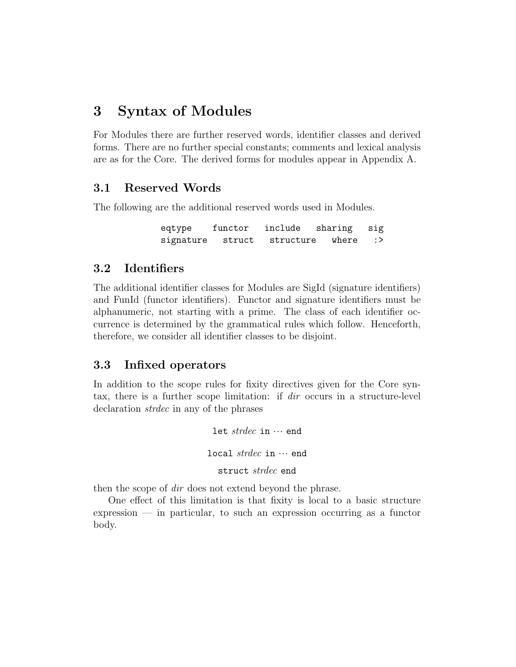# 3 Syntax of Modules

For Modules there are further reserved words, identifier classes and derived forms. There are no further special constants; comments and lexical analysis are as for the Core. The derived forms for modules appear in Appendix A.

# 3.1 Reserved Words

The following are the additional reserved words used in Modules.

eqtype functor include sharing sig signature struct structure where :>

# 3.2 Identifiers

The additional identifier classes for Modules are SigId (signature identifiers) and FunId (functor identifiers). Functor and signature identifiers must be alphanumeric, not starting with a prime. The class of each identifier occurrence is determined by the grammatical rules which follow. Henceforth, therefore, we consider all identifier classes to be disjoint.

# 3.3 Infixed operators

In addition to the scope rules for fixity directives given for the Core syntax, there is a further scope limitation: if dir occurs in a structure-level declaration strdec in any of the phrases

> let  $strdec$  in  $\cdots$  end local  $strdec$  in  $\cdots$  end struct strdec end

then the scope of dir does not extend beyond the phrase.

One effect of this limitation is that fixity is local to a basic structure expression — in particular, to such an expression occurring as a functor body.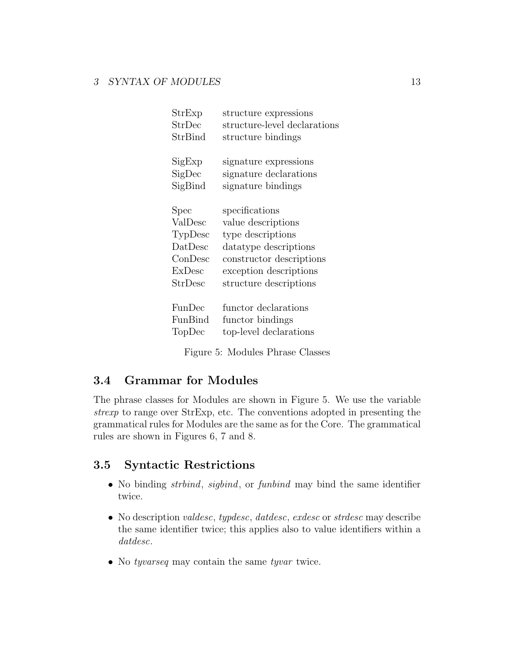## 3 SYNTAX OF MODULES 13

| StrExp                | structure expressions            |
|-----------------------|----------------------------------|
| StrDec                | structure-level declarations     |
| StrBind               | structure bindings               |
|                       |                                  |
| SigExp                | signature expressions            |
| SigDec                | signature declarations           |
| SigBind               | signature bindings               |
|                       |                                  |
| $\operatorname{Spec}$ | specifications                   |
| ValDesc               | value descriptions               |
| TypDesc               | type descriptions                |
| DatDesc               | datatype descriptions            |
| ConDesc               | constructor descriptions         |
| <b>ExDesc</b>         | exception descriptions           |
| StrDesc               | structure descriptions           |
|                       |                                  |
| FunDec                | functor declarations             |
| FunBind               | functor bindings                 |
| TopDec                | top-level declarations           |
|                       | Figure 5: Modules Phrase Classes |
|                       |                                  |

# 3.4 Grammar for Modules

The phrase classes for Modules are shown in Figure 5. We use the variable strexp to range over StrExp, etc. The conventions adopted in presenting the grammatical rules for Modules are the same as for the Core. The grammatical rules are shown in Figures 6, 7 and 8.

# 3.5 Syntactic Restrictions

- No binding *strbind*, *sigbind*, or *funbind* may bind the same identifier twice.
- No description *valdesc*, *typdesc*, *datdesc*, *exdesc* or *strdesc* may describe the same identifier twice; this applies also to value identifiers within a datdesc.
- No tyvarseq may contain the same tyvar twice.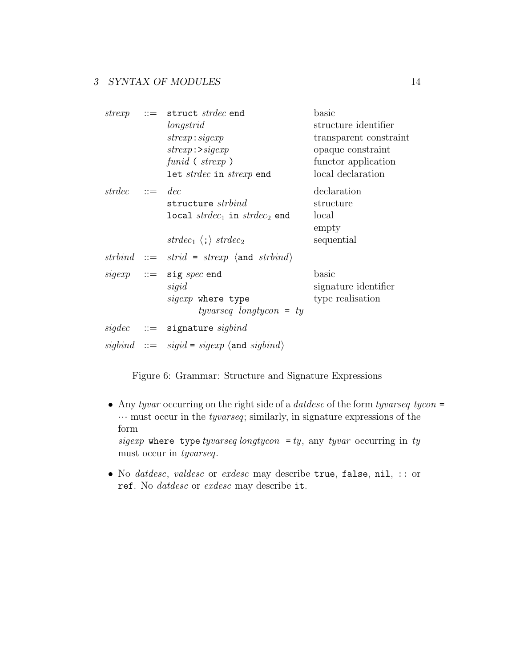# 3 SYNTAX OF MODULES 14

|                   | strexp $ ::=$ struct strdec end                                | basic                  |
|-------------------|----------------------------------------------------------------|------------------------|
|                   | longstrid                                                      | structure identifier   |
|                   | $strexp: \text{sigexp}$                                        | transparent constraint |
|                   | $\text{strexp}:> \text{sigexp}$                                | opaque constraint      |
|                   | funid $\left( \text{ \textit{strexp }} \right)$                | functor application    |
|                   | let <i>strdec</i> in <i>strexp</i> end                         | local declaration      |
| strdec $ ::=$ dec |                                                                | declaration            |
|                   | structure <i>strbind</i>                                       | structure              |
|                   | local $strdec_1$ in $strdec_2$ end                             | local                  |
|                   |                                                                | empty                  |
|                   | strdec <sub>1</sub> $\langle$ ; strdec <sub>2</sub>            | sequential             |
|                   | strbind ::= strid = strexp $\langle$ and strbind $\rangle$     |                        |
|                   | $\text{sigexp}$ ::= sig spec end                               | basic                  |
|                   | sigid                                                          | signature identifier   |
|                   | sigexp where type                                              | type realisation       |
|                   | $tyvarseq$ longtycon = ty                                      |                        |
|                   | $\mathit{sigdec}$ ::= signature sigbind                        |                        |
|                   | sigbind $\ ::=$ sigid = sigexp $\langle$ and sigbind $\rangle$ |                        |

Figure 6: Grammar: Structure and Signature Expressions

• Any tyvar occurring on the right side of a *datdesc* of the form tyvarseq tycon  $=$ ··· must occur in the tyvarseq; similarly, in signature expressions of the form sigexp where type tyvarseq longtycon = ty, any tyvar occurring in ty

must occur in tyvarseq.

• No datdesc, valdesc or exdesc may describe true, false, nil, :: or ref. No datdesc or exdesc may describe it.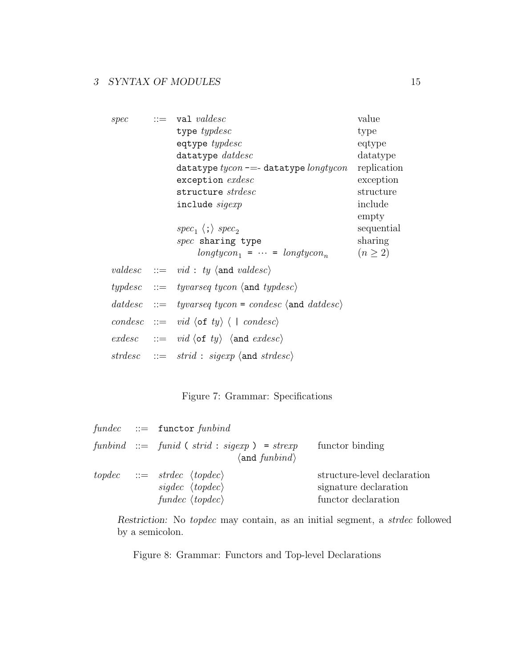| spec | $ ::= \text{val } \text{val} \text{ } \text{values} \text{ } c$                                          | value        |
|------|----------------------------------------------------------------------------------------------------------|--------------|
|      | type typdesc                                                                                             | type         |
|      | eqtype $typdesc$                                                                                         | eqtype       |
|      | datatype <i>datdesc</i>                                                                                  | datatype     |
|      | datatype $tycon ==$ datatype $longtycon$                                                                 | replication  |
|      | $exception \;exdesc$                                                                                     | exception    |
|      | structure strdesc                                                                                        | structure    |
|      | include sigexp                                                                                           | include      |
|      |                                                                                                          | empty        |
|      | $spec_1 \langle ; \rangle spec_2$                                                                        | sequential   |
|      | spec sharing type                                                                                        | sharing      |
|      | $longtycon_1 = \cdots = longtycon_n$                                                                     | $(n \geq 2)$ |
|      | valdesc ::= vid : ty $\langle$ and valdesc $\rangle$                                                     |              |
|      | <i>typdesc</i> ::= <i>tyvarseq tycon</i> $\langle$ and <i>typdesc</i> $\rangle$                          |              |
|      | data data $\therefore$ = typesseq tycon = condesc $\langle$ and data desc $\rangle$                      |              |
|      | condesc ::= vid $\langle$ of ty $\rangle$ $\langle$   condesc $\rangle$                                  |              |
|      | exdesc $ ::= \text{vid } \langle \text{of } \text{ty} \rangle \langle \text{and } \text{exdesc} \rangle$ |              |
|      | strdesc $ ::=$ strid : sigexp $\langle$ and strdesc $\rangle$                                            |              |

Figure 7: Grammar: Specifications

|  | fundec $ ::=$ functor funbind                                                                                      |                                                                             |
|--|--------------------------------------------------------------------------------------------------------------------|-----------------------------------------------------------------------------|
|  | funbind $\therefore$ funid (strid: sigexp) = strexp<br>$\langle$ and $\text{funbind}$                              | functor binding                                                             |
|  | $topdec$ ::= $strdec \langle topdec \rangle$<br>sigdec $\langle topdec \rangle$<br>fundec $\langle topdec \rangle$ | structure-level declaration<br>signature declaration<br>functor declaration |

Restriction: No topdec may contain, as an initial segment, a strdec followed by a semicolon.

Figure 8: Grammar: Functors and Top-level Declarations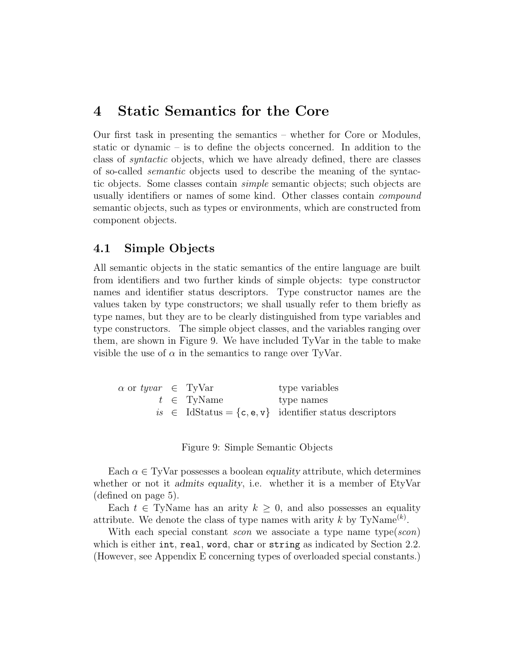# 4 Static Semantics for the Core

Our first task in presenting the semantics – whether for Core or Modules, static or dynamic – is to define the objects concerned. In addition to the class of syntactic objects, which we have already defined, there are classes of so-called semantic objects used to describe the meaning of the syntactic objects. Some classes contain simple semantic objects; such objects are usually identifiers or names of some kind. Other classes contain compound semantic objects, such as types or environments, which are constructed from component objects.

# 4.1 Simple Objects

All semantic objects in the static semantics of the entire language are built from identifiers and two further kinds of simple objects: type constructor names and identifier status descriptors. Type constructor names are the values taken by type constructors; we shall usually refer to them briefly as type names, but they are to be clearly distinguished from type variables and type constructors. The simple object classes, and the variables ranging over them, are shown in Figure 9. We have included TyVar in the table to make visible the use of  $\alpha$  in the semantics to range over TyVar.

 $\alpha$  or tyvar  $\in$  TyVar type variables  $t \in$  TyName type names is ∈ IdStatus = {c, e, v} identifier status descriptors

Figure 9: Simple Semantic Objects

Each  $\alpha \in \mathrm{TyVar}$  possesses a boolean equality attribute, which determines whether or not it *admits equality*, i.e. whether it is a member of EtyVar (defined on page 5).

Each  $t \in$  TyName has an arity  $k \geq 0$ , and also possesses an equality attribute. We denote the class of type names with arity k by TyName<sup>(k)</sup>.

With each special constant scon we associate a type name type(scon) which is either int, real, word, char or string as indicated by Section 2.2. (However, see Appendix E concerning types of overloaded special constants.)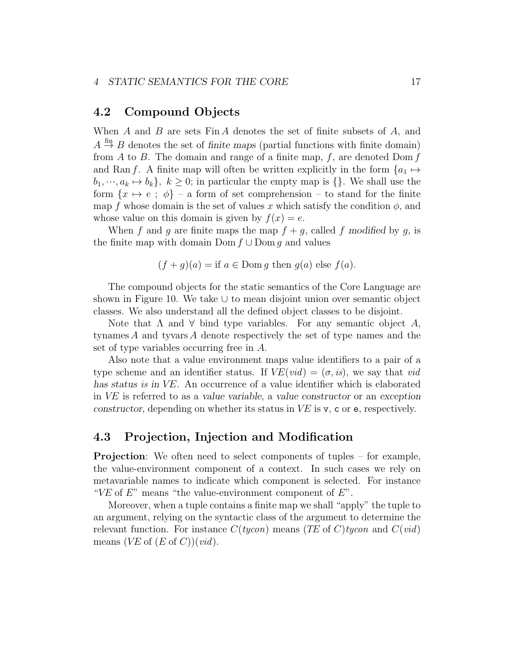# 4.2 Compound Objects

When A and B are sets  $\text{Fin }A$  denotes the set of finite subsets of A, and  $A \stackrel{\text{fin}}{\rightarrow} B$  denotes the set of finite maps (partial functions with finite domain) from  $A$  to  $B$ . The domain and range of a finite map,  $f$ , are denoted Dom  $f$ and Ran f. A finite map will often be written explicitly in the form  $\{a_1 \mapsto a_2\}$  $b_1, \dots, a_k \mapsto b_k$ ,  $k \geq 0$ ; in particular the empty map is {}. We shall use the form  $\{x \mapsto e; \phi\}$  – a form of set comprehension – to stand for the finite map f whose domain is the set of values x which satisfy the condition  $\phi$ , and whose value on this domain is given by  $f(x) = e$ .

When f and g are finite maps the map  $f + g$ , called f modified by g, is the finite map with domain Dom  $f \cup$  Dom g and values

$$
(f+g)(a) =
$$
 if  $a \in \text{Dom } g$  then  $g(a)$  else  $f(a)$ .

The compound objects for the static semantics of the Core Language are shown in Figure 10. We take ∪ to mean disjoint union over semantic object classes. We also understand all the defined object classes to be disjoint.

Note that  $\Lambda$  and  $\forall$  bind type variables. For any semantic object A, tynames A and tyvars A denote respectively the set of type names and the set of type variables occurring free in A.

Also note that a value environment maps value identifiers to a pair of a type scheme and an identifier status. If  $VE(vid) = (\sigma, is)$ , we say that vid has status is in VE. An occurrence of a value identifier which is elaborated in VE is referred to as a value variable, a value constructor or an exception constructor, depending on whether its status in  $VE$  is  $v$ , c or e, respectively.

# 4.3 Projection, Injection and Modification

**Projection:** We often need to select components of tuples – for example, the value-environment component of a context. In such cases we rely on metavariable names to indicate which component is selected. For instance "VE of  $E$ " means "the value-environment component of  $E$ ".

Moreover, when a tuple contains a finite map we shall "apply" the tuple to an argument, relying on the syntactic class of the argument to determine the relevant function. For instance  $C(tycon)$  means (TE of C)tycon and  $C(vid)$ means  $(VE \text{ of } (E \text{ of } C))(vid).$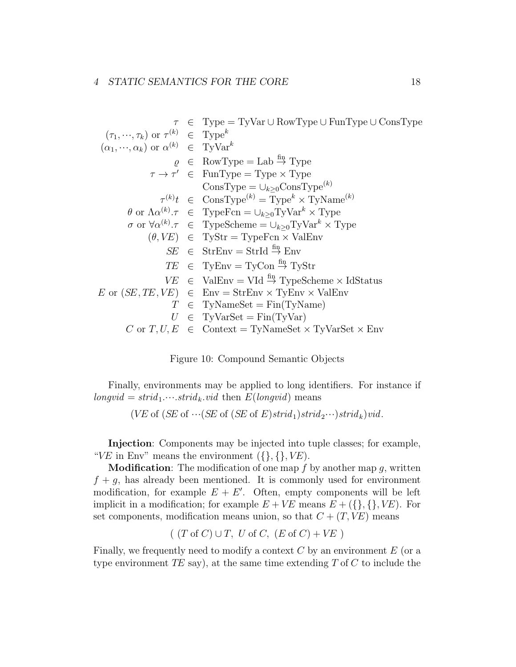$\tau \in \text{Type} = \text{TyVar} \cup \text{RowType} \cup \text{FunType} \cup \text{ConsType}$  $(\tau_1, \dots, \tau_k)$  or  $\tau^{(k)} \in \text{Type}^k$  $(\alpha_1, \cdots, \alpha_k)$  or  $\alpha^{(k)} \in \text{TyVar}^k$  $\rho \in \text{RowType} = \text{Lab} \stackrel{\text{fin}}{\rightarrow} \text{Type}$  $\tau \to \tau' \in \text{FunType} = \text{Type} \times \text{Type}$ ConsType =  $\cup_{k\geq 0}$ ConsType<sup>(k)</sup>  $\tau^{(k)}t \in \text{ConsType}^{(k)} = \text{Type}^{k} \times \text{TyName}^{(k)}$  $\theta$  or  $\Lambda \alpha^{(k)} \cdot \tau \in \text{TypeF} \text{cn} = \cup_{k \geq 0} \text{TyVar}^k \times \text{Type}$  $\sigma$  or  $\forall \alpha^{(k)}.\tau \in \text{TypeScheme} = \cup_{k\geq 0} \text{TyVar}^k \times \text{Type}$  $(\theta, VE) \in \text{TyStr} = \text{TypeFor} \times \text{ValEnv}$  $SE \in \text{StrEnv} = \text{StrId} \overset{\text{fin}}{\rightarrow} \text{Env}$  $TE \in \text{TyEnv} = \text{TyCon} \overset{\text{fin}}{\rightarrow} \text{TyStr}$  $VE \in \text{ValEnv} = \text{VId} \overset{\text{fin}}{\rightarrow} \text{TypeScheme} \times \text{IdStatus}$ E or  $(SE, TE, VE) \in \text{Env} = \text{StrEnv} \times \text{TyEnv} \times \text{ValEnv}$  $T \in \text{TyNameSet} = \text{Fin}(\text{TyName})$  $U \in \text{TyVarSet} = \text{Fin}(\text{TyVar})$ C or T,  $U, E \in$  Context = TyNameSet  $\times$  TyVarSet  $\times$  Env

Figure 10: Compound Semantic Objects

Finally, environments may be applied to long identifiers. For instance if  $longvid = strid_1 \cdots strid_k \cdot vid$  then  $E(longvid)$  means

(VE of (SE of  $\cdots$ (SE of (SE of E)strid<sub>1</sub>)strid<sub>2</sub> $\cdots$ )strid<sub>k</sub>)vid.

Injection: Components may be injected into tuple classes; for example, "VE in Env" means the environment  $({}, {}, {})$ .

**Modification:** The modification of one map  $f$  by another map  $g$ , written  $f + g$ , has already been mentioned. It is commonly used for environment modification, for example  $E + E'$ . Often, empty components will be left implicit in a modification; for example  $E + VE$  means  $E + (\{\}, \{\}, VE)$ . For set components, modification means union, so that  $C + (T, VE)$  means

$$
((T \text{ of } C) \cup T, U \text{ of } C, (E \text{ of } C) + VE)
$$

Finally, we frequently need to modify a context  $C$  by an environment  $E$  (or a type environment  $TE$  say), at the same time extending  $T$  of  $C$  to include the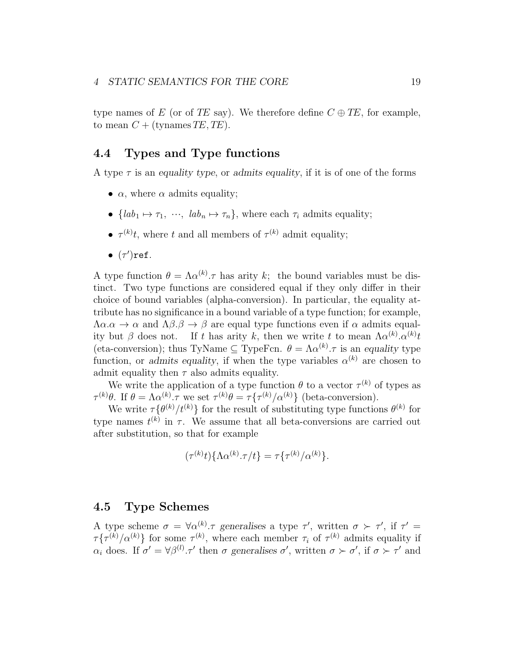type names of E (or of TE say). We therefore define  $C \oplus TE$ , for example, to mean  $C +$  (tynames TE, TE).

# 4.4 Types and Type functions

A type  $\tau$  is an equality type, or admits equality, if it is of one of the forms

- $\alpha$ , where  $\alpha$  admits equality;
- $\{lab_1 \mapsto \tau_1, \ldots, \ lab_n \mapsto \tau_n\}$ , where each  $\tau_i$  admits equality;
- $\tau^{(k)}t$ , where t and all members of  $\tau^{(k)}$  admit equality;
- $\bullet$  ( $\tau'$ )ref.

A type function  $\theta = \Lambda \alpha^{(k)} \tau$  has arity k; the bound variables must be distinct. Two type functions are considered equal if they only differ in their choice of bound variables (alpha-conversion). In particular, the equality attribute has no significance in a bound variable of a type function; for example,  $\Lambda \alpha \alpha \rightarrow \alpha$  and  $\Lambda \beta \beta \rightarrow \beta$  are equal type functions even if  $\alpha$  admits equality but  $\beta$  does not. If t has arity k, then we write t to mean  $\Lambda \alpha^{(k)}.\alpha^{(k)}t$ (eta-conversion); thus TyName  $\subseteq$  TypeFcn.  $\theta = \Lambda \alpha^{(k)} \tau$  is an equality type function, or admits equality, if when the type variables  $\alpha^{(k)}$  are chosen to admit equality then  $\tau$  also admits equality.

We write the application of a type function  $\theta$  to a vector  $\tau^{(k)}$  of types as  $\tau^{(k)}\theta$ . If  $\theta = \Lambda \alpha^{(k)} \tau$  we set  $\tau^{(k)}\theta = \tau {\tau^{(k)}/\alpha^{(k)}}$  (beta-conversion).

We write  $\tau\{\theta^{(k)}/t^{(k)}\}$  for the result of substituting type functions  $\theta^{(k)}$  for type names  $t^{(k)}$  in  $\tau$ . We assume that all beta-conversions are carried out after substitution, so that for example

$$
(\tau^{(k)}t)\{\Lambda \alpha^{(k)}.\tau/t\} = \tau \{\tau^{(k)}/\alpha^{(k)}\}.
$$

# 4.5 Type Schemes

A type scheme  $\sigma = \forall \alpha^{(k)}.\tau$  generalises a type  $\tau'$ , written  $\sigma \succ \tau'$ , if  $\tau' =$  $\tau\{\tau^{(k)}/\alpha^{(k)}\}$  for some  $\tau^{(k)}$ , where each member  $\tau_i$  of  $\tau^{(k)}$  admits equality if  $\alpha_i$  does. If  $\sigma' = \forall \beta^{(l)}.\tau'$  then  $\sigma$  generalises  $\sigma'$ , written  $\sigma \succ \sigma'$ , if  $\sigma \succ \tau'$  and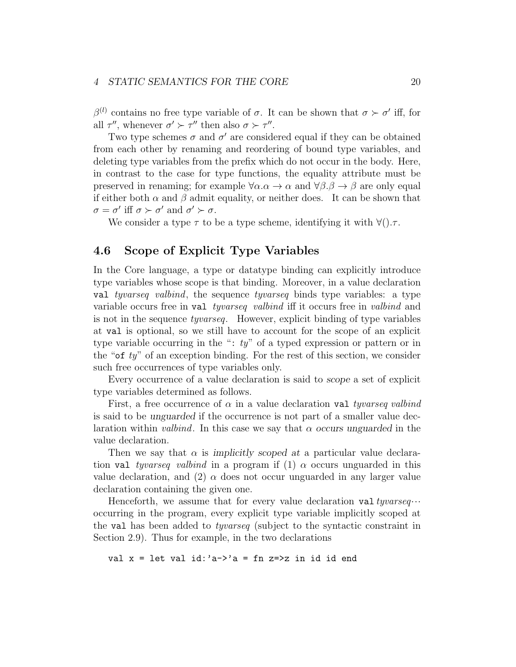#### 4 STATIC SEMANTICS FOR THE CORE 20

β<sup>(*l*)</sup> contains no free type variable of  $\sigma$ . It can be shown that  $\sigma \succ \sigma'$  iff, for all  $\tau''$ , whenever  $\sigma' \succ \tau''$  then also  $\sigma \succ \tau''$ .

Two type schemes  $\sigma$  and  $\sigma'$  are considered equal if they can be obtained from each other by renaming and reordering of bound type variables, and deleting type variables from the prefix which do not occur in the body. Here, in contrast to the case for type functions, the equality attribute must be preserved in renaming; for example  $\forall \alpha \cdot \alpha \rightarrow \alpha$  and  $\forall \beta \cdot \beta \rightarrow \beta$  are only equal if either both  $\alpha$  and  $\beta$  admit equality, or neither does. It can be shown that  $\sigma = \sigma'$  iff  $\sigma \succ \sigma'$  and  $\sigma' \succ \sigma$ .

We consider a type  $\tau$  to be a type scheme, identifying it with  $\forall$ (). $\tau$ .

# 4.6 Scope of Explicit Type Variables

In the Core language, a type or datatype binding can explicitly introduce type variables whose scope is that binding. Moreover, in a value declaration val tyvarseq valbind, the sequence tyvarseq binds type variables: a type variable occurs free in val tyvarseq valbind iff it occurs free in valbind and is not in the sequence tyvarseq. However, explicit binding of type variables at val is optional, so we still have to account for the scope of an explicit type variable occurring in the ":  $ty$ " of a typed expression or pattern or in the "of ty" of an exception binding. For the rest of this section, we consider such free occurrences of type variables only.

Every occurrence of a value declaration is said to scope a set of explicit type variables determined as follows.

First, a free occurrence of  $\alpha$  in a value declaration val tyvarseq valbind is said to be unguarded if the occurrence is not part of a smaller value declaration within valbind. In this case we say that  $\alpha$  occurs unguarded in the value declaration.

Then we say that  $\alpha$  is implicitly scoped at a particular value declaration val tyvarseq valbind in a program if (1)  $\alpha$  occurs unguarded in this value declaration, and (2)  $\alpha$  does not occur unguarded in any larger value declaration containing the given one.

Henceforth, we assume that for every value declaration val tyvarseq... occurring in the program, every explicit type variable implicitly scoped at the val has been added to tyvarseq (subject to the syntactic constraint in Section 2.9). Thus for example, in the two declarations

val  $x =$  let val id: $a - > a =$  fn z= $>z$  in id id end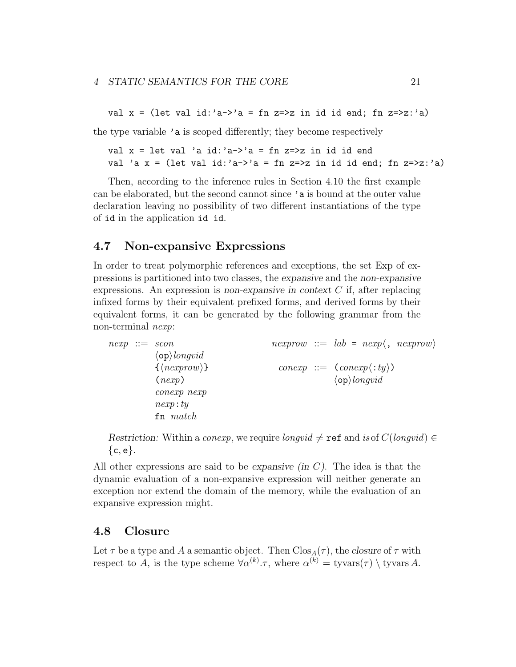```
val x = (let val id:'a->'a = fn z=>z in id id end; fn z=>z:'a)
```
the type variable 'a is scoped differently; they become respectively

```
val x = let val 'a id:'a->'a = fn z=>z in id id end
val 'a x = (\text{let val id}: 'a->'a = \text{fn } z=>z \text{ in id id end}; \text{fn } z=>z: 'a)
```
Then, according to the inference rules in Section 4.10 the first example can be elaborated, but the second cannot since 'a is bound at the outer value declaration leaving no possibility of two different instantiations of the type of id in the application id id.

# 4.7 Non-expansive Expressions

In order to treat polymorphic references and exceptions, the set Exp of expressions is partitioned into two classes, the expansive and the non-expansive expressions. An expression is non-expansive in context  $C$  if, after replacing infixed forms by their equivalent prefixed forms, and derived forms by their equivalent forms, it can be generated by the following grammar from the non-terminal nexp:

 $\textit{nexp} \ ::= \textit{scon} \ \textit{nexprow} \ ::= \textit{lab} = \textit{nexp} \langle, \textit{nexprow} \rangle$  $\langle op \rangle$ *longvid*  $\{\langle\mathit{nexprow}\rangle\}$  conexp ::=  $\langle\mathit{conexp}\langle:\mathit{ty}\rangle)$  $\langle \text{op} \rangle$ longvid conexp nexp nexp:ty fn match

Restriction: Within a conexp, we require longwid  $\neq$  ref and is of  $C(longvid) \in$  ${c, e}.$ 

All other expressions are said to be expansive (in  $C$ ). The idea is that the dynamic evaluation of a non-expansive expression will neither generate an exception nor extend the domain of the memory, while the evaluation of an expansive expression might.

# 4.8 Closure

Let  $\tau$  be a type and A a semantic object. Then  $C \log_{A}(\tau)$ , the closure of  $\tau$  with respect to A, is the type scheme  $\forall \alpha^{(k)}.\tau$ , where  $\alpha^{(k)} =$  tyvars $(\tau) \setminus$  tyvars A.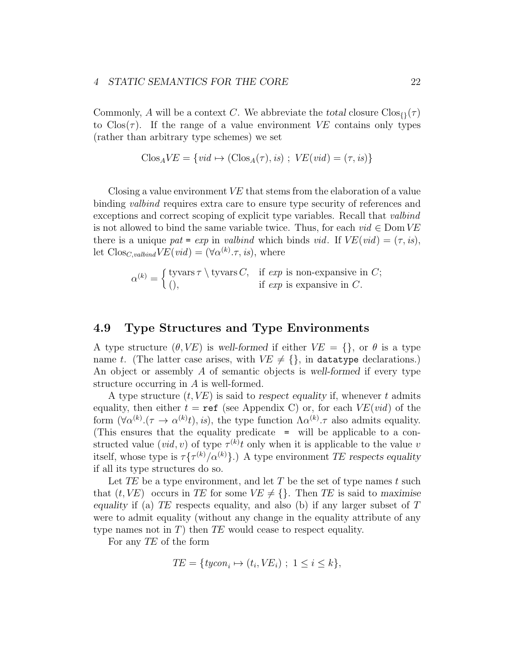#### 4 STATIC SEMANTICS FOR THE CORE 22

Commonly, A will be a context C. We abbreviate the total closure  $\text{Clos}_{\{1\}}(\tau)$ to  $\text{Clos}(\tau)$ . If the range of a value environment VE contains only types (rather than arbitrary type schemes) we set

$$
ClosAVE = \{vid \mapsto (ClosA(\tau), is) ; VE(vid) = (\tau, is)\}
$$

Closing a value environment VE that stems from the elaboration of a value binding valbind requires extra care to ensure type security of references and exceptions and correct scoping of explicit type variables. Recall that *valbind* is not allowed to bind the same variable twice. Thus, for each  $vid \in Dom VE$ there is a unique pat = exp in valbind which binds vid. If  $VE(vid) = (\tau, is)$ , let  $\text{Clos}_{C, \text{valbind}} V E(\text{vid}) = (\forall \alpha^{(k)}.\tau, \text{is}), \text{ where}$ 

$$
\alpha^{(k)} = \begin{cases} \text{tyvars } \tau \setminus \text{tyvars } C, & \text{if } \exp \text{ is non-expansive in } C; \\(), & \text{if } \exp \text{ is expansive in } C. \end{cases}
$$

#### 4.9 Type Structures and Type Environments

A type structure  $(\theta, VE)$  is well-formed if either  $VE = \{\}$ , or  $\theta$  is a type name t. (The latter case arises, with  $VE \neq {\}$ , in datatype declarations.) An object or assembly  $\tilde{A}$  of semantic objects is well-formed if every type structure occurring in A is well-formed.

A type structure  $(t, VE)$  is said to respect equality if, whenever t admits equality, then either  $t = ref$  (see Appendix C) or, for each  $VE(vid)$  of the form  $(\forall \alpha^{(k)} \cdot (\tau \to \alpha^{(k)}t), \text{ is})$ , the type function  $\Lambda \alpha^{(k)} \cdot \tau$  also admits equality. (This ensures that the equality predicate = will be applicable to a constructed value  $(vid, v)$  of type  $\tau^{(k)}$  only when it is applicable to the value v itself, whose type is  $\tau\{\tau^{(k)}/\alpha^{(k)}\}$ .) A type environment TE respects equality if all its type structures do so.

Let TE be a type environment, and let T be the set of type names  $t$  such that  $(t, VE)$  occurs in TE for some  $VE \neq {\}$ . Then TE is said to maximise equality if (a)  $TE$  respects equality, and also (b) if any larger subset of  $T$ were to admit equality (without any change in the equality attribute of any type names not in  $T$ ) then  $TE$  would cease to respect equality.

For any TE of the form

$$
TE = \{tycon_i \mapsto (t_i, VE_i) ; 1 \le i \le k\},\
$$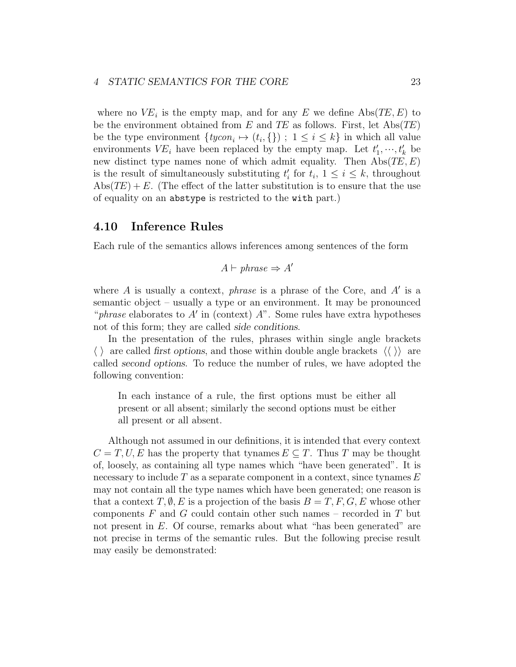where no  $VE_i$  is the empty map, and for any E we define  $Abs(TE, E)$  to be the environment obtained from E and TE as follows. First, let  $\text{Abs}(TE)$ be the type environment  $\{tycon_i \mapsto (t_i, \{\}) ; 1 \leq i \leq k\}$  in which all value environments  $VE_i$  have been replaced by the empty map. Let  $t'_1, \dots, t'_k$  be new distinct type names none of which admit equality. Then  $\text{Abs}(TE, E)$ is the result of simultaneously substituting  $t'_{i}$  for  $t_{i}$ ,  $1 \leq i \leq k$ , throughout  $\text{Abs}(TE) + E$ . (The effect of the latter substitution is to ensure that the use of equality on an abstype is restricted to the with part.)

### 4.10 Inference Rules

Each rule of the semantics allows inferences among sentences of the form

$$
A \vdash phrase \Rightarrow A'
$$

where  $A$  is usually a context, *phrase* is a phrase of the Core, and  $A'$  is a semantic object – usually a type or an environment. It may be pronounced "phrase elaborates to  $A'$  in (context)  $A$ ". Some rules have extra hypotheses not of this form; they are called side conditions.

In the presentation of the rules, phrases within single angle brackets  $\langle \rangle$  are called first options, and those within double angle brackets  $\langle \langle \rangle \rangle$  are called second options. To reduce the number of rules, we have adopted the following convention:

In each instance of a rule, the first options must be either all present or all absent; similarly the second options must be either all present or all absent.

Although not assumed in our definitions, it is intended that every context  $C = T, U, E$  has the property that tynames  $E \subseteq T$ . Thus T may be thought of, loosely, as containing all type names which "have been generated". It is necessary to include T as a separate component in a context, since tynames  $E$ may not contain all the type names which have been generated; one reason is that a context  $T, \emptyset, E$  is a projection of the basis  $B = T, F, G, E$  whose other components  $F$  and  $G$  could contain other such names – recorded in  $T$  but not present in E. Of course, remarks about what "has been generated" are not precise in terms of the semantic rules. But the following precise result may easily be demonstrated: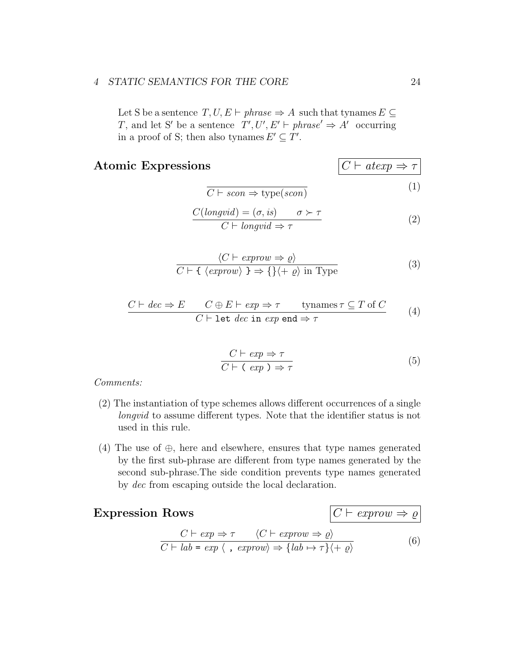Let S be a sentence  $T, U, E \vdash phrase \Rightarrow A$  such that tynames  $E \subseteq$ T, and let S' be a sentence  $T', U', E' \vdash phrase' \Rightarrow A'$  occurring in a proof of S; then also tynames  $E' \subseteq T'$ .

### Atomic Expressions

$$
C \vdash \text{atexp} \Rightarrow \tau
$$

$$
\tag{1}
$$

$$
\overline{C \vdash scon \Rightarrow \text{type}(scon)}\tag{1}
$$

$$
\frac{C(longvid) = (\sigma, is)}{C \vdash longvid \Rightarrow \tau}
$$
\n(2)

$$
\frac{\langle C \vdash \textit{exprov} \Rightarrow \varrho \rangle}{C \vdash \{ \langle \textit{exprov} \rangle \} \Rightarrow \{ \} \langle + \varrho \rangle \text{ in Type}}
$$
\n(3)

$$
\frac{C \vdash dec \Rightarrow E \qquad C \oplus E \vdash exp \Rightarrow \tau \qquad \text{tynamics } \tau \subseteq T \text{ of } C}{C \vdash \text{let } dec \text{ in } exp \text{ end } \Rightarrow \tau} \tag{4}
$$

$$
\frac{C \vdash exp \Rightarrow \tau}{C \vdash (\exp \tau) \Rightarrow \tau}
$$
 (5)

Comments:

- (2) The instantiation of type schemes allows different occurrences of a single longvid to assume different types. Note that the identifier status is not used in this rule.
- (4) The use of  $\oplus$ , here and elsewhere, ensures that type names generated by the first sub-phrase are different from type names generated by the second sub-phrase.The side condition prevents type names generated by dec from escaping outside the local declaration.

# Expression Rows  $\boxed{C \vdash \textit{exprow} \Rightarrow \varrho}$  $C \vdash exp \Rightarrow \tau \quad \langle C \vdash exprow \Rightarrow \varrho \rangle$  $C \vdash lab = exp \langle , exprow \rangle \Rightarrow \{lab \mapsto \tau\} \langle + \varrho \rangle$ (6)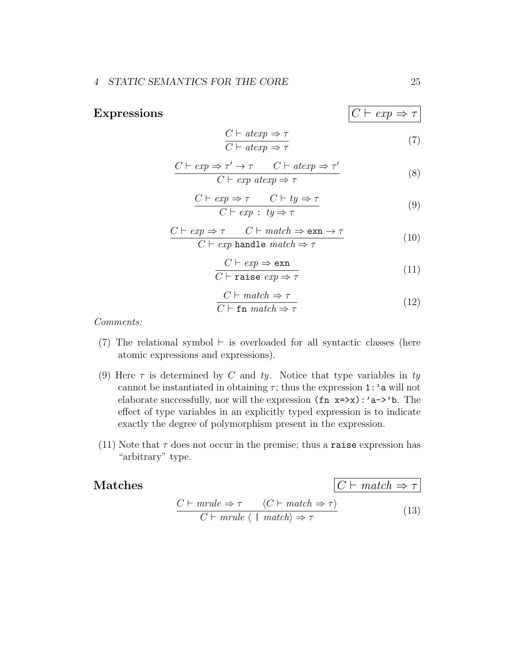**Expressions** 
$$
C \vdash exp \Rightarrow \tau
$$

$$
\frac{C \vdash \text{atexp} \Rightarrow \tau}{C \vdash \text{atexp} \Rightarrow \tau} \tag{7}
$$

$$
\frac{C \vdash exp \Rightarrow \tau' \to \tau \qquad C \vdash atexp \Rightarrow \tau'}{C \vdash exp \ atexp \Rightarrow \tau}
$$
 (8)

$$
\frac{C \vdash exp \Rightarrow \tau \qquad C \vdash ty \Rightarrow \tau}{C \vdash exp : ty \Rightarrow \tau} \tag{9}
$$

$$
\frac{C \vdash exp \Rightarrow \tau \qquad C \vdash match \Rightarrow \text{exn} \rightarrow \tau}{C \vdash exp \text{ handle } match \Rightarrow \tau} \tag{10}
$$

$$
\frac{C \vdash exp \Rightarrow \text{exn}}{C \vdash \text{raise } exp \Rightarrow \tau} \tag{11}
$$

$$
\frac{C \vdash match \Rightarrow \tau}{C \vdash \text{fn } match \Rightarrow \tau} \tag{12}
$$

Comments:

- (7) The relational symbol  $\vdash$  is overloaded for all syntactic classes (here atomic expressions and expressions).
- (9) Here  $\tau$  is determined by C and ty. Notice that type variables in ty cannot be instantiated in obtaining  $\tau$ ; thus the expression 1: 'a will not elaborate successfully, nor will the expression  $(\text{fn } x=\lambda x):' a \rightarrow' b$ . The effect of type variables in an explicitly typed expression is to indicate exactly the degree of polymorphism present in the expression.
- (11) Note that  $\tau$  does not occur in the premise; thus a raise expression has "arbitrary" type.

**Matches**  
\n
$$
\frac{C \vdash mrule \Rightarrow \tau \quad \langle C \vdash match \Rightarrow \tau \rangle}{C \vdash mrule \langle 1 match \rangle \Rightarrow \tau}
$$
\n
$$
(13)
$$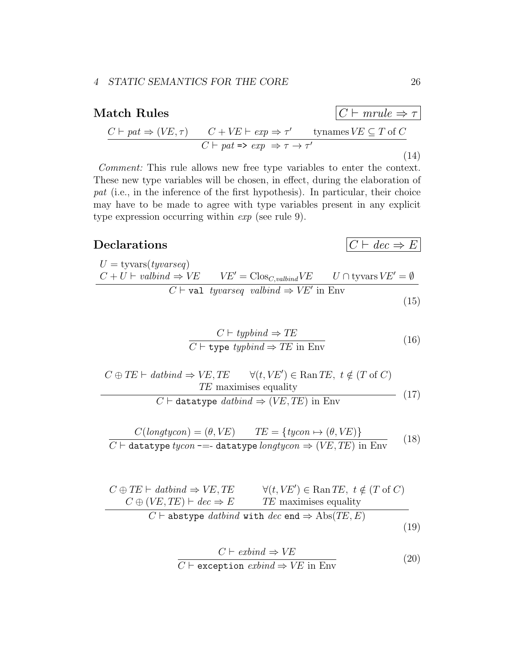| Match Rules                                                       | $C \vdash mrule \Rightarrow \tau$     |                                 |
|-------------------------------------------------------------------|---------------------------------------|---------------------------------|
| $C \vdash pat \Rightarrow (VE, \tau)$                             | $C + VE \vdash exp \Rightarrow \tau'$ | tynames $VE \subseteq T$ of $C$ |
| $C \vdash pat \Rightarrow exp \Rightarrow \tau \rightarrow \tau'$ | (14)                                  |                                 |

Comment: This rule allows new free type variables to enter the context. These new type variables will be chosen, in effect, during the elaboration of pat (i.e., in the inference of the first hypothesis). In particular, their choice may have to be made to agree with type variables present in any explicit type expression occurring within  $exp$  (see rule 9).

# Declarations  $\boxed{C + dec \Rightarrow E}$

$$
U = \text{tyvars}(tyvarseq)
$$
  
\n
$$
C + U \vdash valbind \Rightarrow VE \qquad VE' = \text{Clos}_{C, valbind} VE \qquad U \cap \text{tyvars } VE' = \emptyset
$$
  
\n
$$
C \vdash \text{val } tyvarseq \text{ }valbind \Rightarrow VE' \text{ in Env}
$$
\n(15)

$$
C \vdash typbind \Rightarrow TE
$$
  

$$
C \vdash \text{type } typbind \Rightarrow TE \text{ in Env}
$$
 (16)

$$
C \oplus TE \vdash \text{dational} \Rightarrow VE, TE \qquad \forall (t, VE') \in \text{Ran} TE, \ t \notin (T \text{ of } C)
$$
\n
$$
TE \text{ maximises equality}
$$
\n
$$
C \vdash \text{datatype } \text{dational} \Rightarrow (VE, TE) \text{ in Env}
$$
\n
$$
(17)
$$

$$
C(longtycon) = (\theta, VE) \qquad TE = \{tycon \rightarrow (\theta, VE)\}
$$
  

$$
C \vdash \text{datatype } tycon == \text{datatype } longtycon \Rightarrow (VE, TE) \text{ in Env}
$$
 (18)

$$
C \oplus TE \vdash \text{dational} \Rightarrow VE, TE \qquad \forall (t, VE') \in \text{Ran} TE, t \notin (T \text{ of } C)
$$
  

$$
C \oplus (VE, TE) \vdash \text{dec} \Rightarrow E \qquad TE \text{ maximises equality}
$$
  

$$
C \vdash \text{abstype } \text{dational with } \text{dec } \text{end} \Rightarrow \text{Abs}(TE, E)
$$
  
(19)

$$
\frac{C \vdash \text{exbind} \Rightarrow VE}{C \vdash \text{exception } \text{exbind} \Rightarrow VE \text{ in} \text{Env}}
$$
\n(20)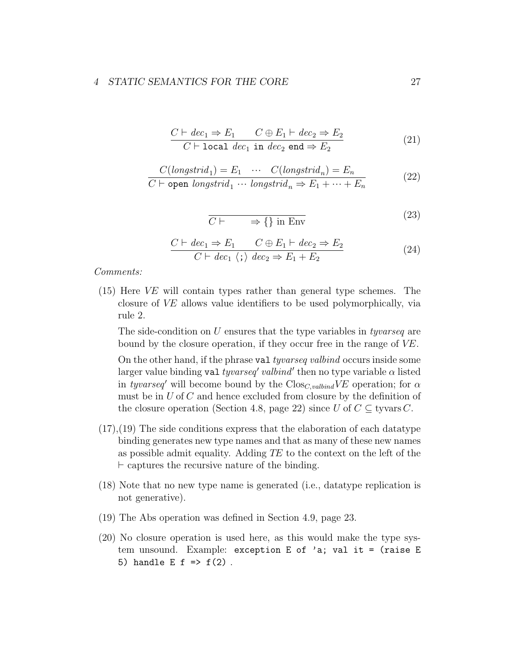$$
\frac{C \vdash dec_1 \Rightarrow E_1 \qquad C \oplus E_1 \vdash dec_2 \Rightarrow E_2}{C \vdash \text{local } dec_1 \text{ in } dec_2 \text{ end} \Rightarrow E_2}
$$
\n(21)

$$
\frac{C(longstrid_1) = E_1 \cdots C(longstrid_n) = E_n}{C \vdash open\ longstrid_1 \cdots \ longstrid_n \Rightarrow E_1 + \cdots + E_n}
$$
\n(22)

$$
\overline{C \vdash \qquad \Rightarrow \{\} \text{ in Env} \tag{23}
$$

$$
\frac{C \vdash dec_1 \Rightarrow E_1 \qquad C \oplus E_1 \vdash dec_2 \Rightarrow E_2}{C \vdash dec_1 \langle ; \rangle dec_2 \Rightarrow E_1 + E_2}
$$
\n
$$
(24)
$$

Comments:

(15) Here VE will contain types rather than general type schemes. The closure of VE allows value identifiers to be used polymorphically, via rule 2.

The side-condition on  $U$  ensures that the type variables in tyvarseq are bound by the closure operation, if they occur free in the range of VE.

On the other hand, if the phrase val tyvarseq valbind occurs inside some larger value binding val *tyvarseq' valbind'* then no type variable  $\alpha$  listed in tyvarseq' will become bound by the Clos<sub>C,valbind</sub>VE operation; for  $\alpha$ must be in  $U$  of  $C$  and hence excluded from closure by the definition of the closure operation (Section 4.8, page 22) since U of  $C \subseteq$  tyvars C.

- $(17),(19)$  The side conditions express that the elaboration of each datatype binding generates new type names and that as many of these new names as possible admit equality. Adding  $TE$  to the context on the left of the  $\vdash$  captures the recursive nature of the binding.
- (18) Note that no new type name is generated (i.e., datatype replication is not generative).
- (19) The Abs operation was defined in Section 4.9, page 23.
- (20) No closure operation is used here, as this would make the type system unsound. Example: exception E of 'a; val it = (raise E 5) handle E  $f \Rightarrow f(2)$ .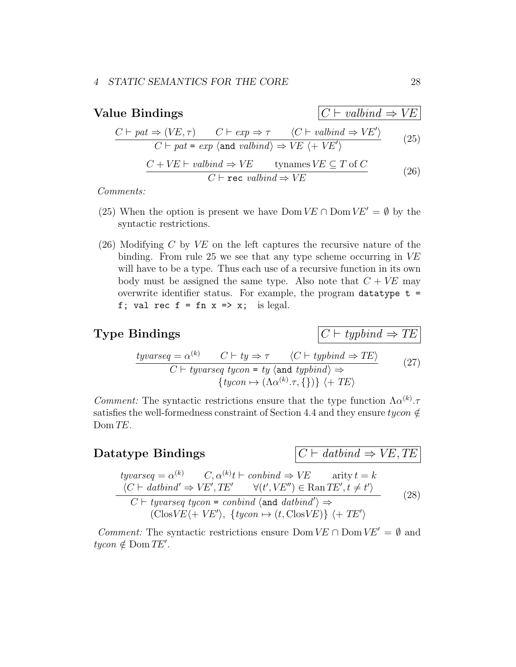Value Bindings C ` valbind ⇒ VE C ` pat ⇒ (VE, τ ) C ` exp ⇒ τ hC ` valbind ⇒ VE<sup>0</sup> i C ` pat = exp hand valbindi ⇒ VE h+ VE<sup>0</sup> i (25) C + VE ` valbind ⇒ VE tynames VE ⊆ T of C C ` rec valbind ⇒ VE (26)

Comments:

- (25) When the option is present we have Dom  $VE \cap \text{Dom }VE' = \emptyset$  by the syntactic restrictions.
- $(26)$  Modifying C by VE on the left captures the recursive nature of the binding. From rule 25 we see that any type scheme occurring in VE will have to be a type. Thus each use of a recursive function in its own body must be assigned the same type. Also note that  $C + VE$  may overwrite identifier status. For example, the program datatype  $t =$ f; val rec  $f = fn \times => x$ ; is legal.

# Type Bindings

$$
C \vdash \mathit{typbind} \Rightarrow \mathit{TE}
$$

$$
\frac{tyvarseq = \alpha^{(k)} \qquad C \vdash ty \Rightarrow \tau \qquad \langle C \vdash typhind \Rightarrow TE \rangle}{C \vdash tyvarseq tycon = ty \langle \text{and } typbind \rangle \Rightarrow}
$$
\n
$$
\{tycon \rightarrow \{\Lambda \alpha^{(k)}.\tau, \{\}\} \} \langle + TE \rangle
$$
\n
$$
(27)
$$

Comment: The syntactic restrictions ensure that the type function  $\Lambda \alpha^{(k)}$ . satisfies the well-formedness constraint of Section 4.4 and they ensure  $tycon \notin$ Dom TE.

**Database** 
$$
C \vdash \text{dational } \Rightarrow VE, TE
$$
  
\n
$$
\text{tyvarseq} = \alpha^{(k)} \qquad C, \alpha^{(k)}t \vdash \text{conbind} \Rightarrow VE \qquad \text{arity } t = k
$$
  
\n
$$
\langle C \vdash \text{dational'} \Rightarrow VE', TE' \qquad \forall (t', VE'') \in \text{Ran } TE', t \neq t' \rangle
$$
  
\n
$$
C \vdash \text{tyvarseq tycon = \text{conbind } \langle \text{and } \text{dational'} \rangle \Rightarrow
$$
  
\n
$$
\langle \text{Clos}VE \langle + VE' \rangle, \{tycon \mapsto (t, \text{Clos}VE) \} \langle + TE' \rangle
$$
 (28)

*Comment:* The syntactic restrictions ensure Dom  $VE \cap$  Dom  $VE' = \emptyset$  and  $tycon \notin Dom TE'.$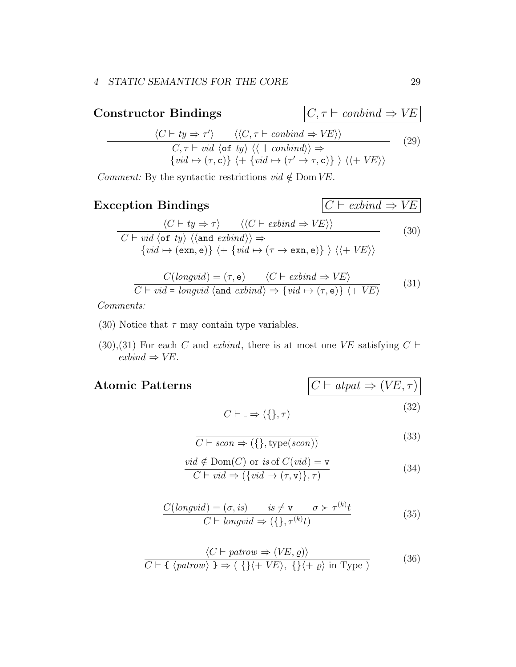**Constructor Bindings**

\n
$$
\frac{\langle C \vdash ty \Rightarrow \tau' \rangle \quad \langle \langle C, \tau \vdash \text{conbind} \Rightarrow VE \rangle}{\langle C, \tau \vdash \text{vid} \Rightarrow \langle C, \tau \vdash \text{colbind} \rangle \rangle} \qquad (29)
$$
\n
$$
\{ \text{vid} \mapsto (\tau, \mathsf{c}) \} \langle \langle \vdash \text{fvid} \mapsto (\tau' \to \tau, \mathsf{c}) \rangle \rangle \langle \langle \vdash VE \rangle \rangle
$$

*Comment:* By the syntactic restrictions  $vid \notin \text{Dom } VE$ .

Exception Bindings  $\boxed{C \vdash \textit{exbind} \Rightarrow VE}$  $\langle C \vdash ty \Rightarrow \tau \rangle \qquad \langle \langle C \vdash \text{exbind} \Rightarrow VE \rangle \rangle$  $C \vdash vid \; \langle \texttt{of} \; ty \rangle \; \langle \langle \texttt{and} \; \textit{exbind} \rangle \rangle \Rightarrow$  ${vid \mapsto (exn, e)} \leftrightarrow {vid \mapsto (\tau \to exn, e)} \rangle \langle \langle \text{+} | \textit{VE} \rangle \rangle$ (30)  $C(\text{length}) = (\tau, \epsilon)$   $\{C \vdash \text{orbind} \to \text{VF}\}$ 

$$
C(\text{longval}) = (\tau, e) \quad \langle C \vdash \text{exbind} \Rightarrow VE \rangle
$$
  

$$
C \vdash \text{vid} = \text{longvid} \langle \text{and } \text{exbind} \rangle \Rightarrow \{ \text{vid} \mapsto (\tau, e) \} \langle + VE \rangle
$$
 (31)

Comments:

- (30) Notice that  $\tau$  may contain type variables.
- $(30),(31)$  For each C and exbind, there is at most one VE satisfying C  $\vdash$  $exbind \Rightarrow VE.$

**Atomic Patterns**  

$$
\overline{C \vdash_{\bot} \Rightarrow (\{\}, \tau)}
$$

$$
(32)
$$

$$
\overline{C \vdash scon \Rightarrow (\{\}, \text{type}(scon))}
$$
\n(33)

$$
\frac{vid \notin \text{Dom}(C) \text{ or } is \text{ of } C(vid) = \mathbf{v}}{C \vdash vid \Rightarrow (\{vid \mapsto (\tau, \mathbf{v})\}, \tau)}
$$
(34)

$$
\frac{C(longvid) = (\sigma, is)}{C + longvid \Rightarrow (\{\}, \tau^{(k)}t)} \tag{35}
$$

$$
\frac{\langle C \vdash patrow \Rightarrow (VE, \varrho) \rangle}{C \vdash \{ \langle patrow \rangle \} \Rightarrow (\{\} \langle +VE \rangle, \{\} \langle +\varrho \rangle \text{ in Type })}
$$
(36)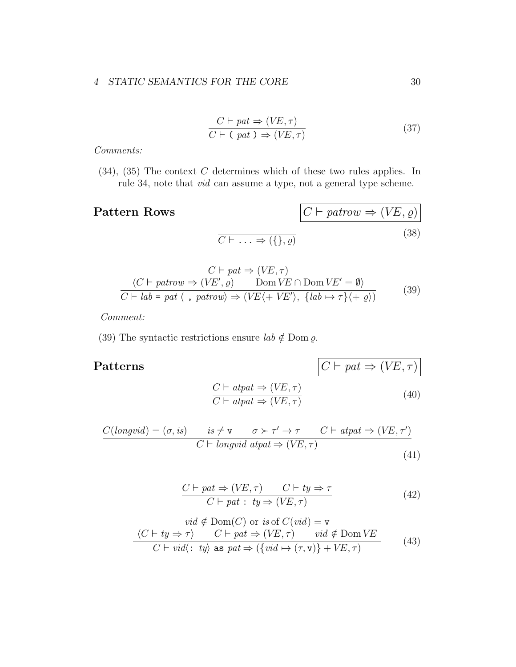$$
\frac{C \vdash pat \Rightarrow (VE, \tau)}{C \vdash (\ pat) \Rightarrow (VE, \tau)}
$$
\n(37)

Comments:

(34), (35) The context C determines which of these two rules applies. In rule 34, note that vid can assume a type, not a general type scheme.

**Pattern Rows**  

$$
\overline{C \vdash patrow \Rightarrow (VE, \varrho)}
$$
  

$$
\overline{C \vdash ... \Rightarrow (\{\}, \varrho)}
$$
  
(38)

$$
C \vdash pat \Rightarrow (VE, \tau)
$$
  
\n
$$
\langle C \vdash patrow \Rightarrow (VE', \varrho) \qquad \text{Dom }VE \cap \text{Dom }VE' = \emptyset \rangle
$$
  
\n
$$
\overline{C \vdash lab = pat \langle , patrow \rangle \Rightarrow (VE \langle + VE' \rangle, \{ lab \mapsto \tau \} \langle + \varrho \rangle)}
$$
\n(39)

Comment:

(39) The syntactic restrictions ensure  $lab \notin \text{Dom } \varrho$ .

# Patterns  $\boxed{C \vdash pat \Rightarrow (VE, \tau)}$

$$
\frac{C \vdash atpat \Rightarrow (VE, \tau)}{C \vdash atpat \Rightarrow (VE, \tau)}
$$
\n
$$
(40)
$$

$$
\frac{C(longvid) = (\sigma, is)}{C \vdash longvid \ at pat \Rightarrow (VE, \tau)}
$$
\n
$$
C \vdash longvid \ at pat \Rightarrow (VE, \tau)
$$
\n(41)

$$
\frac{C \vdash pat \Rightarrow (VE, \tau) \qquad C \vdash ty \Rightarrow \tau}{C \vdash pat : ty \Rightarrow (VE, \tau)}
$$
\n
$$
(42)
$$

$$
\text{vid} \notin \text{Dom}(C) \text{ or } \text{is of } C(\text{vid}) = \text{v}
$$
\n
$$
\frac{\langle C \vdash ty \Rightarrow \tau \rangle \quad C \vdash pat \Rightarrow (VE, \tau) \quad \text{vid} \notin \text{Dom }VE}{C \vdash \text{vid} \langle : \text{ty} \rangle \text{ as } \text{pat} \Rightarrow (\{ \text{vid} \mapsto (\tau, \text{v}) \} + VE, \tau)} \tag{43}
$$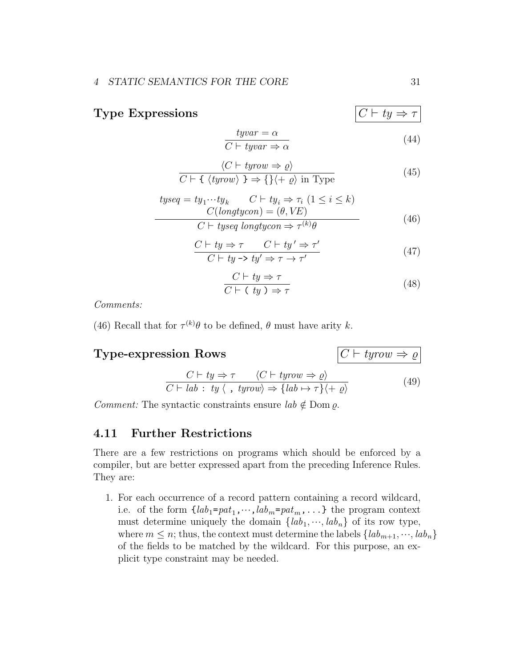Type Expressions

$$
C \vdash ty \Rightarrow \tau
$$

$$
\frac{tyvar = \alpha}{C \vdash tyvar \Rightarrow \alpha} \tag{44}
$$

$$
\frac{\langle C \vdash \textit{tyrow} \Rightarrow \varrho \rangle}{C \vdash \{ \langle \textit{tyrow} \rangle \} \Rightarrow \{ \} \langle + \varrho \rangle \text{ in Type}} \tag{45}
$$

$$
tyseq = ty_1 \cdots ty_k \qquad C \vdash ty_i \Rightarrow \tau_i \ (1 \le i \le k)
$$
  
\n
$$
C(longtycon) = (\theta, VE)
$$
  
\n
$$
C \vdash tyseq longtycon \Rightarrow \tau^{(k)}\theta
$$
\n(46)

$$
\frac{C \vdash ty \Rightarrow \tau \qquad C \vdash ty' \Rightarrow \tau'}{C \vdash ty \to ty' \Rightarrow \tau \to \tau'}
$$
\n(47)

$$
\frac{C \vdash ty \Rightarrow \tau}{C \vdash (\ty) \Rightarrow \tau} \tag{48}
$$

Comments:

(46) Recall that for  $\tau^{(k)}\theta$  to be defined,  $\theta$  must have arity k.

# Type-expression Rows

$$
C \vdash \textit{tyrow} \Rightarrow \varrho
$$

$$
\frac{C \vdash ty \Rightarrow \tau \quad \langle C \vdash tyrow \Rightarrow \varrho \rangle}{C \vdash lab : ty \langle , tyrow \rangle \Rightarrow \{ lab \mapsto \tau \} \langle + \varrho \rangle}
$$
\n(49)

Comment: The syntactic constraints ensure  $lab \notin \text{Dom } \varrho$ .

### 4.11 Further Restrictions

There are a few restrictions on programs which should be enforced by a compiler, but are better expressed apart from the preceding Inference Rules. They are:

1. For each occurrence of a record pattern containing a record wildcard, i.e. of the form  $\{lab_1=pat_1,\cdots,lab_m=pat_m,\dots\}$  the program context must determine uniquely the domain  $\{lab_1, \dots, lab_n\}$  of its row type, where  $m \leq n$ ; thus, the context must determine the labels  $\{lab_{m+1}, \dots, lab_n\}$ of the fields to be matched by the wildcard. For this purpose, an explicit type constraint may be needed.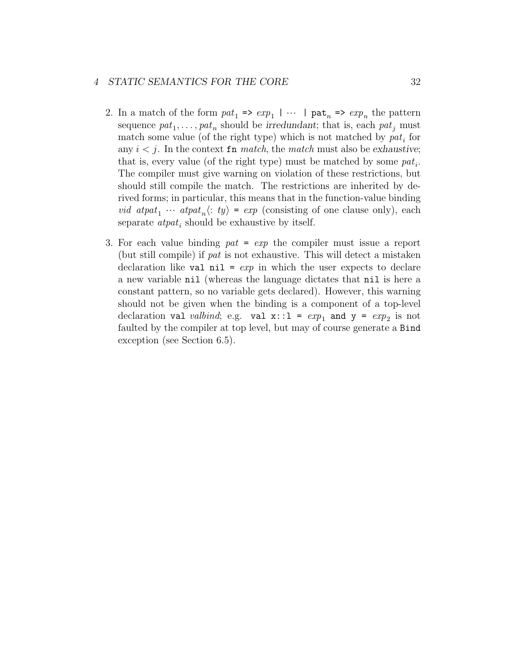- 2. In a match of the form  $pat_1 \Rightarrow exp_1 + \cdots + pat_n \Rightarrow exp_n$  the pattern sequence  $pat_1, \ldots, pat_n$  should be irredundant; that is, each  $pat_j$  must match some value (of the right type) which is not matched by  $pat_i$  for any  $i < j$ . In the context fn *match*, the *match* must also be exhaustive; that is, every value (of the right type) must be matched by some  $pat_i$ . The compiler must give warning on violation of these restrictions, but should still compile the match. The restrictions are inherited by derived forms; in particular, this means that in the function-value binding vid atpat<sub>1</sub>  $\cdots$  atpat<sub>n</sub> $\langle :ty\rangle = exp$  (consisting of one clause only), each separate  $atpat_i$  should be exhaustive by itself.
- 3. For each value binding  $pat = exp$  the compiler must issue a report (but still compile) if pat is not exhaustive. This will detect a mistaken declaration like val nil =  $exp$  in which the user expects to declare a new variable nil (whereas the language dictates that nil is here a constant pattern, so no variable gets declared). However, this warning should not be given when the binding is a component of a top-level declaration val valbind; e.g. val  $x$ ::1 =  $exp_1$  and  $y$  =  $exp_2$  is not faulted by the compiler at top level, but may of course generate a Bind exception (see Section 6.5).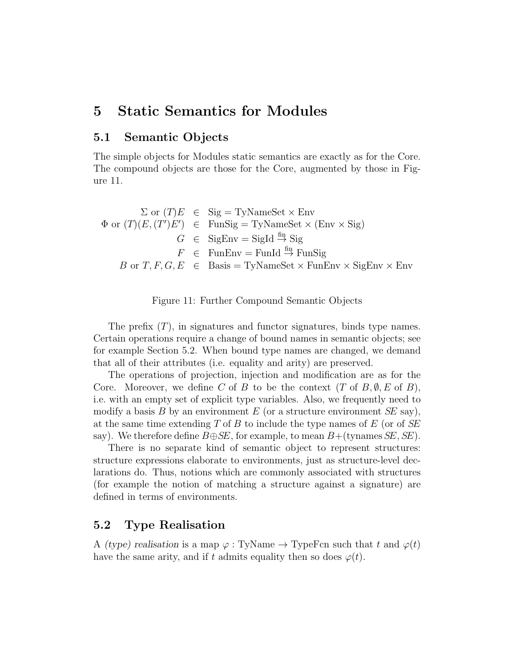# 5 Static Semantics for Modules

### 5.1 Semantic Objects

The simple objects for Modules static semantics are exactly as for the Core. The compound objects are those for the Core, augmented by those in Figure 11.

 $\Sigma$  or  $(T)E \in \text{Sig} = \text{TyNameSet} \times \text{Env}$  $\Phi$  or  $(T)(E, (T')E') \in \text{FunSig} = \text{TyNameSet} \times (\text{Env} \times \text{Sig})$  $G \in \text{SigEnv} = \text{SigId} \stackrel{\text{fin}}{\rightarrow} \text{Sig}$  $F \in \text{FunEnv} = \text{FunId} \overset{\text{fin}}{\rightarrow} \text{FunSig}$ B or  $T, F, G, E \in$  Basis = TyNameSet  $\times$  FunEnv  $\times$  SigEnv  $\times$  Env

Figure 11: Further Compound Semantic Objects

The prefix  $(T)$ , in signatures and functor signatures, binds type names. Certain operations require a change of bound names in semantic objects; see for example Section 5.2. When bound type names are changed, we demand that all of their attributes (i.e. equality and arity) are preserved.

The operations of projection, injection and modification are as for the Core. Moreover, we define C of B to be the context  $(T \text{ of } B, \emptyset, E \text{ of } B)$ , i.e. with an empty set of explicit type variables. Also, we frequently need to modify a basis B by an environment E (or a structure environment  $SE$  say), at the same time extending T of B to include the type names of E (or of  $SE$ ) say). We therefore define  $B\oplus SE$ , for example, to mean  $B+(tynames SE, SE)$ .

There is no separate kind of semantic object to represent structures: structure expressions elaborate to environments, just as structure-level declarations do. Thus, notions which are commonly associated with structures (for example the notion of matching a structure against a signature) are defined in terms of environments.

### 5.2 Type Realisation

A (type) realisation is a map  $\varphi$ : TyName  $\rightarrow$  TypeFcn such that t and  $\varphi(t)$ have the same arity, and if t admits equality then so does  $\varphi(t)$ .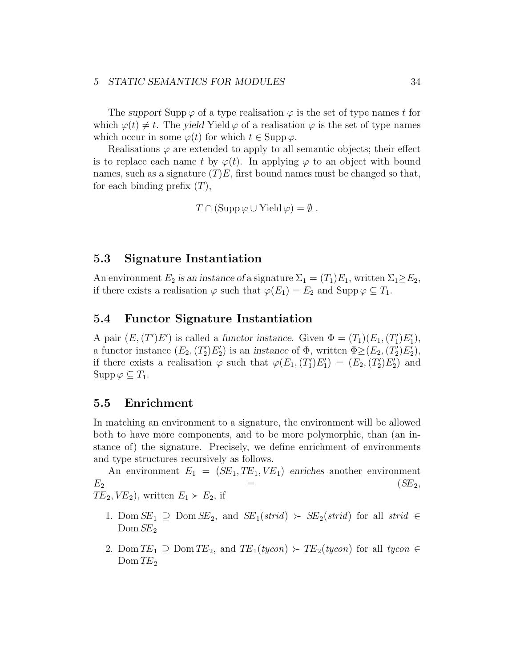The support Supp  $\varphi$  of a type realisation  $\varphi$  is the set of type names t for which  $\varphi(t) \neq t$ . The yield Yield  $\varphi$  of a realisation  $\varphi$  is the set of type names which occur in some  $\varphi(t)$  for which  $t \in \text{Supp }\varphi$ .

Realisations  $\varphi$  are extended to apply to all semantic objects; their effect is to replace each name t by  $\varphi(t)$ . In applying  $\varphi$  to an object with bound names, such as a signature  $(T)E$ , first bound names must be changed so that, for each binding prefix  $(T)$ ,

$$
T \cap (\operatorname{Supp} \varphi \cup \operatorname{Yield} \varphi) = \emptyset.
$$

## 5.3 Signature Instantiation

An environment  $E_2$  is an instance of a signature  $\Sigma_1 = (T_1)E_1$ , written  $\Sigma_1 \ge E_2$ , if there exists a realisation  $\varphi$  such that  $\varphi(E_1) = E_2$  and  $\text{Supp}\,\varphi \subseteq T_1$ .

### 5.4 Functor Signature Instantiation

A pair  $(E, (T')E')$  is called a functor instance. Given  $\Phi = (T_1)(E_1, (T'_1)E'_1)$ , a functor instance  $(E_2, (T_2')E_2')$  is an instance of  $\Phi$ , written  $\Phi \geq (E_2, (T_2')E_2'),$ if there exists a realisation  $\varphi$  such that  $\varphi(E_1, (T_1')E_1') = (E_2, (T_2')E_2')$  and  $\text{Supp}\,\varphi\subseteq T_1.$ 

### 5.5 Enrichment

In matching an environment to a signature, the environment will be allowed both to have more components, and to be more polymorphic, than (an instance of) the signature. Precisely, we define enrichment of environments and type structures recursively as follows.

An environment  $E_1 = (SE_1, TE_1, VE_1)$  enriches another environment  $E_2 = (SE_2,$  $TE_2, VE_2$ , written  $E_1 \succ E_2$ , if

- 1. Dom  $SE_1 \supseteq$  Dom  $SE_2$ , and  $SE_1(\text{strid}) \succ SE_2(\text{strid})$  for all strid  $\in$ Dom  $SE<sub>2</sub>$
- 2. Dom  $TE_1 \supseteq$  Dom  $TE_2$ , and  $TE_1(tycon) \supseteq TE_2(tycon)$  for all tycon  $\in$  $Dom TE<sub>2</sub>$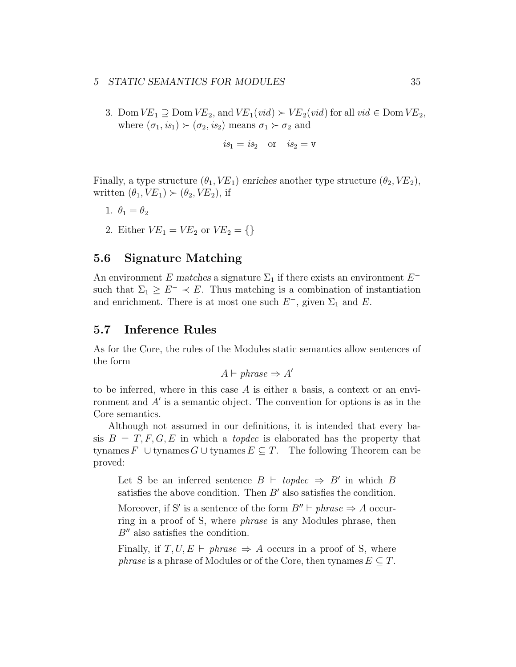3. Dom  $VE_1 \supseteq$  Dom  $VE_2$ , and  $VE_1(vid) \succ VE_2(vid)$  for all  $vid \in$  Dom  $VE_2$ , where  $(\sigma_1, is_1) \succ (\sigma_2, is_2)$  means  $\sigma_1 \succ \sigma_2$  and

$$
is_1 = is_2 \quad \text{or} \quad is_2 = \mathbf{v}
$$

Finally, a type structure  $(\theta_1, VE_1)$  enriches another type structure  $(\theta_2, VE_2)$ , written  $(\theta_1, VE_1) \succ (\theta_2, VE_2)$ , if

- 1.  $\theta_1 = \theta_2$
- 2. Either  $VE_1 = VE_2$  or  $VE_2 = \{\}$

## 5.6 Signature Matching

An environment E matches a signature  $\Sigma_1$  if there exists an environment  $E^$ such that  $\Sigma_1 \geq E^- \prec E$ . Thus matching is a combination of instantiation and enrichment. There is at most one such  $E^-$ , given  $\Sigma_1$  and  $E$ .

### 5.7 Inference Rules

As for the Core, the rules of the Modules static semantics allow sentences of the form

$$
A \vdash phrase \Rightarrow A'
$$

to be inferred, where in this case  $A$  is either a basis, a context or an environment and  $A'$  is a semantic object. The convention for options is as in the Core semantics.

Although not assumed in our definitions, it is intended that every basis  $B = T, F, G, E$  in which a *topdec* is elaborated has the property that tynames  $F \cup \text{tynamics } G \cup \text{tynamics } E \subseteq T$ . The following Theorem can be proved:

Let S be an inferred sentence  $B \vdash \text{topdec} \Rightarrow B'$  in which B satisfies the above condition. Then  $B'$  also satisfies the condition.

Moreover, if S' is a sentence of the form  $B'' \vdash phrase \Rightarrow A$  occurring in a proof of S, where phrase is any Modules phrase, then  $B''$  also satisfies the condition.

Finally, if  $T, U, E \vdash phrase \Rightarrow A$  occurs in a proof of S, where *phrase* is a phrase of Modules or of the Core, then tynames  $E \subseteq T$ .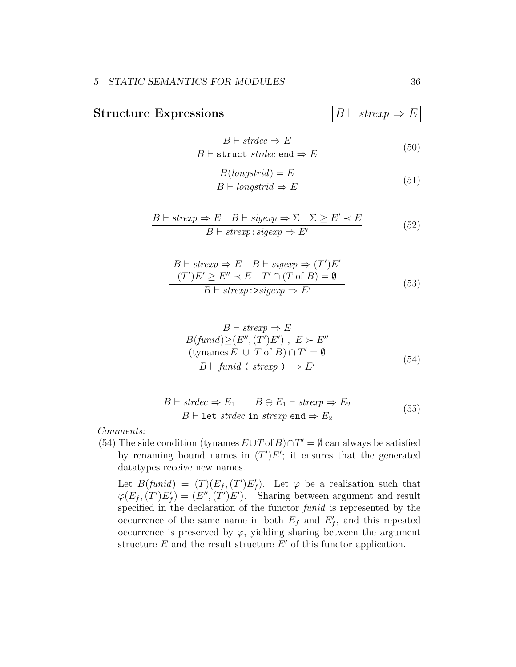Structure Expressions  $B \vdash \text{strexp} \Rightarrow E$ 

$$
B \vdash \text{strdec} \Rightarrow E
$$
  

$$
B \vdash \text{struct } \text{strdec end} \Rightarrow E
$$
 (50)

$$
\frac{B(longstrid) = E}{B \vdash longstrid \Rightarrow E} \tag{51}
$$

$$
\frac{B \vdash \text{strexp} \Rightarrow E \quad B \vdash \text{sigexp} \Rightarrow \Sigma \quad \Sigma \ge E' \prec E}{B \vdash \text{strexp} : \text{sigexp} \Rightarrow E'} \tag{52}
$$

$$
B \vdash \text{strexp} \Rightarrow E \quad B \vdash \text{sigexp} \Rightarrow (T')E'
$$
  

$$
\frac{(T')E' \ge E'' \prec E \quad T' \cap (T \text{ of } B) = \emptyset}{B \vdash \text{strexp} : \text{sigexp} \Rightarrow E'}
$$
  
(53)

$$
B \vdash \text{strexp} \Rightarrow E
$$
  
\n
$$
B(\text{fund}) \ge (E'', (T')E') , E \succ E''
$$
  
\n
$$
\frac{\text{(tynamics } E \cup T \text{ of } B) \cap T' = \emptyset}{B \vdash \text{fund } (\text{strexp }) \Rightarrow E'}
$$
\n(54)

$$
\frac{B \vdash stroke \Rightarrow E_1 \qquad B \oplus E_1 \vdash strexp \Rightarrow E_2}{B \vdash \text{let } strdec \text{ in } strexp \text{ end } \Rightarrow E_2}
$$
\n
$$
(55)
$$

Comments:

(54) The side condition (tynames  $E \cup T$  of  $B$ )  $\cap T' = \emptyset$  can always be satisfied by renaming bound names in  $(T')E'$ ; it ensures that the generated datatypes receive new names.

Let  $B(funid) = (T)(E_f, (T')E'_f)$ . Let  $\varphi$  be a realisation such that  $\varphi(E_f, (T')E'_f) = (E'', (T')E').$  Sharing between argument and result specified in the declaration of the functor funid is represented by the occurrence of the same name in both  $E_f$  and  $E'_f$ , and this repeated occurrence is preserved by  $\varphi$ , yielding sharing between the argument structure  $E$  and the result structure  $E'$  of this functor application.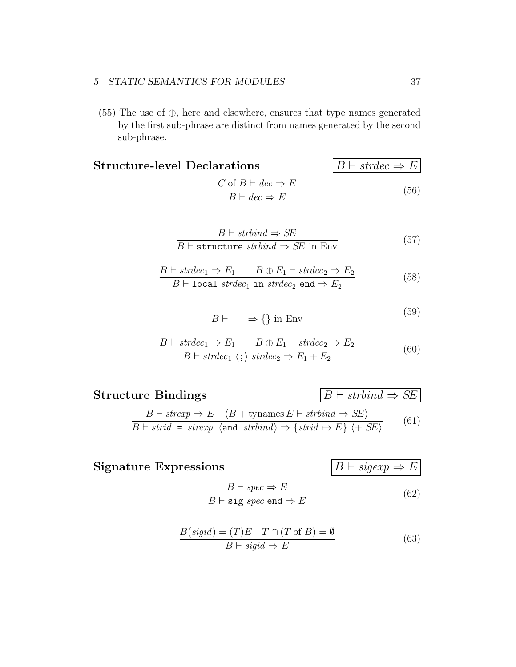(55) The use of ⊕, here and elsewhere, ensures that type names generated by the first sub-phrase are distinct from names generated by the second sub-phrase.

**Structure-level Declarations**  
\n
$$
\underline{C \text{ of } B \vdash dec \Rightarrow E}
$$
\n
$$
\underline{D \vdash stride \Rightarrow E}
$$
\n
$$
\underline{B \vdash strdec \Rightarrow E}
$$
\n(56)

$$
B \vdash \textit{strbind} \Rightarrow SE
$$
  

$$
B \vdash \textit{structure} \textit{strbind} \Rightarrow SE \text{ in Env}
$$
 (57)

$$
\frac{B \vdash stroke_1 \Rightarrow E_1 \qquad B \oplus E_1 \vdash stroke_2 \Rightarrow E_2}{B \vdash \text{local } stride_1 \text{ in } stride_2 \text{ end} \Rightarrow E_2}
$$
\n
$$
(58)
$$

$$
\overline{B \vdash \quad \Rightarrow \{\} \text{ in Env}} \tag{59}
$$

$$
\frac{B \vdash \text{strdec}_1 \Rightarrow E_1 \qquad B \oplus E_1 \vdash \text{strdec}_2 \Rightarrow E_2}{B \vdash \text{strdec}_1 \langle ; \rangle \text{strdec}_2 \Rightarrow E_1 + E_2}
$$
(60)

$$
\begin{array}{ll}\n\textbf{Structure Bindings} & \boxed{B \vdash \textit{strbind} \Rightarrow SE} \\
& B \vdash \textit{strexp} \Rightarrow E & \langle B + \textit{tynames} \, E \vdash \textit{strbind} \Rightarrow SE \rangle \\
& \overline{B \vdash \textit{strid} = \textit{strexp} \, \, \langle \text{and} \, \textit{strbind} \rangle \Rightarrow \{ \textit{strid} \mapsto E \} \, \langle + \, SE \rangle} \n\end{array} \tag{61}
$$

Signature Expressions  $\boxed{B \vdash \textit{sigexp} \Rightarrow E}$  $B \vdash spec \Rightarrow E$  $B \vdash \mathtt{sig}\ spec$  end  $\Rightarrow E$ (62)

$$
\frac{B(sigid) = (T)E \quad T \cap (T \text{ of } B) = \emptyset}{B \vdash sigid \Rightarrow E}
$$
\n(63)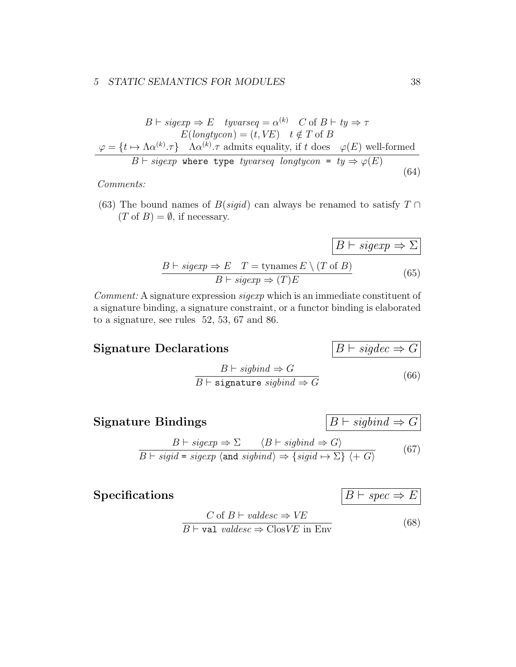$$
B \vdash sigexp \Rightarrow E \quad tyvarseq = \alpha^{(k)} \quad C \text{ of } B \vdash ty \Rightarrow \tau
$$
  
\n
$$
E(longtycon) = (t, VE) \quad t \notin T \text{ of } B
$$
  
\n
$$
\varphi = \{t \mapsto \Lambda \alpha^{(k)}.\tau\} \quad \Lambda \alpha^{(k)}.\tau \text{ admits equality, if } t \text{ does } \varphi(E) \text{ well-formed}
$$
  
\n
$$
B \vdash sigexp \text{ where type } tyvarseq \text{ longtycon} = ty \Rightarrow \varphi(E)
$$
  
\n(64)

Comments:

(63) The bound names of  $B(sigid)$  can always be renamed to satisfy  $T \cap$  $(T \text{ of } B) = \emptyset$ , if necessary.

$$
B \vdash \text{sigexp} \Rightarrow E \quad T = \text{tynames } E \setminus (T \text{ of } B)
$$

$$
B \vdash \text{sigexp} \Rightarrow (T)E \tag{65}
$$

Comment: A signature expression sigexp which is an immediate constituent of a signature binding, a signature constraint, or a functor binding is elaborated to a signature, see rules 52, 53, 67 and 86.

**Signature Declarations**  
\n
$$
B \vdash \text{sigmoid} \Rightarrow G
$$
\n
$$
B \vdash \text{sigmoid} \Rightarrow G
$$
\n
$$
\overline{B \vdash \text{signature} \text{ sighind} \Rightarrow G}
$$
\n(66)

**Signature Bindings**  
\n
$$
B \vdash sigexp \Rightarrow \Sigma \qquad \langle B \vdash sigbind \Rightarrow G \rangle
$$
\n
$$
B \vdash sigid = sigexp \langle \text{and } sigbind \rangle \Rightarrow \{sigid \mapsto \Sigma\} \langle + G \rangle
$$
\n(67)

# Specifications

$$
B \vdash spec \Rightarrow E
$$

$$
C \text{ of } B \vdash \text{valdesc} \Rightarrow VE
$$
  

$$
B \vdash \text{val} \text{valdesc} \Rightarrow \text{Clos}VE \text{ in} \text{Env}
$$
 (68)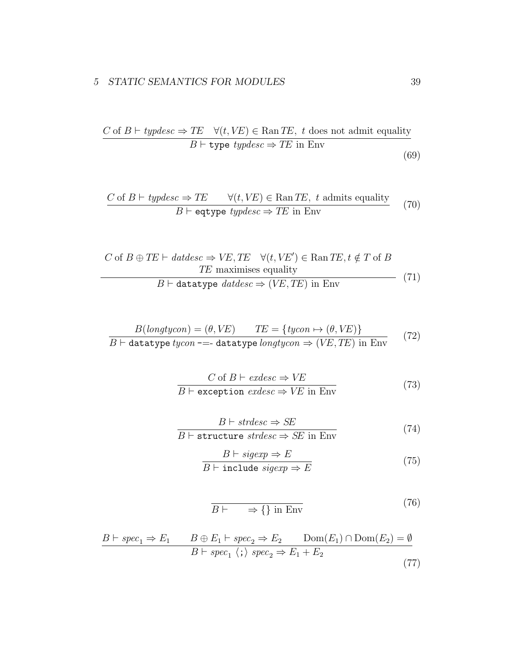$$
\frac{C \text{ of } B \vdash \text{typdesc} \Rightarrow \text{TE} \quad \forall (t, VE) \in \text{Ran TE}, \ t \text{ does not admit equality}}{B \vdash \text{type } \text{typdesc} \Rightarrow \text{TE in Env}}
$$
\n(69)

$$
\frac{C \text{ of } B \vdash \text{typdesc} \Rightarrow \text{TE} \qquad \forall (t, VE) \in \text{Ran TE}, \ t \text{ admits equality}}{B \vdash \text{eqtype } \text{typdesc} \Rightarrow \text{TE in Env}} \tag{70}
$$

$$
C \text{ of } B \oplus TE \vdash database \Rightarrow VE, TE \quad \forall (t, VE') \in \text{Ran } TE, t \notin T \text{ of } B
$$
  
TE maximises equality  

$$
B \vdash \text{datatype } database \Rightarrow (VE, TE) \text{ in Env}
$$
 (71)

$$
B(longtycon) = (\theta, VE) \qquad TE = \{tycon \mapsto (\theta, VE)\}
$$
  

$$
B \vdash \text{datatype } tycon == \text{datatype } longtycon \Rightarrow (VE, TE) \text{ in Env } (72)
$$

$$
C \text{ of } B \vdash \text{exdesc} \Rightarrow VE
$$
  

$$
B \vdash \text{exception } \text{exdesc} \Rightarrow VE \text{ in} \text{ Env}
$$
 (73)

$$
B \vdash \text{strdesc} \Rightarrow \text{SE}
$$
  

$$
B \vdash \text{structure } \text{strdesc} \Rightarrow \text{SE} \text{ in} \text{Env}
$$
 (74)

$$
\frac{B \vdash \text{sigexp} \Rightarrow E}{B \vdash \text{include } \text{sigexp} \Rightarrow E} \tag{75}
$$

$$
B \vdash \qquad \Rightarrow \{\} \text{ in Env} \tag{76}
$$

$$
\frac{B \vdash spec_1 \Rightarrow E_1 \qquad B \oplus E_1 \vdash spec_2 \Rightarrow E_2 \qquad \text{Dom}(E_1) \cap \text{Dom}(E_2) = \emptyset}{B \vdash spec_1 \langle ; \rangle spec_2 \Rightarrow E_1 + E_2}
$$
\n(77)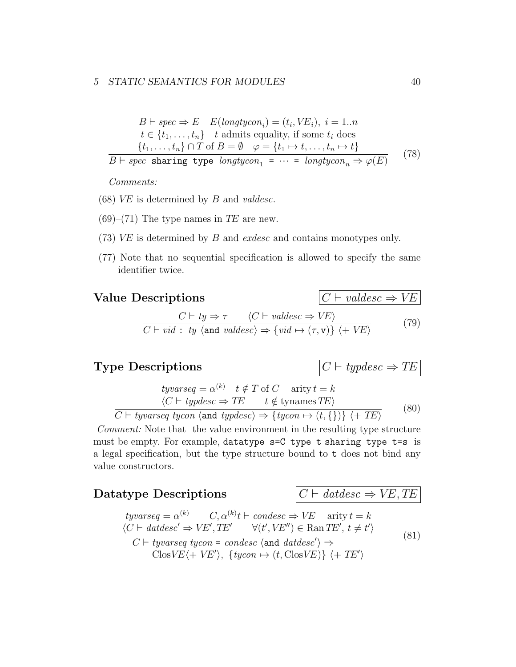$$
B \vdash spec \Rightarrow E \quad E(longtycon_i) = (t_i, VE_i), \ i = 1..n
$$
  

$$
t \in \{t_1, ..., t_n\} \quad t \text{ admits equality, if some } t_i \text{ does}
$$
  

$$
\{t_1, ..., t_n\} \cap T \text{ of } B = \emptyset \quad \varphi = \{t_1 \mapsto t, ..., t_n \mapsto t\}
$$
  

$$
B \vdash spec \text{ sharing type } longtycon_1 = \dots = longtycon_n \Rightarrow \varphi(E) \tag{78}
$$

Comments:

(68) VE is determined by B and valdesc.

- $(69)$ – $(71)$  The type names in TE are new.
- (73) VE is determined by B and exdesc and contains monotypes only.
- (77) Note that no sequential specification is allowed to specify the same identifier twice.

Value Descriptions

\n
$$
\frac{C \vdash valdesc \Rightarrow VE}{C \vdash vid : ty \land \text{and } valdesc \Rightarrow \{vel \leftrightarrow (\tau, \mathbf{v})\} \land \{VE\}}
$$
\n(79)

# Type Descriptions  $\boxed{C \vdash \textit{typesc} \Rightarrow \textit{TE}}$

 $tyvarseq = \alpha^{(k)} \quad t \notin T \text{ of } C \quad \text{arity } t = k$  $\langle C \vdash \textit{typesc} \Rightarrow TE \quad t \notin \text{tynamics TE} \rangle$ (80)

 $C \vdash \textit{tyvarseq} \textit{tycon} \langle \texttt{and} \textit{typdesc} \rangle \Rightarrow \{\textit{tycon} \mapsto (t, \{\})\} \langle + \textit{TE}\rangle$ Comment: Note that the value environment in the resulting type structure must be empty. For example, datatype s=C type t sharing type t=s is a legal specification, but the type structure bound to t does not bind any value constructors.

Datatype Descriptions  $\overline{C \vdash \mathit{dattesc} \Rightarrow \mathit{VE}, \mathit{TE}}$ 

- $tyvarseq = \alpha^{(k)}$   $C, \alpha^{(k)}t \vdash condesc \Rightarrow VE$  arity  $t = k$  $\langle C \vdash database' \Rightarrow VE', TE' \qquad \forall (t', VE'') \in \text{Ran} TE', t \neq t' \rangle$  $\overline{C}$   $\vdash$  tyvarseq tycon = condesc  $\langle$  and datdesc' $\rangle \Rightarrow$ (81)
	- $ClosVE\langle + VE'\rangle, \ \{tycon \mapsto (t, ClosVE)\} \ \langle + TE'\rangle$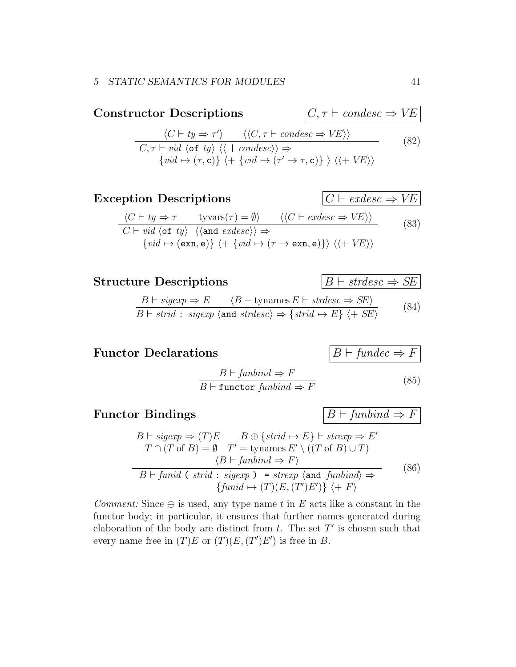**Constructor Descriptions**

\n
$$
\frac{\langle C \vdash ty \Rightarrow \tau' \rangle \quad \langle \langle C, \tau \vdash \text{condesc} \Rightarrow VE \rangle}{\langle C, \tau \vdash \text{vid} \langle \text{of } ty \rangle \langle \langle \vdash \text{condesc} \rangle \rangle \Rightarrow}
$$
\n
$$
\{ \text{vid} \mapsto (\tau, \mathsf{c}) \} \langle \vdash \{ \text{vid} \mapsto (\tau' \to \tau, \mathsf{c}) \} \rangle \langle \langle \vdash VE \rangle \rangle}
$$
\n
$$
(82)
$$

$$
\begin{array}{ccc}\n\textbf{Exception Descriptions} & \boxed{C \vdash \textit{exdesc} \Rightarrow VE} \\
\frac{\langle C \vdash \textit{ty} \Rightarrow \tau \quad \text{tyvars}(\tau) = \emptyset \rangle & \langle \langle C \vdash \textit{exdesc} \Rightarrow VE \rangle \rangle}{C \vdash \textit{vid} \langle \text{of } \textit{ty} \rangle \quad \langle \langle \text{and } \textit{exdesc} \rangle \rangle \Rightarrow} \\
\text{{vid} \leftrightarrow (\text{exn}, \text{e})\} \langle + \{\textit{vid} \leftrightarrow (\tau \rightarrow \text{exn}, \text{e})\} \rangle \langle \langle + VE \rangle \rangle\n\end{array} \tag{83}
$$

Structure Descriptions  $B \vdash \mathit{strdesc} \Rightarrow \mathit{SE}$ 

$$
B \vdash \text{sigexp} \Rightarrow E \qquad \langle B + \text{tynames } E \vdash \text{strdesc} \Rightarrow SE \rangle
$$
  

$$
B \vdash \text{strid}: \text{sigexp} \langle \text{and } \text{strdesc} \rangle \Rightarrow \{\text{strid} \mapsto E\} \langle + SE \rangle
$$
 (84)

Functor Declarations  $\boxed{B \vdash \text{fundec} \Rightarrow F}$ 

$$
B \vdash \text{funbind} \Rightarrow F
$$
  

$$
B \vdash \text{functor } \text{funbind} \Rightarrow F
$$
 (85)

Functor Bindings  $B \vdash \text{funbind} \Rightarrow F$ 

$$
B \vdash \text{sigexp} \Rightarrow (T)E \qquad B \oplus \{\text{strid} \mapsto E\} \vdash \text{strexp} \Rightarrow E'
$$
  
\n
$$
T \cap (T \text{ of } B) = \emptyset \quad T' = \text{tynamics } E' \setminus ((T \text{ of } B) \cup T)
$$
  
\n
$$
\langle B \vdash \text{funbind} \Rightarrow F \rangle
$$
  
\n
$$
\overline{B \vdash \text{funid} \quad (\text{strid} : \text{sigexp} \quad) = \text{strexp} \quad \langle \text{and } \text{funbind} \rangle \Rightarrow}
$$
  
\n
$$
\{\text{funid} \mapsto (T)(E, (T')E')\} \langle + F \rangle
$$
  
\n(86)

*Comment:* Since  $\oplus$  is used, any type name t in E acts like a constant in the functor body; in particular, it ensures that further names generated during elaboration of the body are distinct from  $t$ . The set  $T'$  is chosen such that every name free in  $(T)E$  or  $(T)(E, (T')E')$  is free in B.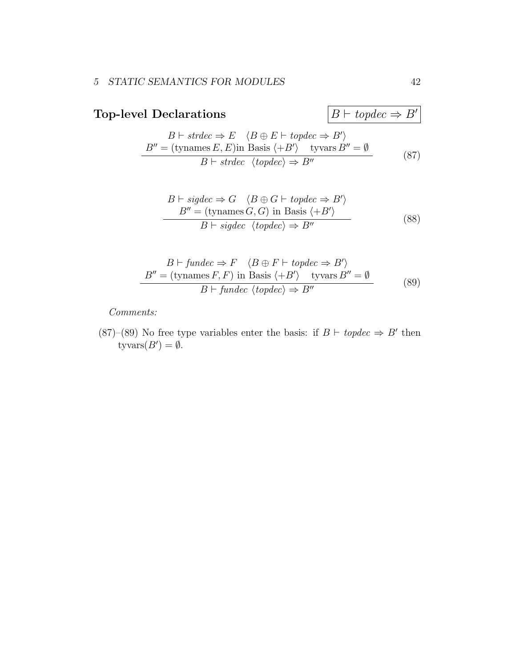Top-level Declarations  $B \vdash \text{topdec} \Rightarrow B'$ 

$$
B \vdash stroke \Rightarrow E \quad \langle B \oplus E \vdash topdec \Rightarrow B' \rangle
$$
  

$$
B'' = (\text{tynamics } E, E) \text{ in Basis } \langle +B' \rangle \quad \text{tyvars } B'' = \emptyset
$$
  

$$
B \vdash stroke \quad \langle topdec \rangle \Rightarrow B''
$$
 (87)

$$
B \vdash sigdec \Rightarrow G \quad \langle B \oplus G \vdash topdec \Rightarrow B' \rangle
$$
  
\n
$$
B'' = (\text{tynamics } G, G) \text{ in Basis } \langle +B' \rangle
$$
  
\n
$$
B \vdash sigdec \langle topdec \rangle \Rightarrow B''
$$
\n(88)

$$
B \vdash \text{fundec} \Rightarrow F \quad \langle B \oplus F \vdash \text{topdec} \Rightarrow B' \rangle
$$
  

$$
B'' = (\text{tynamics } F, F) \text{ in Basis } \langle +B' \rangle \quad \text{tyvars } B'' = \emptyset
$$
  

$$
B \vdash \text{fundec } \langle \text{topdec} \rangle \Rightarrow B''
$$
 (89)

Comments:

 $(87)$ – $(89)$  No free type variables enter the basis: if  $B \vdash$  topdec  $\Rightarrow$  B' then  $\text{tyvars}(B') = \emptyset.$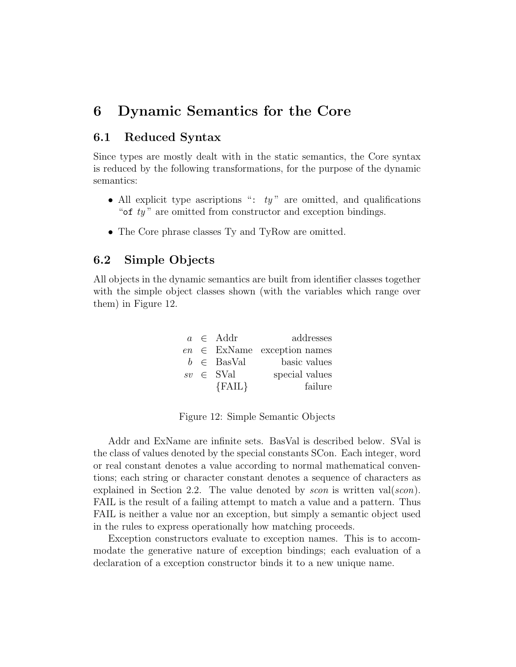# 6 Dynamic Semantics for the Core

### 6.1 Reduced Syntax

Since types are mostly dealt with in the static semantics, the Core syntax is reduced by the following transformations, for the purpose of the dynamic semantics:

- All explicit type ascriptions ":  $ty$ " are omitted, and qualifications "of ty" are omitted from constructor and exception bindings.
- The Core phrase classes Ty and TyRow are omitted.

### 6.2 Simple Objects

All objects in the dynamic semantics are built from identifier classes together with the simple object classes shown (with the variables which range over them) in Figure 12.

|  | $a \in \text{Addr}$ | addresses                       |
|--|---------------------|---------------------------------|
|  |                     | $en \in$ ExName exception names |
|  | $b \in$ BasVal      | basic values                    |
|  | $sv \in$ SVal       | special values                  |
|  | ${FAIL}$            | failure                         |

Figure 12: Simple Semantic Objects

Addr and ExName are infinite sets. BasVal is described below. SVal is the class of values denoted by the special constants SCon. Each integer, word or real constant denotes a value according to normal mathematical conventions; each string or character constant denotes a sequence of characters as explained in Section 2.2. The value denoted by scon is written val(scon). FAIL is the result of a failing attempt to match a value and a pattern. Thus FAIL is neither a value nor an exception, but simply a semantic object used in the rules to express operationally how matching proceeds.

Exception constructors evaluate to exception names. This is to accommodate the generative nature of exception bindings; each evaluation of a declaration of a exception constructor binds it to a new unique name.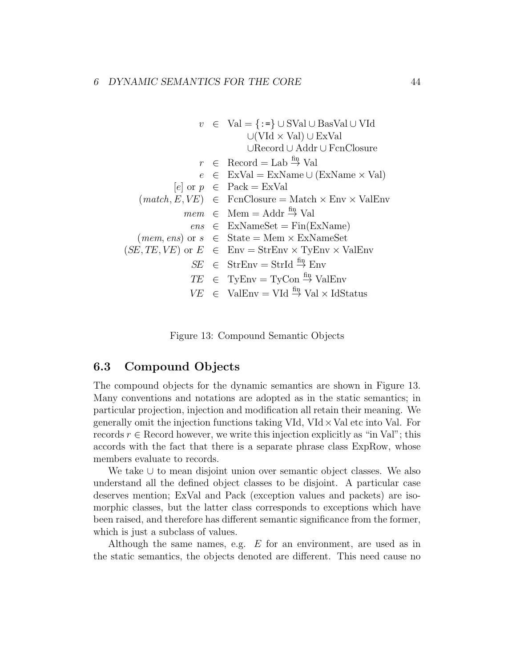|  | $v \in \text{Val} = \{ := \} \cup \text{SVal} \cup \text{BasVal} \cup \text{VId}$             |
|--|-----------------------------------------------------------------------------------------------|
|  | $\cup$ (VId $\times$ Val) $\cup$ ExVal                                                        |
|  | $\cup$ Record $\cup$ Addr $\cup$ FcnClosure                                                   |
|  | $r \in \text{Record} = \text{Lab} \overset{\text{fin}}{\rightarrow} \text{Val}$               |
|  | $e \in \text{ExVal} = \text{ExName} \cup (\text{ExName} \times \text{Val})$                   |
|  | [e] or $p \in \text{Pack} = \text{ExVal}$                                                     |
|  | $(match, E, VE) \in \text{FcnClosure} = \text{Match} \times \text{Env} \times \text{ValEnv}$  |
|  | $mem \in \text{Mem} = \text{Addr} \overset{\text{fin}}{\rightarrow} \text{Val}$               |
|  | $ens \in$ ExNameSet = Fin(ExName)                                                             |
|  | $(mem, ens)$ or $s \in$ State = Mem $\times$ ExNameSet                                        |
|  | $(SE, TE, VE)$ or $E \in \text{Env} = \text{StrEnv} \times \text{TyEnv} \times \text{ValEnv}$ |
|  | $SE \in$ StrEnv = StrId $\stackrel{\text{fin}}{\rightarrow}$ Env                              |
|  | $TE \in \text{TyEnv} = \text{TyCon} \overset{\text{fin}}{\rightarrow} \text{ValEnv}$          |
|  | $VE \in ValEnv = VId \stackrel{\text{fin}}{\rightarrow} Val \times IdStatus$                  |

Figure 13: Compound Semantic Objects

## 6.3 Compound Objects

The compound objects for the dynamic semantics are shown in Figure 13. Many conventions and notations are adopted as in the static semantics; in particular projection, injection and modification all retain their meaning. We generally omit the injection functions taking  $VId$ ,  $VId \times VId$  etc into Val. For records  $r \in \text{Record however}$ , we write this injection explicitly as "in Val"; this accords with the fact that there is a separate phrase class ExpRow, whose members evaluate to records.

We take ∪ to mean disjoint union over semantic object classes. We also understand all the defined object classes to be disjoint. A particular case deserves mention; ExVal and Pack (exception values and packets) are isomorphic classes, but the latter class corresponds to exceptions which have been raised, and therefore has different semantic significance from the former, which is just a subclass of values.

Although the same names, e.g. E for an environment, are used as in the static semantics, the objects denoted are different. This need cause no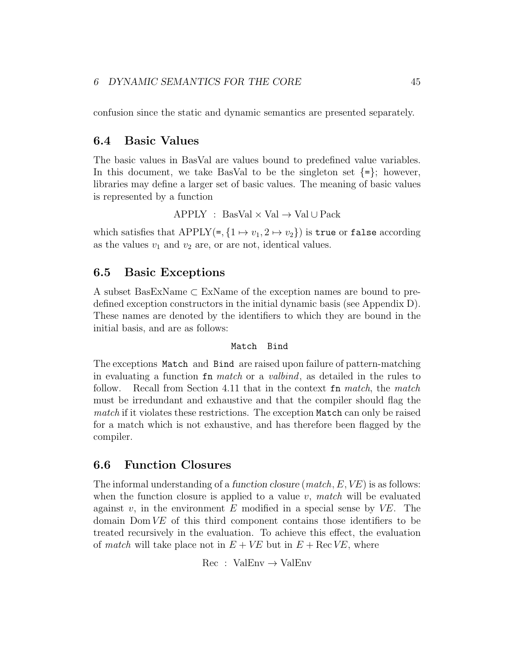confusion since the static and dynamic semantics are presented separately.

### 6.4 Basic Values

The basic values in BasVal are values bound to predefined value variables. In this document, we take BasVal to be the singleton set  $\{\equiv\}$ ; however, libraries may define a larger set of basic values. The meaning of basic values is represented by a function

 $APPLY$  : BasVal × Val → Val ∪ Pack

which satisfies that APPLY(=,  $\{1 \mapsto v_1, 2 \mapsto v_2\}$ ) is true or false according as the values  $v_1$  and  $v_2$  are, or are not, identical values.

### 6.5 Basic Exceptions

A subset BasExName ⊂ ExName of the exception names are bound to predefined exception constructors in the initial dynamic basis (see Appendix D). These names are denoted by the identifiers to which they are bound in the initial basis, and are as follows:

### Match Bind

The exceptions Match and Bind are raised upon failure of pattern-matching in evaluating a function fn match or a valbind, as detailed in the rules to follow. Recall from Section 4.11 that in the context fn match, the match must be irredundant and exhaustive and that the compiler should flag the match if it violates these restrictions. The exception Match can only be raised for a match which is not exhaustive, and has therefore been flagged by the compiler.

### 6.6 Function Closures

The informal understanding of a function closure  $(match, E, VE)$  is as follows: when the function closure is applied to a value  $v$ , match will be evaluated against  $v$ , in the environment E modified in a special sense by  $VE$ . The domain Dom VE of this third component contains those identifiers to be treated recursively in the evaluation. To achieve this effect, the evaluation of match will take place not in  $E + VE$  but in  $E + \text{Rec} VE$ , where

 $Rec$ : ValEnv  $\rightarrow$  ValEnv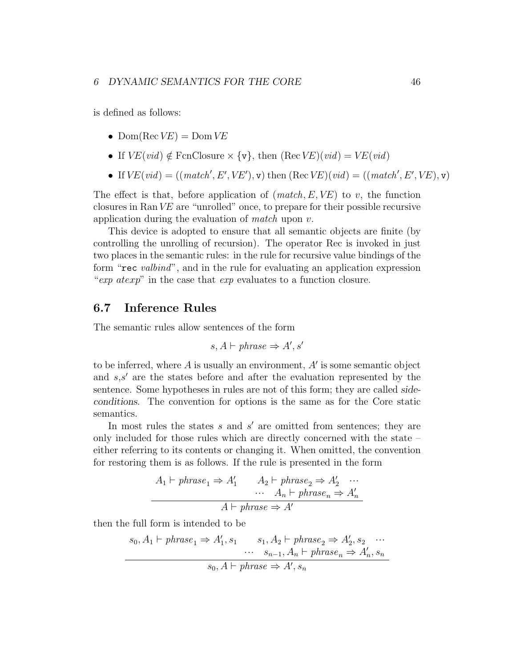is defined as follows:

- Dom(Rec  $VE$ ) = Dom  $VE$
- If  $VE(vid) \notin \text{FcnClosure} \times \{v\}, \text{ then } (\text{Rec } VE)(vid) = VE(vid)$
- If  $VE(vid) = ((match', E', VE'), v)$  then  $(Rec VE)(vid) = ((match', E', VE), v)$

The effect is that, before application of  $(match, E, VE)$  to v, the function closures in Ran VE are "unrolled" once, to prepare for their possible recursive application during the evaluation of *match* upon  $v$ .

This device is adopted to ensure that all semantic objects are finite (by controlling the unrolling of recursion). The operator Rec is invoked in just two places in the semantic rules: in the rule for recursive value bindings of the form "rec valbind", and in the rule for evaluating an application expression "exp atexp" in the case that exp evaluates to a function closure.

### 6.7 Inference Rules

The semantic rules allow sentences of the form

$$
s, A \vdash phrase \Rightarrow A', s'
$$

to be inferred, where  $A$  is usually an environment,  $A'$  is some semantic object and  $s,s'$  are the states before and after the evaluation represented by the sentence. Some hypotheses in rules are not of this form; they are called sideconditions. The convention for options is the same as for the Core static semantics.

In most rules the states  $s$  and  $s'$  are omitted from sentences; they are only included for those rules which are directly concerned with the state – either referring to its contents or changing it. When omitted, the convention for restoring them is as follows. If the rule is presented in the form

$$
A_1 \vdash phrase_1 \Rightarrow A'_1 \qquad A_2 \vdash phrase_2 \Rightarrow A'_2 \qquad \cdots
$$
  
 
$$
\cdots \qquad A_n \vdash phrase_n \Rightarrow A'_n
$$
  
 
$$
A \vdash phrase \Rightarrow A'
$$

then the full form is intended to be

$$
s_0, A_1 \vdash phrase_1 \Rightarrow A'_1, s_1 \qquad s_1, A_2 \vdash phrase_2 \Rightarrow A'_2, s_2 \cdots
$$
  
 
$$
\cdots \qquad s_{n-1}, A_n \vdash phrase_n \Rightarrow A'_n, s_n
$$
  
 
$$
s_0, A \vdash phrase \Rightarrow A', s_n
$$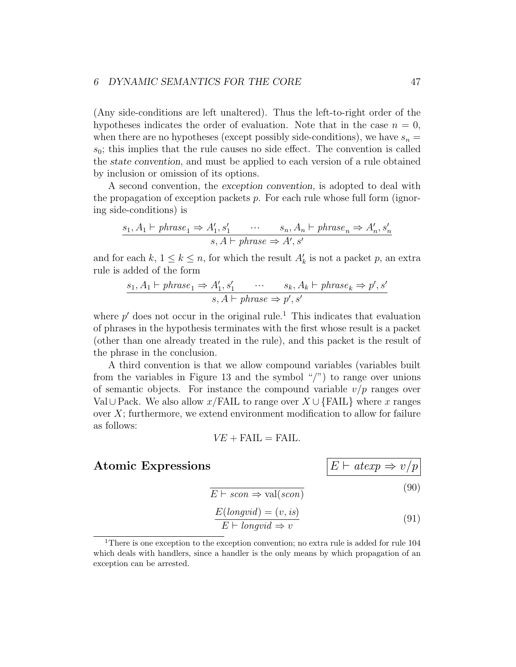### 6 DYNAMIC SEMANTICS FOR THE CORE 47

(Any side-conditions are left unaltered). Thus the left-to-right order of the hypotheses indicates the order of evaluation. Note that in the case  $n = 0$ , when there are no hypotheses (except possibly side-conditions), we have  $s_n =$  $s_0$ ; this implies that the rule causes no side effect. The convention is called the state convention, and must be applied to each version of a rule obtained by inclusion or omission of its options.

A second convention, the exception convention, is adopted to deal with the propagation of exception packets  $p$ . For each rule whose full form (ignoring side-conditions) is

$$
\underbrace{s_1, A_1 \vdash phrase_1 \Rightarrow A'_1, s'_1 \qquad \cdots \qquad s_n, A_n \vdash phrase_n \Rightarrow A'_n, s'_n}_{s, A \vdash phrase \Rightarrow A', s'}
$$

and for each  $k, 1 \leq k \leq n$ , for which the result  $A'_k$  is not a packet p, an extra rule is added of the form

$$
s_1, A_1 \vdash phrase_1 \Rightarrow A'_1, s'_1 \qquad \cdots \qquad s_k, A_k \vdash phrase_k \Rightarrow p', s'
$$
  

$$
s, A \vdash phrase \Rightarrow p', s'
$$

where  $p'$  does not occur in the original rule.<sup>1</sup> This indicates that evaluation of phrases in the hypothesis terminates with the first whose result is a packet (other than one already treated in the rule), and this packet is the result of the phrase in the conclusion.

A third convention is that we allow compound variables (variables built from the variables in Figure 13 and the symbol " $\mid$ ") to range over unions of semantic objects. For instance the compound variable  $v/p$  ranges over Val∪Pack. We also allow x/FAIL to range over  $X \cup \{FAIL\}$  where x ranges over  $X$ ; furthermore, we extend environment modification to allow for failure as follows:

$$
VE + \mathrm{FAIL} = \mathrm{FAIL}.
$$

# Atomic Expressions  $E \vdash \text{atexp} \Rightarrow v/p$  $E \vdash scon \Rightarrow \text{val}(scon)$ (90)  $E(longvid) = (v, is)$

$$
E\left(long via\right) = (v, us)
$$
  
\n
$$
E \vdash long via \Rightarrow v
$$
\n(91)

<sup>&</sup>lt;sup>1</sup>There is one exception to the exception convention; no extra rule is added for rule  $104$ which deals with handlers, since a handler is the only means by which propagation of an exception can be arrested.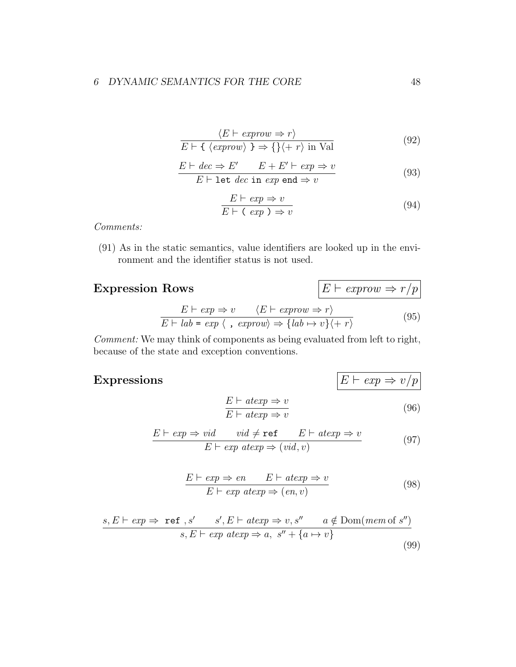$$
\langle E \vdash \text{exprow} \Rightarrow r \rangle
$$
  

$$
E \vdash \{ \langle \text{exprow} \rangle \} \Rightarrow \{ \} \langle + r \rangle \text{ in Val}
$$
 (92)

$$
\frac{E \vdash dec \Rightarrow E'}{E \vdash \text{let } dec \text{ in } exp \text{ end} \Rightarrow v}
$$
(93)

$$
\frac{E \vdash exp \Rightarrow v}{E \vdash (exp ) \Rightarrow v}
$$
\n(94)

Comments:

(91) As in the static semantics, value identifiers are looked up in the environment and the identifier status is not used.

**Expression Rows**\n
$$
E \vdash exp \Rightarrow v \qquad \langle E \vdash exprow \Rightarrow r/p \rangle
$$
\n
$$
E \vdash lab = exp \langle , exprow \rangle \Rightarrow \{ lab \mapsto v \} \langle + r \rangle
$$
\n(95)

Comment: We may think of components as being evaluated from left to right, because of the state and exception conventions.

# Expressions

$$
E \vdash exp \Rightarrow v/p
$$

$$
\frac{E \vdash \text{atexp} \Rightarrow v}{E \vdash \text{atexp} \Rightarrow v} \tag{96}
$$

$$
\frac{E \vdash exp \Rightarrow vid \qquad vid \neq \text{ref} \qquad E \vdash a \text{t} exp \Rightarrow v}{E \vdash exp \ a \text{t} exp \Rightarrow (vid, v)} \tag{97}
$$

$$
\frac{E \vdash exp \Rightarrow en \qquad E \vdash atexp \Rightarrow v}{E \vdash exp \ atexp \Rightarrow (en, v)} \tag{98}
$$

$$
s, E \vdash exp \Rightarrow \text{ref }, s' \qquad s', E \vdash a \text{t} \exp \Rightarrow v, s'' \qquad a \notin \text{Dom}(mem \text{ of } s'')
$$
  

$$
s, E \vdash \text{exp } a \text{t} \exp \Rightarrow a, s'' + \{a \mapsto v\}
$$
  
(99)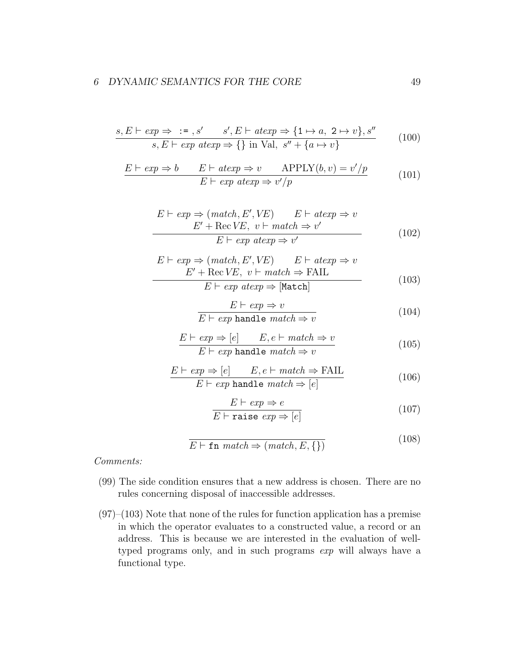$$
s, E \vdash exp \Rightarrow := , s' \qquad s', E \vdash a \cdot exp \Rightarrow \{1 \mapsto a, 2 \mapsto v\}, s''
$$
  

$$
s, E \vdash exp \ a \cdot \exp \Rightarrow \{\} \text{ in Val}, s'' + \{a \mapsto v\}
$$
 (100)

$$
\frac{E \vdash exp \Rightarrow b \qquad E \vdash atexp \Rightarrow v \qquad \text{APPLY}(b, v) = v'/p}{E \vdash exp \ atexp \Rightarrow v'/p} \tag{101}
$$

$$
E \vdash exp \Rightarrow (match, E', VE) \qquad E \vdash a \text{t} exp \Rightarrow v
$$
  
\n
$$
E' + \text{Rec} VE, \ v \vdash match \Rightarrow v'
$$
  
\n
$$
E \vdash exp \ a \text{t} exp \Rightarrow v'
$$
 (102)

E ` exp ⇒ (match, E<sup>0</sup> , VE) E ` atexp ⇒ v E <sup>0</sup> + Rec VE, v ` match ⇒ FAIL (103)

E ` exp atexp ⇒ [Match]

$$
E \vdash exp \Rightarrow v
$$
  

$$
E \vdash exp \text{ handle } match \Rightarrow v
$$
 (104)

$$
\frac{E \vdash exp \Rightarrow [e]}{E \vdash exp \text{ handle } match \Rightarrow v}
$$
\n
$$
(105)
$$

$$
\frac{E \vdash exp \Rightarrow [e]}{E \vdash exp \text{ handle } match \Rightarrow [e]} \tag{106}
$$
\n
$$
\frac{E \vdash exp \text{ handle } match \Rightarrow [e]}{E \vdash exp \text{ handle } match \Rightarrow [e]}
$$

$$
\frac{E \vdash exp \Rightarrow e}{E \vdash \text{raise } exp \Rightarrow [e]} \tag{107}
$$

$$
E \vdash \texttt{fn} \ \textit{match} \Rightarrow (\textit{match}, E, \{\}) \tag{108}
$$

Comments:

- (99) The side condition ensures that a new address is chosen. There are no rules concerning disposal of inaccessible addresses.
- $(97)–(103)$  Note that none of the rules for function application has a premise in which the operator evaluates to a constructed value, a record or an address. This is because we are interested in the evaluation of welltyped programs only, and in such programs exp will always have a functional type.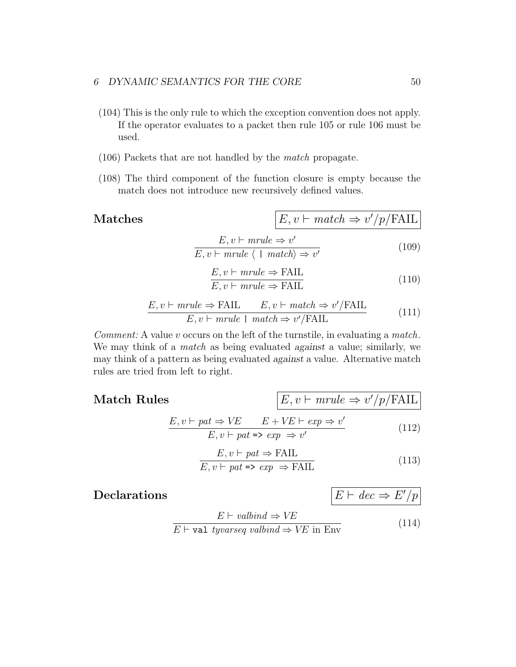- (104) This is the only rule to which the exception convention does not apply. If the operator evaluates to a packet then rule 105 or rule 106 must be used.
- (106) Packets that are not handled by the match propagate.
- (108) The third component of the function closure is empty because the match does not introduce new recursively defined values.

Matches  $\vert E, v \vert \text{} \text{match} \Rightarrow v'/p/\text{FAIL}$  $E, v \vdash mrule \Rightarrow v'$  $E, v \vdash mrule \langle \mid match \rangle \Rightarrow v'$ (109)

$$
E, v \vdash mrule \Rightarrow \text{FAIL}E, v \vdash mrule \Rightarrow \text{FAIL}
$$
 (110)

$$
\frac{E, v \vdash mrule \Rightarrow \text{FAIL} \qquad E, v \vdash match \Rightarrow v'/\text{FAIL}}{E, v \vdash mrule \mid match \Rightarrow v'/\text{FAIL}} \tag{111}
$$

Comment: A value v occurs on the left of the turnstile, in evaluating a match. We may think of a *match* as being evaluated against a value; similarly, we may think of a pattern as being evaluated against a value. Alternative match rules are tried from left to right.

Match Rules  $\boxed{E, v \vdash mrule \Rightarrow v'/p/\text{FAIL}}$ 

$$
E, v \vdash pat \Rightarrow VE \qquad E + VE \vdash exp \Rightarrow v'
$$
  
\n
$$
E, v \vdash pat \Rightarrow exp \Rightarrow v'
$$
 (112)

$$
E, v \vdash pat \Rightarrow \text{FAIL}
$$
  

$$
E, v \vdash pat \Rightarrow exp \Rightarrow \text{FAIL}
$$
 (113)

### Declarations

$$
E \vdash dec \Rightarrow E'/p
$$

$$
E \vdash valbind \Rightarrow VE
$$
  

$$
E \vdash val \t{tyvarseq} \t{valbind} \Rightarrow VE \t{in Env}
$$
 (114)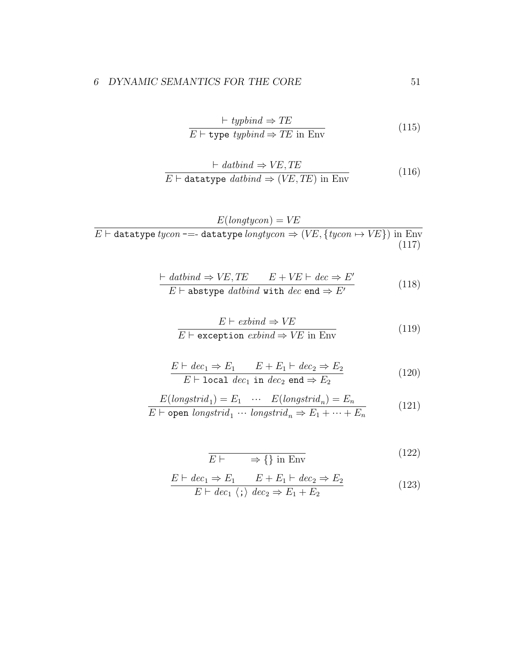# $6$  –DYNAMIC SEMANTICS FOR THE CORE  $51\,$

$$
\frac{\vdash \textit{typbind} \Rightarrow TE}{E \vdash \text{type } \textit{typbind} \Rightarrow TE \text{ in} \text{Env}} \tag{115}
$$

$$
\frac{\vdash \text{ \textit{dational} } \Rightarrow VE, TE}{E \vdash \text{ \textit{datatype} } \text{ \textit{dational} } \Rightarrow (VE, TE) \text{ in} \text{ Env}} \tag{116}
$$

$$
E(longtycon) = VE
$$
  

$$
E \vdash \text{datatype } tycon == \text{datatype } longtycon \Rightarrow (VE, \{tycon \rightarrow VE\}) \text{ in Env } (117)
$$

$$
\frac{\vdash \text{ \textit{dational}} \Rightarrow \text{VE}, \text{TE} \qquad E + \text{VE} \vdash \text{dec} \Rightarrow E'}{E \vdash \text{abstype } \text{ \textit{dational with }} \text{dec end} \Rightarrow E'}
$$
\n(118)

$$
E \vdash \text{exbind} \Rightarrow VE
$$
  

$$
E \vdash \text{exception } \text{exbind} \Rightarrow VE \text{ in Env}
$$
 (119)

$$
\frac{E \vdash dec_1 \Rightarrow E_1 \qquad E + E_1 \vdash dec_2 \Rightarrow E_2}{E \vdash \text{local } dec_1 \text{ in } dec_2 \text{ end} \Rightarrow E_2}
$$
\n(120)

$$
E(longstrid_1) = E_1 \cdots E(longstrid_n) = E_n
$$
  
E \vdash open *longstrid\_1 \cdots longstrid\_n*  $\Rightarrow E_1 + \cdots + E_n$  (121)

$$
E \vdash \qquad \Rightarrow \{\} \text{ in Env} \tag{122}
$$

$$
\frac{E \vdash dec_1 \Rightarrow E_1 \qquad E + E_1 \vdash dec_2 \Rightarrow E_2}{E \vdash dec_1 \langle ; \rangle dec_2 \Rightarrow E_1 + E_2}
$$
\n(123)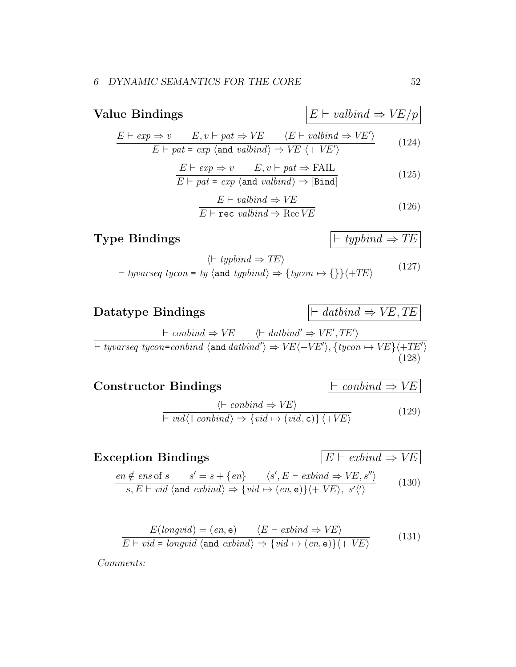| Value Bindings                                                                                                                                                                                                   | $E \vdash \text{valbind} \Rightarrow VE/p$                                                                                                                |                                                           |                                                                                                                     |       |
|------------------------------------------------------------------------------------------------------------------------------------------------------------------------------------------------------------------|-----------------------------------------------------------------------------------------------------------------------------------------------------------|-----------------------------------------------------------|---------------------------------------------------------------------------------------------------------------------|-------|
| $E \vdash \text{exp} \Rightarrow v$                                                                                                                                                                              | $E, v \vdash \text{pat} \Rightarrow VE$                                                                                                                   | $\langle E \vdash \text{valbind} \Rightarrow VE' \rangle$ | (124)                                                                                                               |       |
| $E \vdash \text{pat} = \text{exp} \langle \text{and } \text{valbind} \rangle \Rightarrow VE \langle + VE' \rangle$                                                                                               | (124)                                                                                                                                                     |                                                           |                                                                                                                     |       |
| $E \vdash \text{exp} \Rightarrow v$                                                                                                                                                                              | $E, v \vdash \text{pat} \Rightarrow \text{FAIL}$                                                                                                          | (125)                                                     |                                                                                                                     |       |
| $E \vdash \text{pat} = \text{exp} \langle \text{and } \text{valbind} \rangle \Rightarrow [\text{Bind}]$                                                                                                          | (125)                                                                                                                                                     |                                                           |                                                                                                                     |       |
| $E \vdash \text{valbind} \Rightarrow VE$                                                                                                                                                                         | (126)                                                                                                                                                     |                                                           |                                                                                                                     |       |
| Type Bindings                                                                                                                                                                                                    | $\langle \vdash \text{typbind} \Rightarrow TE \rangle$                                                                                                    | $\langle \vdash \text{typbind} \Rightarrow TE \rangle$    | $\langle \vdash \text{typbind} \rangle \Rightarrow \{ \text{tycon} \rightarrow \{ \} \} \langle \text{+TE} \rangle$ | (127) |
| Datatype Bindings                                                                                                                                                                                                | $\langle \vdash \text{dational } \text{typbind} \rangle \Rightarrow \{ \text{tycon} \rightarrow \{ \} \} \langle \text{+TE} \rangle$ \n <td>(127)</td> \n | (127)                                                     |                                                                                                                     |       |
| $\neg \text{Lattype Bindings}$                                                                                                                                                                                   | $\langle \vdash \text{dational } \text{distind} \Rightarrow VE, TE' \rangle$                                                                              | (128)                                                     |                                                                                                                     |       |
| $\neg \text{tynarseg tycon=conbind} \langle \text{and } \text{dational} \land \text{distind}' \rangle \Rightarrow VE \langle \text{+VE'} \rangle, \{ \text{tycon} \rightarrow VE \} \langle \text{+TE'} \rangle$ | (128)                                                                                                                                                     |                                                           |                                                                                                                     |       |
| Constructor Bindings                                                                                                                                                                                             | $\langle \vdash$                                                                                                                                          |                                                           |                                                                                                                     |       |

**Exception Bindings**  
\n
$$
en \notin ens \text{ of } s \qquad s' = s + \{en\} \qquad \langle s', E \vdash \text{exbind} \Rightarrow VE, s'' \rangle
$$
\n
$$
s, E \vdash \text{vid } \langle \text{and } \text{exbind} \rangle \Rightarrow \{ \text{vid } \mapsto (en, e) \} \langle + \text{VE} \rangle, \text{ s''} \langle \rangle \qquad (130)
$$

$$
E(longvid) = (en, e) \qquad \langle E \vdash \text{exbind} \Rightarrow VE \rangle
$$
  

$$
E \vdash \text{vid} = longvid \langle \text{and } \text{exbind} \rangle \Rightarrow \{ \text{vid} \mapsto (en, e) \} \langle + VE \rangle
$$
 (131)

Comments: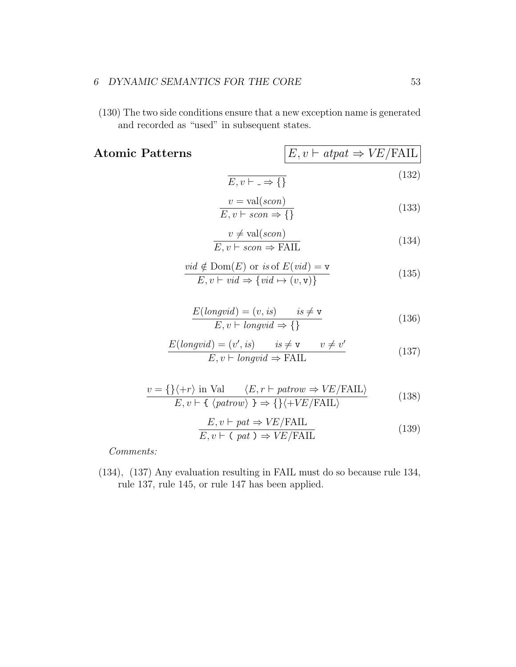### 6 DYNAMIC SEMANTICS FOR THE CORE 53

(130) The two side conditions ensure that a new exception name is generated and recorded as "used" in subsequent states.

# Atomic Patterns  $E, v \vdash \text{atpat} \Rightarrow VE/\text{FAIL}$  $\overline{E, v \vdash} \rightarrow \{\}$  (132)  $v = val(scon)$  $E, v \vdash scon \Rightarrow \{\}$

$$
\frac{v \neq \text{val}(\text{scan})}{E, v \vdash \text{scan} \Rightarrow \text{FAIL}} \tag{134}
$$

$$
\frac{vid \notin \text{Dom}(E) \text{ or } is \text{ of } E(vid) = \mathbf{v}}{E, v \vdash vid \Rightarrow \{vid \mapsto (v, \mathbf{v})\}}
$$
(135)

$$
\frac{E(longvid) = (v, is)}{E, v \vdash longvid \Rightarrow \{\}} \tag{136}
$$

$$
\frac{E(longvid) = (v', is) \qquad is \neq \mathbf{v} \qquad v \neq v'}{E, v \vdash longvid \Rightarrow \text{FAIL}} \tag{137}
$$

$$
\frac{v = \{\}\langle +r \rangle \text{ in Val} \qquad \langle E, r \vdash patrow \Rightarrow VE / \text{FAIL} \rangle}{E, v \vdash \{\langle patrow \rangle \} \Rightarrow \{\}\langle +VE / \text{FAIL} \rangle} \tag{138}
$$

$$
E, v \vdash pat \Rightarrow VE / \text{FAIL}
$$
  
\n
$$
E, v \vdash (\text{pat}) \Rightarrow VE / \text{FAIL}
$$
\n(139)

Comments:

(134), (137) Any evaluation resulting in FAIL must do so because rule 134, rule 137, rule 145, or rule 147 has been applied.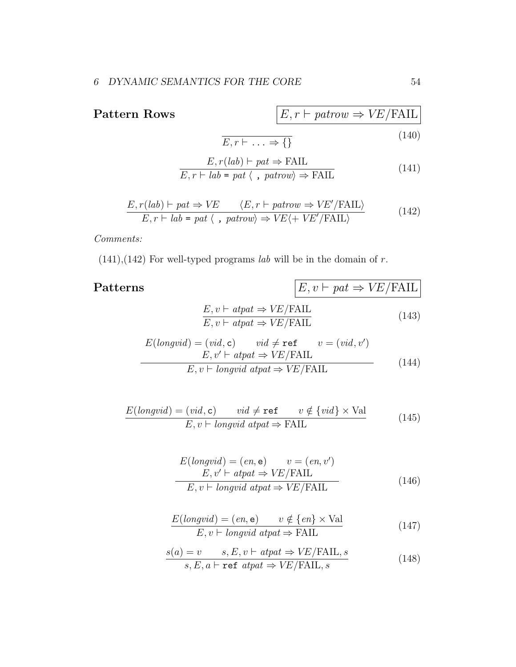Pattern Rows  $E, r \vdash patrow \Rightarrow VE/\text{FAIL}$  $E, r \vdash \ldots \Rightarrow \{\}$  (140)

$$
E, r(lab) \vdash pat \Rightarrow \text{FAIL}
$$
  

$$
E, r \vdash lab = pat \langle , patrow \rangle \Rightarrow \text{FAIL}
$$
 (141)

$$
\frac{E, r(lab) \vdash pat \Rightarrow VE}{E, r \vdash lab = pat \langle , patrow \rangle \Rightarrow VE \langle + VE'/FAIL \rangle}
$$
\n
$$
(142)
$$

Comments:

 $(141),(142)$  For well-typed programs *lab* will be in the domain of r.

# Patterns  $\boxed{E, v \vdash pat \Rightarrow VE/\text{FAIL}}$

$$
E, v \vdash atpat \Rightarrow VE / \text{FAIL}
$$
  
\n
$$
E, v \vdash atpat \Rightarrow VE / \text{FAIL}
$$
 (143)

$$
E(longvid) = (vid, c) \qquad vid \neq ref \qquad v = (vid, v')
$$
  
\n
$$
E, v' \vdash atpat \Rightarrow VE/FAIL
$$
  
\n
$$
E, v \vdash longvid atpat \Rightarrow VE/FAIL
$$
 (144)

$$
\frac{E(longvid) = (vid, c) \qquad vid \neq ref \qquad v \notin \{vid\} \times Val}{E, v \vdash longvid \; atpat \Rightarrow FAIL} \tag{145}
$$

$$
E(longvid) = (en, e) \qquad v = (en, v')
$$
  
\n
$$
E, v' \vdash atpat \Rightarrow VE/FAIL
$$
  
\n
$$
E, v \vdash longvid atpat \Rightarrow VE/FAIL
$$
 (146)

$$
\frac{E(longvid) = (en, e) \qquad v \notin \{en\} \times Val}{E, v \vdash longvid \text{ atpat} \Rightarrow FAIL}
$$
\n(147)

$$
\frac{s(a) = v \quad s, E, v \vdash atpat \Rightarrow VE / \text{FAIL}, s}{s, E, a \vdash \text{ref } atpat \Rightarrow VE / \text{FAIL}, s} \tag{148}
$$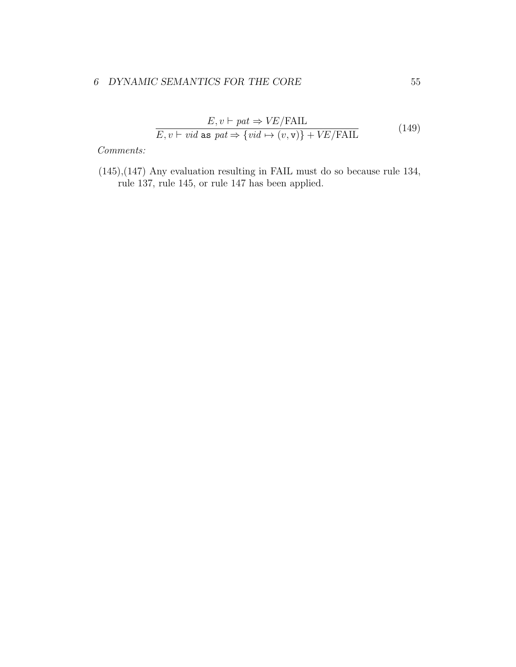## 6 DYNAMIC SEMANTICS FOR THE CORE 55

$$
E, v \vdash pat \Rightarrow VE/\text{FAIL}
$$
  

$$
E, v \vdash vid \text{ as } pat \Rightarrow \{vid \mapsto (v, v)\} + VE/\text{FAIL}
$$
 (149)

Comments:

(145),(147) Any evaluation resulting in FAIL must do so because rule 134, rule 137, rule 145, or rule 147 has been applied.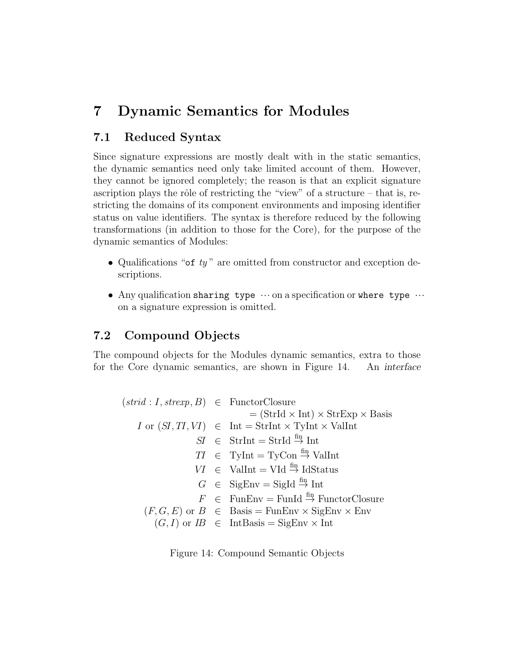# 7 Dynamic Semantics for Modules

# 7.1 Reduced Syntax

Since signature expressions are mostly dealt with in the static semantics, the dynamic semantics need only take limited account of them. However, they cannot be ignored completely; the reason is that an explicit signature ascription plays the rôle of restricting the "view" of a structure – that is, restricting the domains of its component environments and imposing identifier status on value identifiers. The syntax is therefore reduced by the following transformations (in addition to those for the Core), for the purpose of the dynamic semantics of Modules:

- Qualifications "of  $ty$ " are omitted from constructor and exception descriptions.
- Any qualification sharing type  $\cdots$  on a specification or where type  $\cdots$ on a signature expression is omitted.

# 7.2 Compound Objects

The compound objects for the Modules dynamic semantics, extra to those for the Core dynamic semantics, are shown in Figure 14. An interface

| $(\text{strid}: I, \text{strength}) \in$ FunctorClosure |                                                                                                |
|---------------------------------------------------------|------------------------------------------------------------------------------------------------|
|                                                         | $=$ (StrId $\times$ Int) $\times$ StrExp $\times$ Basis                                        |
|                                                         | I or $(SI, TI, VI) \in \text{Int} = \text{StrInt} \times \text{TyInt} \times \text{ValInt}$    |
|                                                         | $SI \in StrInt = StrId \overset{fin}{\rightarrow} Int$                                         |
|                                                         | $TI \in$ TyInt = TyCon $\stackrel{\text{fin}}{\rightarrow}$ ValInt                             |
|                                                         | $VI \in \text{ValInt} = \text{VId} \stackrel{\text{fin}}{\rightarrow} \text{IdStatus}$         |
|                                                         | $G \in \text{SigEnv} = \text{SigId} \stackrel{\text{fin}}{\rightarrow} \text{Int}$             |
|                                                         | $F \in \text{FunEnv} = \text{FunId} \stackrel{\text{fin}}{\rightarrow} \text{FunctionClosure}$ |
|                                                         | $(F, G, E)$ or $B \in$ Basis = FunEnv $\times$ SigEnv $\times$ Env                             |
|                                                         | $(G, I)$ or $IB \in IntBasis = SigEnv \times Int$                                              |

Figure 14: Compound Semantic Objects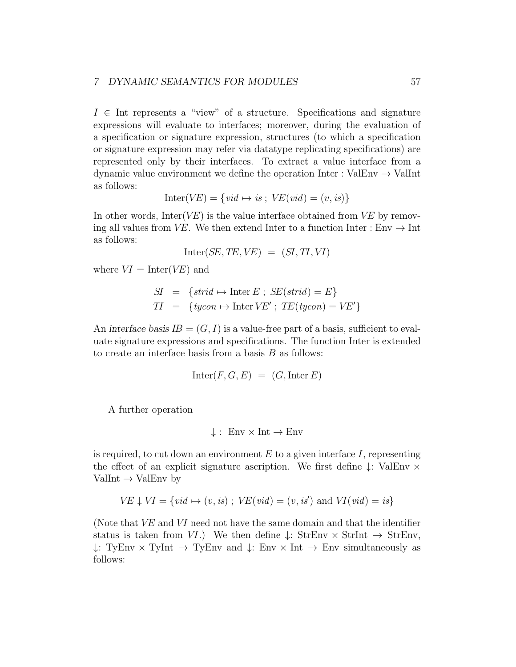### 7 DYNAMIC SEMANTICS FOR MODULES 57

 $I \in$  Int represents a "view" of a structure. Specifications and signature expressions will evaluate to interfaces; moreover, during the evaluation of a specification or signature expression, structures (to which a specification or signature expression may refer via datatype replicating specifications) are represented only by their interfaces. To extract a value interface from a dynamic value environment we define the operation Inter : ValEnv  $\rightarrow$  ValInt as follows:

$$
Inter(VE) = \{ vid \mapsto is ; VE(vid) = (v, is) \}
$$

In other words, Inter( $VE$ ) is the value interface obtained from  $VE$  by removing all values from VE. We then extend Inter to a function Inter :  $Env \rightarrow Int$ as follows:

$$
Inter(SE, TE, VE) = (SI, TI, VI)
$$

where  $VI = \text{Inter}(VE)$  and

$$
SI = \{strid \mapsto \text{Inter } E \; ; \; SE(strid) = E \}
$$
  

$$
TI = \{tycon \mapsto \text{Inter } VE' \; ; \; TE(tycon) = VE' \}
$$

An interface basis  $IB = (G, I)$  is a value-free part of a basis, sufficient to evaluate signature expressions and specifications. The function Inter is extended to create an interface basis from a basis  $B$  as follows:

$$
Inter(F, G, E) = (G, Inter E)
$$

A further operation

$$
\downarrow : \text{Env} \times \text{Int} \to \text{Env}
$$

is required, to cut down an environment  $E$  to a given interface  $I$ , representing the effect of an explicit signature ascription. We first define  $\downarrow$ : ValEnv  $\times$ ValInt  $\rightarrow$  ValEnv by

$$
VE \downarrow VI = \{ vid \mapsto (v, is) ; VE(vid) = (v, is') \text{ and } VI(vid) = is \}
$$

(Note that VE and VI need not have the same domain and that the identifier status is taken from VI.) We then define  $\downarrow$ : StrEnv × StrInt  $\rightarrow$  StrEnv, ↓: TyEnv × TyInt → TyEnv and ↓: Env × Int → Env simultaneously as follows: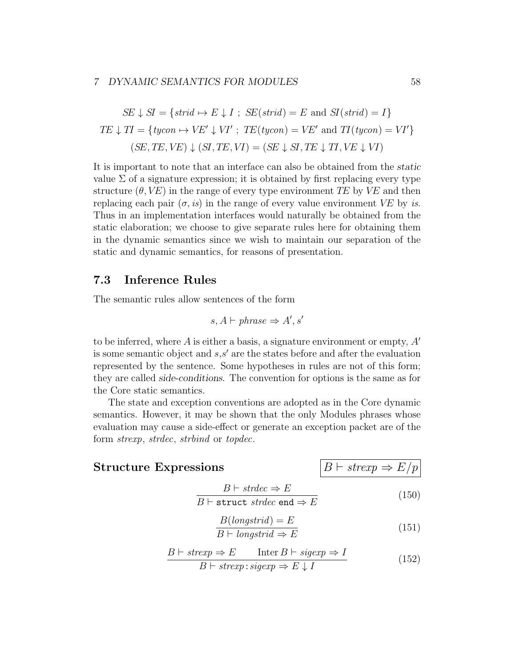### 7 DYNAMIC SEMANTICS FOR MODULES 58

$$
SE \downarrow SI = \{ \text{strid} \mapsto E \downarrow I \; ; \; SE(\text{strid}) = E \text{ and } SI(\text{strid}) = I \}
$$
\n
$$
TE \downarrow TI = \{ \text{tycon} \mapsto VE' \downarrow VI' \; ; \; TE(\text{tycon}) = VE' \text{ and } TI(\text{tycon}) = VI' \}
$$
\n
$$
(SE, TE, VE) \downarrow (SI, TE, VI) = (SE \downarrow SI, TE \downarrow TI, VE \downarrow VI)
$$

It is important to note that an interface can also be obtained from the static value  $\Sigma$  of a signature expression; it is obtained by first replacing every type structure  $(\theta, VE)$  in the range of every type environment TE by VE and then replacing each pair  $(\sigma, is)$  in the range of every value environment VE by is. Thus in an implementation interfaces would naturally be obtained from the static elaboration; we choose to give separate rules here for obtaining them in the dynamic semantics since we wish to maintain our separation of the static and dynamic semantics, for reasons of presentation.

### 7.3 Inference Rules

The semantic rules allow sentences of the form

$$
s, A \vdash phrase \Rightarrow A', s'
$$

to be inferred, where A is either a basis, a signature environment or empty,  $A'$ is some semantic object and  $s,s'$  are the states before and after the evaluation represented by the sentence. Some hypotheses in rules are not of this form; they are called side-conditions. The convention for options is the same as for the Core static semantics.

The state and exception conventions are adopted as in the Core dynamic semantics. However, it may be shown that the only Modules phrases whose evaluation may cause a side-effect or generate an exception packet are of the form strexp, strdec, strbind or topdec.

| <b>Structure Expressions</b>                                                                                                                                      | $B \vdash \text{strexp} \Rightarrow E/p$ |
|-------------------------------------------------------------------------------------------------------------------------------------------------------------------|------------------------------------------|
| $B \vdash \mathit{strdec} \Rightarrow E$<br>$B \vdash$ struct strdec end $\Rightarrow E$                                                                          | (150)                                    |
| $B(longstrid) = E$<br>$B \vdash$ longstrid $\Rightarrow E$                                                                                                        | (151)                                    |
| $B \vdash \text{strexp} \Rightarrow E$<br>Inter $B \vdash \text{siqexp} \Rightarrow I$<br>$B \vdash \textit{strexp} : \textit{sigexp} \Rightarrow E \downarrow I$ | (152)                                    |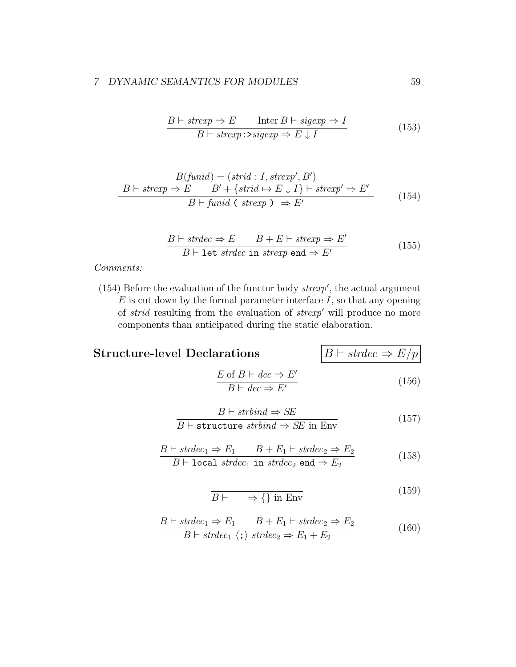# 7 DYNAMIC SEMANTICS FOR MODULES 59

$$
\frac{B \vdash \text{strexp} \Rightarrow E \qquad \text{Inter } B \vdash \text{sigexp} \Rightarrow I}{B \vdash \text{strexp} : \text{sigexp} \Rightarrow E \downarrow I} \tag{153}
$$

$$
B(funid) = (strid : I, strexp', B')
$$
  
\n
$$
B \vdash strexp \Rightarrow E \qquad B' + \{strid \mapsto E \downarrow I\} \vdash strexp' \Rightarrow E'
$$
  
\n
$$
B \vdash fund \; (strexp) \Rightarrow E'
$$
\n(154)

$$
\frac{B \vdash stroke \Rightarrow E \qquad B + E \vdash strexp \Rightarrow E'}{B \vdash \text{let } strdec \text{ in } strexp \text{ end } \Rightarrow E'}
$$
\n(155)

Comments:

(154) Before the evaluation of the functor body  $\text{strexp}'$ , the actual argument  $E$  is cut down by the formal parameter interface  $I$ , so that any opening of strid resulting from the evaluation of  $strexp'$  will produce no more components than anticipated during the static elaboration.

**Structure-level Declarations**  
\n
$$
E \text{ of } B \vdash dec \Rightarrow E'
$$
\n
$$
E \text{ of } B \vdash dec \Rightarrow E'
$$
\n
$$
B \vdash \text{strbind} \Rightarrow SE
$$
\n
$$
B \vdash \text{strbind} \Rightarrow SE
$$
\n
$$
(157)
$$

$$
B \vdash \text{structure } \textit{strbind} \Rightarrow SE \text{ in } \text{Env}
$$
\n
$$
B \vdash \text{structure } \textit{strbind} \Rightarrow SE \text{ in } \text{Env}
$$

$$
\frac{B \vdash stroke_1 \Rightarrow E_1 \qquad B + E_1 \vdash stroke_2 \Rightarrow E_2}{B \vdash local \; stride_1 \text{ in } stride_2 \text{ end } \Rightarrow E_2}
$$
\n(158)

$$
\overline{B \vdash \quad \Rightarrow \{\} \text{ in Env}} \tag{159}
$$

$$
\frac{B \vdash \text{strdec}_1 \Rightarrow E_1 \qquad B + E_1 \vdash \text{strdec}_2 \Rightarrow E_2}{B \vdash \text{strdec}_1 \langle ; \rangle \text{strdec}_2 \Rightarrow E_1 + E_2}
$$
\n(160)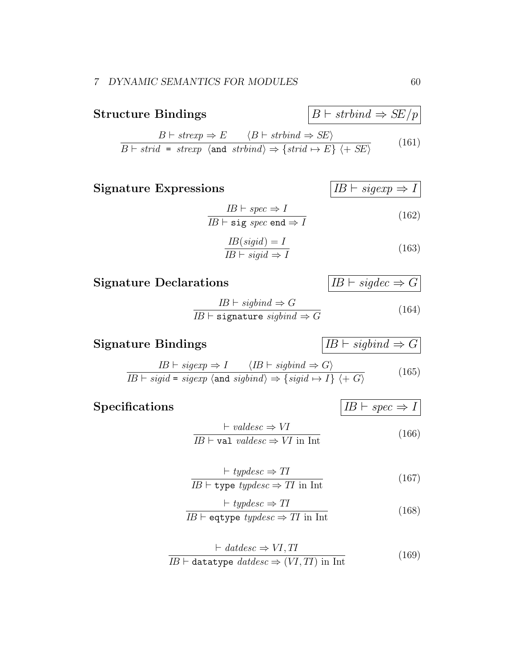| Structure Bindings                                                                                                                                    | $B \vdash \text{strbind} \Rightarrow \text{SE}/p$               |                       |
|-------------------------------------------------------------------------------------------------------------------------------------------------------|-----------------------------------------------------------------|-----------------------|
| $B \vdash \text{strexp} \Rightarrow E$                                                                                                                | $\langle B \vdash \text{strbind} \Rightarrow \text{SE} \rangle$ | $\langle 161 \rangle$ |
| $B \vdash \text{strid} = \text{strexp} \langle \text{and } \text{strbind} \rangle \Rightarrow \{\text{strid} \mapsto E\} \langle + \text{SE} \rangle$ | $\langle 161 \rangle$                                           |                       |

**Signature Expressions**  
\n
$$
\frac{IB \vdash spec \Rightarrow I}{IB \vdash sig\ spec\ end \Rightarrow I}
$$
\n
$$
\frac{IB(\text{sigid}) = I}{IB \vdash \text{sigid} \Rightarrow I}
$$
\n
$$
\frac{IB(\text{sigid}) = I}{IB \vdash \text{sigid} \Rightarrow I}
$$
\n(163)  
\n**Signature Declarations**  
\n
$$
\boxed{IB \vdash \text{sigdec} \Rightarrow G}
$$

$$
\frac{IB \vdash \text{sigmoid} \Rightarrow G}{IB \vdash \text{signature } \text{sigmoid} \Rightarrow G} \tag{164}
$$

**Signature Bindings**  
\n
$$
IB \vdash sigexp \Rightarrow I \qquad \langle IB \vdash sigbind \Rightarrow G \rangle
$$
\n
$$
\overline{IB \vdash sigid = sigexp \langle and sigbind \rangle} \Rightarrow {sigid \mapsto I} \langle +G \rangle
$$
\n(165)

$$
\hbox{Specifications}
$$

 $\vdash \mathit{valdesc} \Rightarrow \mathit{VI}$  $\overline{IB \vdash \texttt{val} \textit{valdesc} \Rightarrow \textit{VI} \text{ in} \text{ Int}}$ (166)

 $IB \vdash spec \Rightarrow I$ 

$$
\frac{\vdash \textit{types} \Rightarrow \textit{TI}}{\textit{IB} \vdash \textit{type } \textit{types} \Rightarrow \textit{TI} \text{ in } \textit{Int}} \tag{167}
$$

$$
\frac{\vdash \textit{types } \Leftrightarrow \textit{TI}}{\textit{IB} \vdash \textsf{eqtype } \textit{types } \textit{types } \Leftrightarrow \textit{TI} \text{ in } \textit{Int}} \tag{168}
$$

$$
\frac{\vdash dattesc \Rightarrow VI, TI}{IB \vdash datatype \ dattesc \Rightarrow (VI, TI) \text{ in Int}} \tag{169}
$$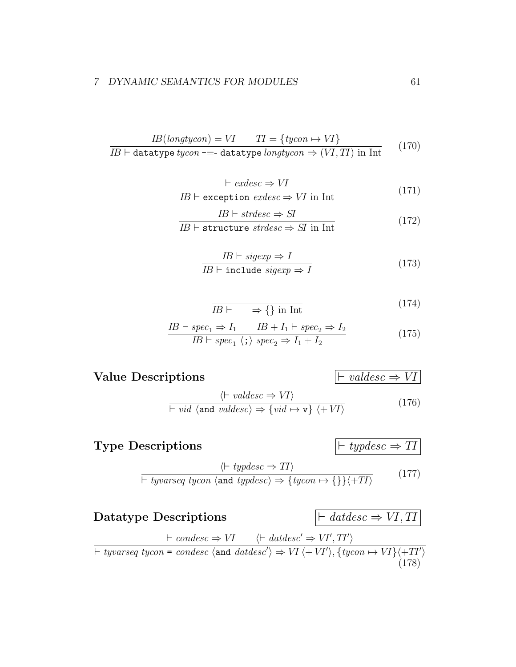#### 7 DYNAMIC SEMANTICS FOR MODULES 61

$$
IB(longtycon) = VI \qquad TI = \{tycon \rightarrow VI\}
$$

$$
IB \vdash \text{datatype } tycon == \text{datatype } longtycon \Rightarrow (VI, TI) \text{ in Int}
$$
(170)

$$
\frac{\vdash \text{exdesc} \Rightarrow \text{VI}}{\text{IB} \vdash \text{exception } \text{exdesc} \Rightarrow \text{VI in Int}} \tag{171}
$$

$$
\frac{IB \vdash \text{strdesc} \Rightarrow SI}{IB \vdash \text{structure } \text{strdesc} \Rightarrow SI \text{ in Int}} \tag{172}
$$

$$
\frac{IB \vdash \text{sigexp} \Rightarrow I}{IB \vdash \text{include } \text{sigexp} \Rightarrow I}
$$
\n(173)

$$
\overline{IB \vdash} \qquad \Rightarrow \{\} \text{ in Int} \tag{174}
$$

$$
\frac{IB \vdash spec_1 \Rightarrow I_1 \qquad IB + I_1 \vdash spec_2 \Rightarrow I_2}{IB \vdash spec_1 \langle ; \rangle spec_2 \Rightarrow I_1 + I_2}
$$
\n(175)

Value Descriptions  $\boxed{\vdash \mathit{valuesc} \Rightarrow \mathit{VI}}$  $\langle \vdash values \in \Rightarrow VI \rangle$  $\vdash \textit{vid} \, \langle \texttt{and} \, \textit{valdesc} \rangle \Rightarrow \{ \textit{vid} \mapsto \texttt{v} \} \, \langle + \textit{VI} \rangle$ (176)

# Type Descriptions  $\boxed{\vdash \textit{types} \Rightarrow \textit{TI}}$  $\langle \vdash \textit{typeses} \Rightarrow \textit{TI} \rangle$  $\vdash$  tyvarseq tycon  $\langle$  and typdesc $\rangle \Rightarrow$   $\{tycon \mapsto \{\}\langle +TI\rangle\}$ (177)

**Datotype Descriptions**

\n
$$
\vdash \text{condesc} \Rightarrow \text{VI} \quad \langle \vdash \text{dattesc} \Rightarrow \text{VI}', \text{TI}' \rangle
$$
\n
$$
\vdash \text{tyvarseq tycon = \text{condesc (and } \text{dattesc'} \Rightarrow \text{VI} \langle + \text{VI}' \rangle, \{\text{tycon} \leftrightarrow \text{VI} \rangle \langle + \text{TI}' \rangle \tag{178}
$$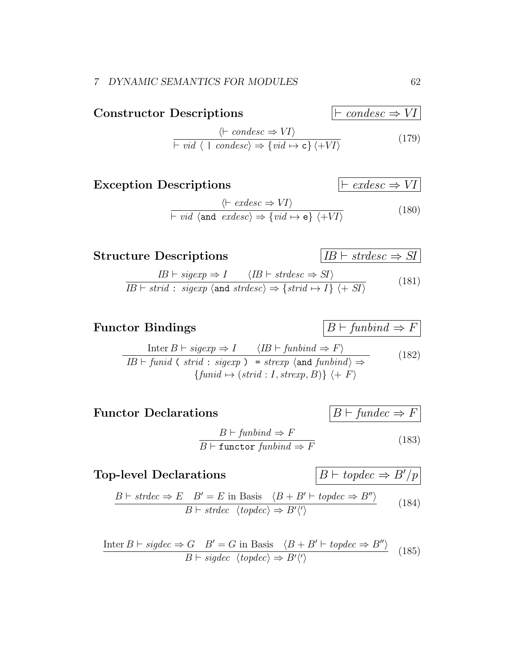**Construction** 
$$
\begin{array}{c|c}\n\leftarrow\text{conductor}\n\end{array}\n\begin{array}{c}\n\text{Descriptions} \\
\leftarrow\text{condesc} \Rightarrow VI\n\end{array}\n\end{array}\n\tag{179}
$$
\n
$$
\begin{array}{c}\n\leftarrow\text{vid} \langle \text{ }|\text{ condesc}\rangle \Rightarrow \{\text{vid} \mapsto \text{c}\}\langle +VI\rangle\n\end{array}
$$

**Exception Descriptions** 
$$
\leftarrow \text{exdesc} \Rightarrow \text{VI}
$$

$$
\leftarrow \text{vid} \left\langle \text{and } \text{exdesc} \right\rangle \Rightarrow \{ \text{vid} \mapsto \text{e} \} \left\langle + \text{VI} \right\rangle \tag{180}
$$

| Structure Descriptions                      | $ IB \vdash$ <i>strdesc</i> $\Rightarrow$ $SI$                |                                                               |                       |
|---------------------------------------------|---------------------------------------------------------------|---------------------------------------------------------------|-----------------------|
| $IB \vdash$ <i>sigexp</i> $\Rightarrow$ $I$ | $\langle IB \vdash$ <i>strdesc</i> $\Rightarrow$ $SI \rangle$ | $\langle IB \vdash$ <i>strides</i> $\Rightarrow$ $SI \rangle$ | $\langle 181 \rangle$ |

| Function Bindings                                                                                                                                                                                                                                                       | $B \vdash \text{funbind} \Rightarrow F$ |
|-------------------------------------------------------------------------------------------------------------------------------------------------------------------------------------------------------------------------------------------------------------------------|-----------------------------------------|
| \n $\frac{\text{Inter } B \vdash \text{sigexp} \Rightarrow I \quad \langle IB \vdash \text{funbind} \Rightarrow F \rangle}{\text{IB} \vdash \text{funid} \ (\text{strid}: \text{sigexp}) \ = \text{stexp} \ \langle \text{and } \text{funbind} \rangle \Rightarrow}$ \n | \n        (182)\n                       |
| \n $\{\text{funid} \mapsto (\text{strid}: I, \text{stexp}, B) \} \langle + F \rangle$ \n                                                                                                                                                                                |                                         |

**Function Declarions**  
\n
$$
B \vdash \text{funbind} \Rightarrow F
$$
\n
$$
B \vdash \text{funbind} \Rightarrow F
$$
\n
$$
B \vdash \text{functor } \text{funbind} \Rightarrow F
$$
\n(183)

# Top-level Declarations  $B \vdash \text{topdec} \Rightarrow B'/p$  $B \vdash \mathit{strdec} \Rightarrow E \quad B' = E \text{ in Basis} \quad \langle B + B' \vdash \mathit{topdec} \Rightarrow B'' \rangle$  $B \vdash \mathit{strdec} \ \langle \mathit{topdec} \rangle \Rightarrow B' \langle \mathit{l} \rangle$ (184)

$$
\frac{\text{Inter } B \vdash sigdec \Rightarrow G \quad B' = G \text{ in Basis } \langle B + B' \vdash topdec \Rightarrow B'' \rangle}{B \vdash sigdec \langle topdec \rangle \Rightarrow B' \langle \rangle} \quad (185)
$$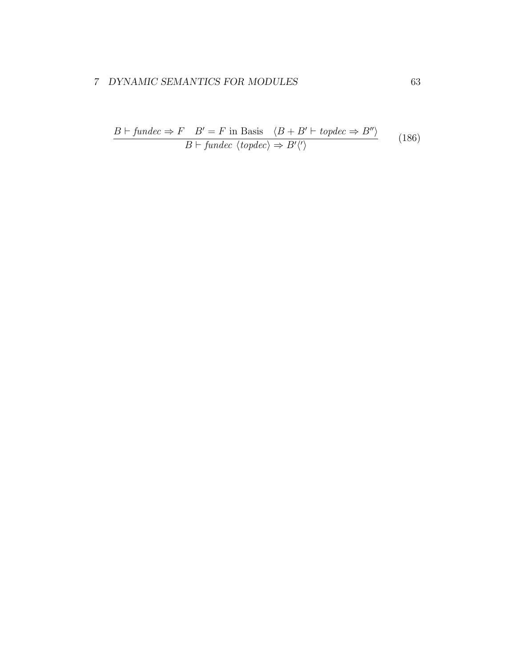$$
\frac{B \vdash fundec \Rightarrow F \quad B' = F \text{ in Basis} \quad \langle B + B' \vdash topdec \Rightarrow B'' \rangle}{B \vdash fundec \langle topdec \rangle \Rightarrow B' \langle \rangle} \tag{186}
$$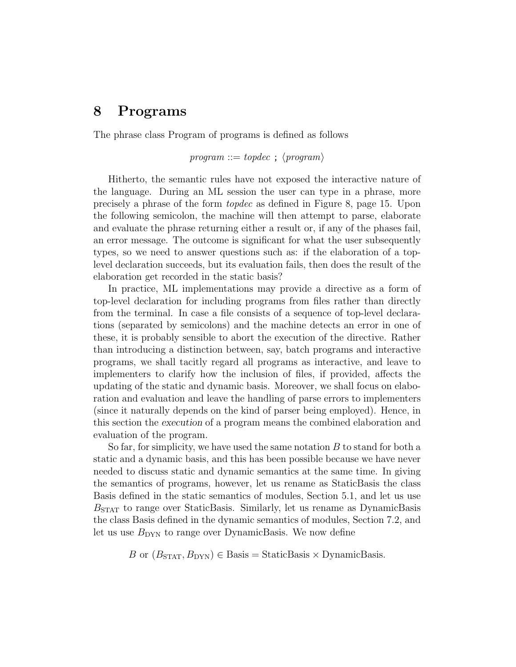# 8 Programs

The phrase class Program of programs is defined as follows

program ::= topdec ;  $\langle program \rangle$ 

Hitherto, the semantic rules have not exposed the interactive nature of the language. During an ML session the user can type in a phrase, more precisely a phrase of the form topdec as defined in Figure 8, page 15. Upon the following semicolon, the machine will then attempt to parse, elaborate and evaluate the phrase returning either a result or, if any of the phases fail, an error message. The outcome is significant for what the user subsequently types, so we need to answer questions such as: if the elaboration of a toplevel declaration succeeds, but its evaluation fails, then does the result of the elaboration get recorded in the static basis?

In practice, ML implementations may provide a directive as a form of top-level declaration for including programs from files rather than directly from the terminal. In case a file consists of a sequence of top-level declarations (separated by semicolons) and the machine detects an error in one of these, it is probably sensible to abort the execution of the directive. Rather than introducing a distinction between, say, batch programs and interactive programs, we shall tacitly regard all programs as interactive, and leave to implementers to clarify how the inclusion of files, if provided, affects the updating of the static and dynamic basis. Moreover, we shall focus on elaboration and evaluation and leave the handling of parse errors to implementers (since it naturally depends on the kind of parser being employed). Hence, in this section the execution of a program means the combined elaboration and evaluation of the program.

So far, for simplicity, we have used the same notation  $B$  to stand for both a static and a dynamic basis, and this has been possible because we have never needed to discuss static and dynamic semantics at the same time. In giving the semantics of programs, however, let us rename as StaticBasis the class Basis defined in the static semantics of modules, Section 5.1, and let us use  $B_{\text{STAT}}$  to range over StaticBasis. Similarly, let us rename as DynamicBasis the class Basis defined in the dynamic semantics of modules, Section 7.2, and let us use  $B_{\text{DYN}}$  to range over DynamicBasis. We now define

B or  $(B_{STAT}, B_{DYN}) \in Basis = StaticBasis \times DynamicBasis.$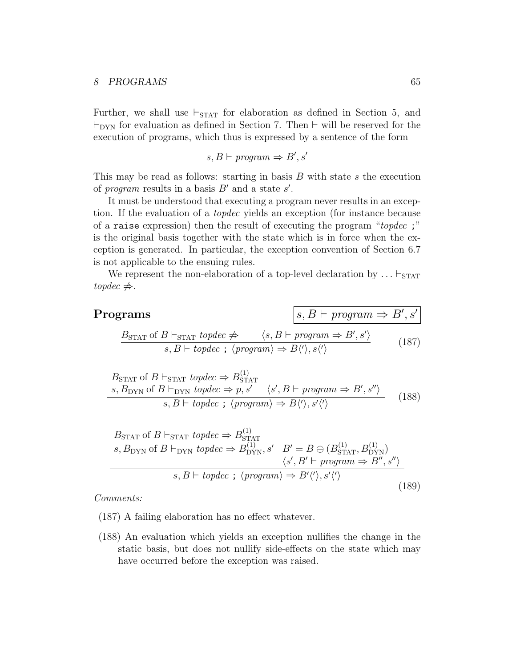Further, we shall use  $\vdash_{\text{STAT}}$  for elaboration as defined in Section 5, and  $\vdash_{\text{DYN}}$  for evaluation as defined in Section 7. Then  $\vdash$  will be reserved for the execution of programs, which thus is expressed by a sentence of the form

$$
s, B \vdash program \Rightarrow B', s'
$$

This may be read as follows: starting in basis  $B$  with state  $s$  the execution of program results in a basis  $B'$  and a state  $s'$ .

It must be understood that executing a program never results in an exception. If the evaluation of a topdec yields an exception (for instance because of a raise expression) then the result of executing the program "topdec ;" is the original basis together with the state which is in force when the exception is generated. In particular, the exception convention of Section 6.7 is not applicable to the ensuing rules.

We represent the non-elaboration of a top-level declaration by  $\dots$   $\vdash_{STAT}$  $to pdec \nArr$ .

# **Programs**  $\qquad s, B \vdash program \Rightarrow B', s'$

$$
\frac{B_{\text{STAT of }B \vdash_{\text{STAT}} topdec \not\Rightarrow} \langle s, B \vdash program \Rightarrow B', s' \rangle}{s, B \vdash topdec ; \langle program \rangle \Rightarrow B \langle \langle s, \langle \rangle \rangle} \tag{187}
$$

$$
B_{\text{STAT}} \text{ of } B \vdash_{\text{STAT}} topdec \Rightarrow B_{\text{STAT}}^{(1)}
$$
  
s,  $B_{\text{DYN}} \text{ of } B \vdash_{\text{DYN}} topdec \Rightarrow p, s' \quad \langle s', B \vdash program \Rightarrow B', s'' \rangle$   
s,  $B \vdash topdec ; \langle program \rangle \Rightarrow B \langle \rangle, s' \langle \rangle$  (188)

$$
B_{\text{STAT}} \text{ of } B \vdash_{\text{STAT}} topdec \Rightarrow B_{\text{STAT}}^{(1)}
$$
\n
$$
s, B_{\text{DYN}} \text{ of } B \vdash_{\text{DYN}} topdec \Rightarrow B_{\text{DYN}}^{(1)}, s' \quad B' = B \oplus (B_{\text{STAT}}^{(1)}, B_{\text{DYN}}^{(1)})
$$
\n
$$
\langle s', B' \vdash program \Rightarrow B'', s'' \rangle
$$
\n
$$
s, B \vdash topdec ; \langle program \rangle \Rightarrow B' \langle \rangle, s' \langle \rangle \tag{189}
$$

Comments:

- (187) A failing elaboration has no effect whatever.
- (188) An evaluation which yields an exception nullifies the change in the static basis, but does not nullify side-effects on the state which may have occurred before the exception was raised.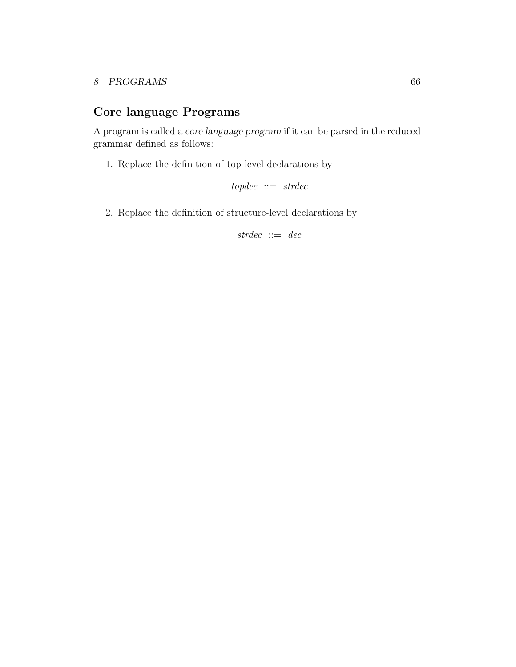# Core language Programs

A program is called a core language program if it can be parsed in the reduced grammar defined as follows:

1. Replace the definition of top-level declarations by

 $to pdec ::= strdec$ 

2. Replace the definition of structure-level declarations by

 $strdec ::= dec$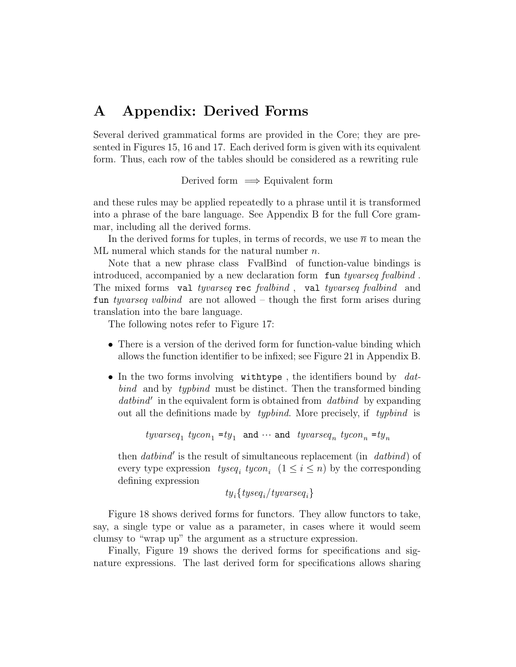# A Appendix: Derived Forms

Several derived grammatical forms are provided in the Core; they are presented in Figures 15, 16 and 17. Each derived form is given with its equivalent form. Thus, each row of the tables should be considered as a rewriting rule

Derived form  $\implies$  Equivalent form

and these rules may be applied repeatedly to a phrase until it is transformed into a phrase of the bare language. See Appendix B for the full Core grammar, including all the derived forms.

In the derived forms for tuples, in terms of records, we use  $\bar{n}$  to mean the ML numeral which stands for the natural number *n*.

Note that a new phrase class FvalBind of function-value bindings is introduced, accompanied by a new declaration form fun tyvarseq fvalbind. The mixed forms val tyvarseq rec fualbind, val tyvarseq fualbind and fun tyvarseq valbind are not allowed – though the first form arises during translation into the bare language.

The following notes refer to Figure 17:

- There is a version of the derived form for function-value binding which allows the function identifier to be infixed; see Figure 21 in Appendix B.
- In the two forms involving with type, the identifiers bound by  $dat$ bind and by typbind must be distinct. Then the transformed binding  $dational'$  in the equivalent form is obtained from  $dational$  by expanding out all the definitions made by *typbind*. More precisely, if *typbind* is

 $tyvarseq_1$   $tycon_1 = ty_1$  and  $\cdots$  and  $tyvarseq_n$   $tycon_n = ty_n$ 

then  $\alpha$  datbind' is the result of simultaneous replacement (in  $\alpha$  datbind) of every type expression  $\text{tys} \neq_i \text{tyc} \in (1 \leq i \leq n)$  by the corresponding defining expression

 $ty_i\{tyseq_i/tyvarseq_i\}$ 

Figure 18 shows derived forms for functors. They allow functors to take, say, a single type or value as a parameter, in cases where it would seem clumsy to "wrap up" the argument as a structure expression.

Finally, Figure 19 shows the derived forms for specifications and signature expressions. The last derived form for specifications allows sharing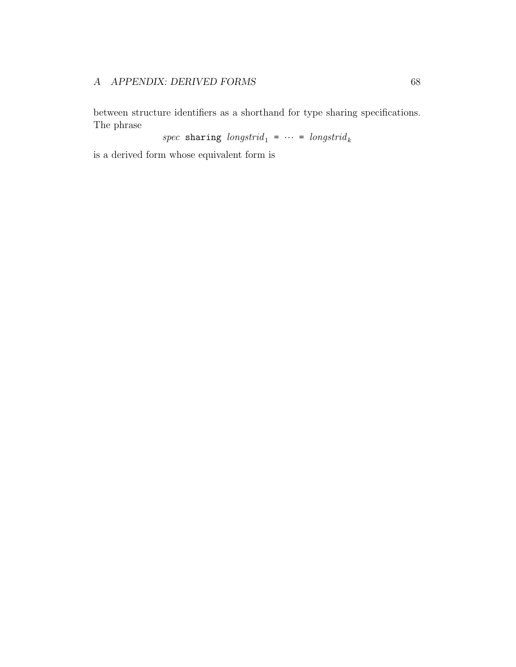# A APPENDIX: DERIVED FORMS 68

between structure identifiers as a shorthand for type sharing specifications. The phrase

 ${\it spec~sharing~longstrid}_1 ~ = ~ \cdots ~ = ~longstrid_k$ 

is a derived form whose equivalent form is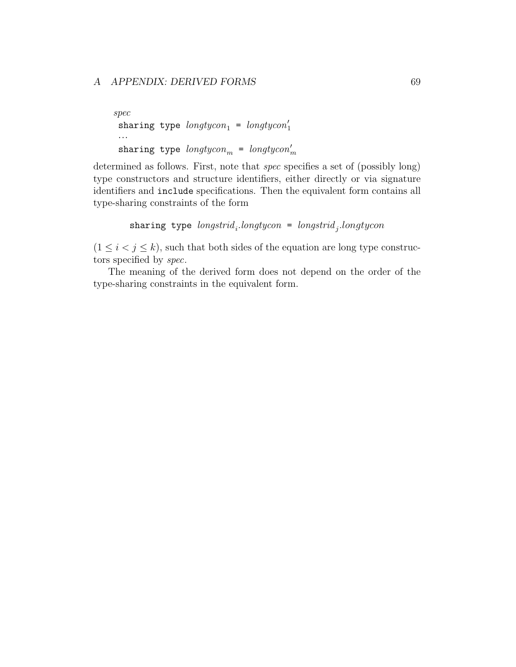spec sharing type  $longtycon_1 = longtycon'_1$ ··· sharing type  $\textit{longtycon}_m$  =  $\textit{longtycon}'_m$ 

determined as follows. First, note that spec specifies a set of (possibly long) type constructors and structure identifiers, either directly or via signature identifiers and include specifications. Then the equivalent form contains all type-sharing constraints of the form

```
sharing type longstrid_i.longtycon = longstrid_j.longtycon
```
 $(1 \leq i < j \leq k)$ , such that both sides of the equation are long type constructors specified by spec.

The meaning of the derived form does not depend on the order of the type-sharing constraints in the equivalent form.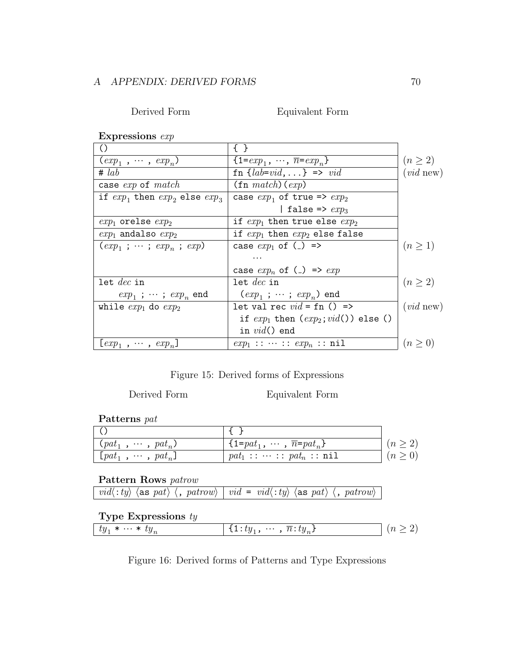Expressions exp

|                                      | { }                                         |              |
|--------------------------------------|---------------------------------------------|--------------|
| $(exp_1, \cdots, exp_n)$             | $\{1=exp_1, \ldots, \overline{n}=exp_n\}$   | $(n \geq 2)$ |
| # lab                                | fn $\{lab = vid, \}$ => $vid$               | (vid new)    |
| case $exp$ of match                  | $(\text{fn} \; match) \; (exp)$             |              |
| if $exp_1$ then $exp_2$ else $exp_3$ | case $exp_1$ of true => $exp_2$             |              |
|                                      | false => $exp_3$                            |              |
| $exp_1$ orelse $exp_2$               | if $exp_1$ then true else $exp_2$           |              |
| $exp_1$ andalso $exp_2$              | if $exp_1$ then $exp_2$ else false          |              |
| $(exp_1; \cdots; exp_n; exp)$        | case $exp_1$ of (_) =>                      | $(n \geq 1)$ |
|                                      | $\cdots$                                    |              |
|                                      | case $exp_n$ of (_) => $exp$                |              |
| $let$ $dec$ in                       | let $dec$ in                                | $(n \geq 2)$ |
| $exp_1$ ; $\cdots$ ; $exp_n$ end     | $(exp_1; \dots; exp_n)$ end                 |              |
| while $exp_1$ do $exp_2$             | let val rec $vid = \text{fn}() \Rightarrow$ | (vid new)    |
|                                      | if $exp_1$ then $(exp_2; vid())$ else ()    |              |
|                                      | in $vid()$ end                              |              |
| $[exp_1, \cdots, exp_n]$             | $exp_1 :: \cdots :: exp_n :: \texttt{nil}$  | $(n \geq 0)$ |

#### Figure 15: Derived forms of Expressions

Derived Form Equivalent Form

Patterns pat

| $\vert$ (pat <sub>1</sub> , $\cdots$ , pat <sub>n</sub> )         | $\vert$ {1=pat <sub>1</sub> , $\cdots$ , $\overline{n}$ =pat <sub>n</sub> } | (n > 2)      |
|-------------------------------------------------------------------|-----------------------------------------------------------------------------|--------------|
| $\lceil \text{[pat}_1, \cdots, \text{pat}_n \rceil \rceil \rceil$ | $pat_1 :: \cdots :: pat_n :: \texttt{nil}$                                  | $(n \geq 0)$ |

### Pattern Rows patrow

 $\langle vid \rangle : ty \rangle$  (as pation)  $\langle vid \rangle \langle vid = vid \langle vid \rangle$  (as pation)

# Type Expressions ty

|--|

Figure 16: Derived forms of Patterns and Type Expressions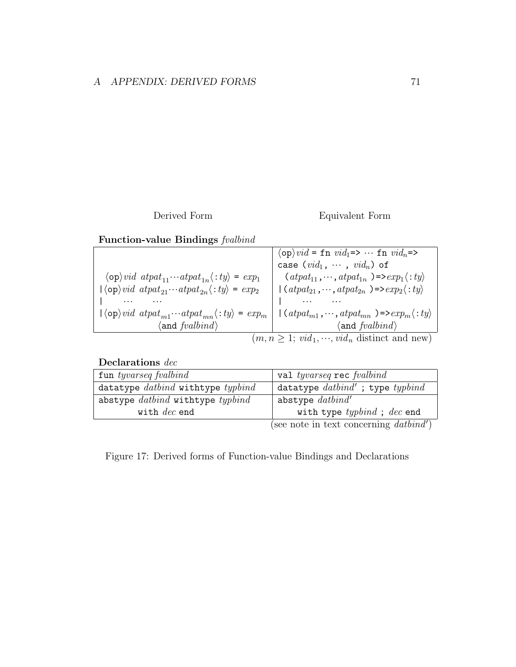Function-value Bindings fvalbind

|                                                                                            | $\langle op \rangle$ vid = fn vid <sub>1</sub> => $\cdots$ fn vid <sub>n</sub> =>                                       |
|--------------------------------------------------------------------------------------------|-------------------------------------------------------------------------------------------------------------------------|
|                                                                                            | case $(vid_1, \cdots, vid_n)$ of                                                                                        |
| $\langle op \rangle$ vid $atpat_{11}\cdots atpat_{1n} \langle :ty \rangle = exp_1$         | $\langle \textit{atpat}_{11}, \cdots, \textit{atpat}_{1n} \rangle \Longrightarrow \exp_1 \langle : \textit{ty} \rangle$ |
| $\langle \text{op} \rangle$ vid $atpat_{21} \cdots atpat_{2n} \langle :ty \rangle = exp_2$ | $\langle (atpat_{21}, \cdots, atpat_{2n}) \Rightarrow exp_2 \langle :ty \rangle$                                        |
|                                                                                            |                                                                                                                         |
| $\langle \text{op} \rangle$ vid $atpat_{m1} \cdots atpat_{mn} \langle :ty \rangle = exp_m$ | $\langle (atpat_{m1}, \cdots, atpat_{mn}) \rangle = \rangle exp_m \langle :ty \rangle$                                  |
| $\langle$ and $\emph{fvalbind}\rangle$                                                     | $\langle$ and $fvalbind\rangle$                                                                                         |
|                                                                                            | $(m, n \geq 1; \text{vid}_1, \cdots, \text{vid}_n \text{ distinct and new})$                                            |

## Declarations dec

| fun tyvarseq fvalbind                           | $\vert$ val tyvarseq rec fualbind     |
|-------------------------------------------------|---------------------------------------|
| datatype <i>datbind</i> withtype typbind        | datatype $dational'$ ; type $typbind$ |
| abstype <i>datbind</i> with type <i>typbind</i> | abstype $dational'$                   |
| with $dec$ end                                  | with type $typbind$ ; $dec$ end       |
|                                                 |                                       |

(see note in text concerning  $\text{dational}'$ )

Figure 17: Derived forms of Function-value Bindings and Declarations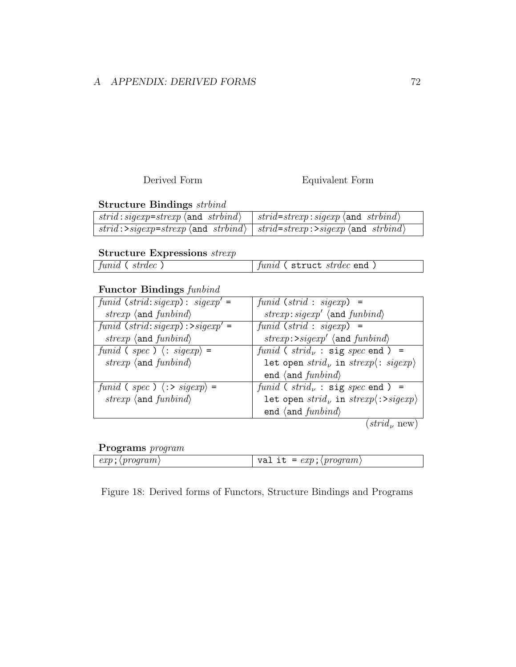## Structure Bindings strbind

| $\mid$ strid: sigexp=strexp $\langle$ and strbind $\rangle$ $\mid$ strid=strexp: sigexp $\langle$ and strbind $\rangle$ |  |
|-------------------------------------------------------------------------------------------------------------------------|--|
| $strict: \gt{sigexp=strexp \cdot \text{and} strbind}$ $  strid = strexp : \gt{sigexp \cdot \text{and} strbind}$         |  |

# Structure Expressions strexp

| $\int$ funid<br>strdec | funid (struct strdec end |
|------------------------|--------------------------|
|                        |                          |

# Functor Bindings funbind

| funid $(\textit{strid}: \textit{sigexp}): \textit{sigexp}'$ =  | funid $(\textit{strid}: \textit{sigexp})$ =                                                              |
|----------------------------------------------------------------|----------------------------------------------------------------------------------------------------------|
| strexp $\langle$ and funbind $\rangle$                         | strexp: $\text{sigexp}'$ $\langle$ and $\text{funbind} \rangle$                                          |
| funid $(\textit{strid}: \textit{sigexp}): \textit{ssigexp}'$ = | funid $(\text{strid}: \text{sigexp})$ =                                                                  |
| strexp $\langle$ and funbind $\rangle$                         | strexp:>sigexp' $\langle$ and funbind $\rangle$                                                          |
| funid (spec) $\langle : \text{sigexp} \rangle =$               | funid ( $strid_{\nu}$ : sig spec end) =                                                                  |
| strexp $\langle$ and funbind $\rangle$                         | let open $\text{strid}_{\nu}$ in $\text{strexp}\langle : \text{sigexp} \rangle$                          |
|                                                                | end $\langle$ and $\text{funbind}$                                                                       |
| funid (spec) $\langle : \rangle$ sigexp $\rangle$ =            | funid ( $strid_{\nu}$ : sig spec end) =                                                                  |
| strexp $\langle$ and funbind $\rangle$                         | let open $\text{strid}_{\nu}$ in $\text{strexp}\langle\cdot\rangle\text{} \rightarrow \text{grp}\rangle$ |
|                                                                | end $\langle$ and $\text{funbind}$                                                                       |

 $\overline{(strid_{\nu} \text{ new})}$ 

#### Programs program

| . |  |
|---|--|
|   |  |
|   |  |

Figure 18: Derived forms of Functors, Structure Bindings and Programs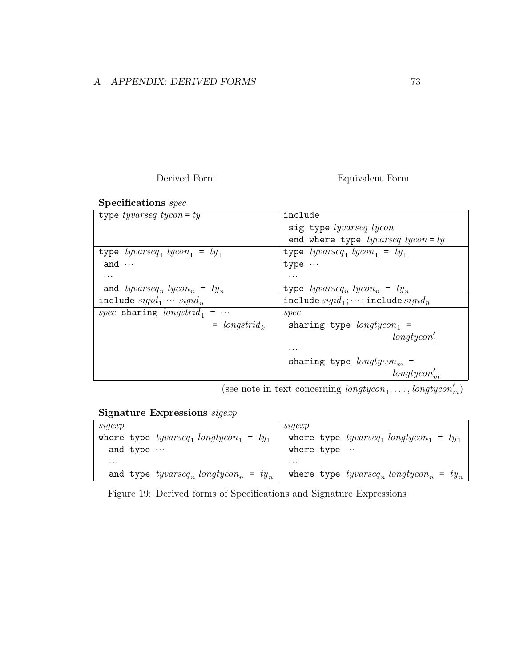#### Specifications spec

| type tyvarseq tycon = ty                                       | include                                       |
|----------------------------------------------------------------|-----------------------------------------------|
|                                                                | sig type tyvarseq tycon                       |
|                                                                | end where type $tyvarseq$ $tycon = ty$        |
| type $tyvarseq_1$ $tycon_1$ = $ty_1$                           | type $tyvarseq_1$ $tycon_1$ = $ty_1$          |
| and $\cdots$                                                   | type                                          |
| $\cdots$                                                       | $\cdots$                                      |
| and tyvarseq <sub>n</sub> tycon <sub>n</sub> = ty <sub>n</sub> | type $tyvarseq_n$ tycon <sub>n</sub> = $ty_n$ |
| include $sigid_1 \cdots sigid_n$                               | include $sigid_1; \dots;$ include $sigid_n$   |
| spec sharing $longstrid_1 = \cdots$                            | spec                                          |
| $=$ longstrid <sub>k</sub>                                     | sharing type $longtycon_1$ =                  |
|                                                                | $longtycon'_{1}$                              |
|                                                                | $\cdots$                                      |
|                                                                | sharing type $longtycon_m =$                  |
|                                                                | $longtycon'_{m}$                              |

(see note in text concerning  $\mathit{longtycon}_1, \ldots, \mathit{longtycon}'_m$ )

# Signature Expressions sigexp

| $\mathit{stagexp}$ |                   |                                                                  | $\mathit{stagexp}$  |  |                                                                  |  |
|--------------------|-------------------|------------------------------------------------------------------|---------------------|--|------------------------------------------------------------------|--|
|                    |                   | where type $tyvarseq_1$ longtycon <sub>1</sub> = ty <sub>1</sub> |                     |  | where type $tyvarseq_1$ longtycon <sub>1</sub> = ty <sub>1</sub> |  |
|                    | and type $\cdots$ |                                                                  | where type $\cdots$ |  |                                                                  |  |
| $\cdots$           |                   |                                                                  | $\cdots$            |  |                                                                  |  |
|                    |                   | and type $tyvarseq_n$ longtycon <sub>n</sub> = $ty_n$            |                     |  | where type $tyvarseq_n$ longtycon <sub>n</sub> = $ty_n$          |  |

Figure 19: Derived forms of Specifications and Signature Expressions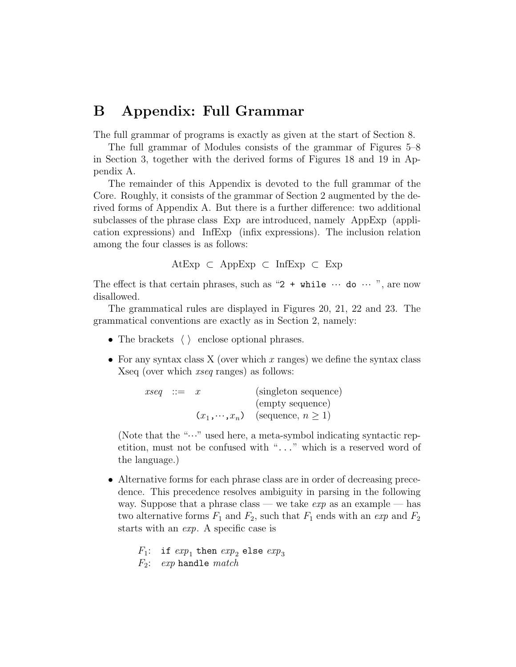# B Appendix: Full Grammar

The full grammar of programs is exactly as given at the start of Section 8.

The full grammar of Modules consists of the grammar of Figures 5–8 in Section 3, together with the derived forms of Figures 18 and 19 in Appendix A.

The remainder of this Appendix is devoted to the full grammar of the Core. Roughly, it consists of the grammar of Section 2 augmented by the derived forms of Appendix A. But there is a further difference: two additional subclasses of the phrase class Exp are introduced, namely AppExp (application expressions) and InfExp (infix expressions). The inclusion relation among the four classes is as follows:

AtExp  $\subset$  AppExp  $\subset$  InfExp  $\subset$  Exp

The effect is that certain phrases, such as "2 + while  $\cdots$  do  $\cdots$  ", are now disallowed.

The grammatical rules are displayed in Figures 20, 21, 22 and 23. The grammatical conventions are exactly as in Section 2, namely:

- The brackets  $\langle \rangle$  enclose optional phrases.
- For any syntax class X (over which x ranges) we define the syntax class Xseq (over which xseq ranges) as follows:

| $xseq \therefore x = x$ | (singleton sequence)                        |
|-------------------------|---------------------------------------------|
|                         | (empty sequence)                            |
|                         | $(x_1, \dots, x_n)$ (sequence, $n \geq 1$ ) |

(Note that the "..." used here, a meta-symbol indicating syntactic repetition, must not be confused with "..." which is a reserved word of the language.)

• Alternative forms for each phrase class are in order of decreasing precedence. This precedence resolves ambiguity in parsing in the following way. Suppose that a phrase class — we take  $\exp$  as an example — has two alternative forms  $F_1$  and  $F_2$ , such that  $F_1$  ends with an exp and  $F_2$ starts with an exp. A specific case is

```
F_1: if exp_1 then exp_2 else exp_3F_2: exp handle match
```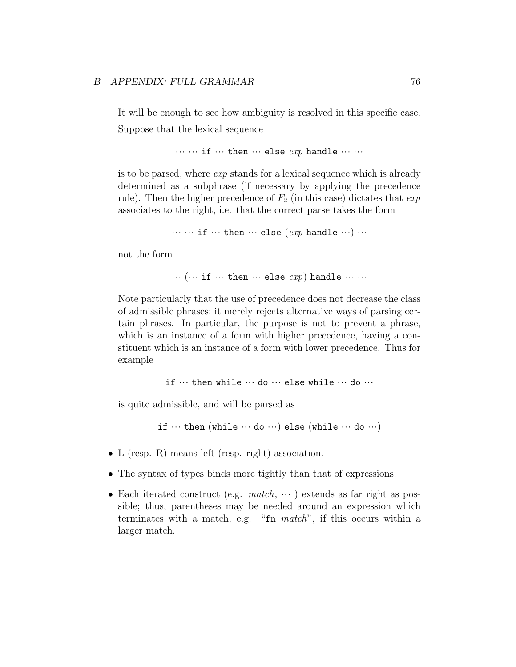#### B APPENDIX: FULL GRAMMAR 76

It will be enough to see how ambiguity is resolved in this specific case. Suppose that the lexical sequence

```
\cdots if \cdots then \cdots else \exp handle \cdots \cdots
```
is to be parsed, where exp stands for a lexical sequence which is already determined as a subphrase (if necessary by applying the precedence rule). Then the higher precedence of  $F_2$  (in this case) dictates that  $exp$ associates to the right, i.e. that the correct parse takes the form

```
\cdots if \cdots then \cdots else (exp \; \text{handle} \; \cdots) \cdots
```
not the form

 $\cdots$  ( $\cdots$  if  $\cdots$  then  $\cdots$  else  $exp$ ) handle  $\cdots$   $\cdots$ 

Note particularly that the use of precedence does not decrease the class of admissible phrases; it merely rejects alternative ways of parsing certain phrases. In particular, the purpose is not to prevent a phrase, which is an instance of a form with higher precedence, having a constituent which is an instance of a form with lower precedence. Thus for example

if ··· then while ··· do ··· else while ··· do ···

is quite admissible, and will be parsed as

if  $\cdots$  then (while  $\cdots$  do  $\cdots$ ) else (while  $\cdots$  do  $\cdots$ )

- L (resp. R) means left (resp. right) association.
- The syntax of types binds more tightly than that of expressions.
- Each iterated construct (e.g.  $match, \dots$ ) extends as far right as possible; thus, parentheses may be needed around an expression which terminates with a match, e.g. "fn match", if this occurs within a larger match.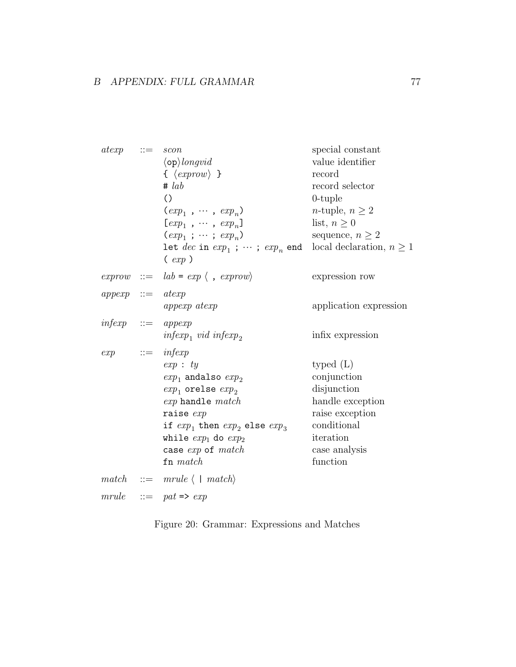| $\emph{atexp}$             | $ ::=$ $scon$<br>$\langle op \rangle$ <i>longvid</i><br>$\{ \langle \text{exprow} \rangle \}$<br># lab<br>$\left( \right)$<br>$(exp_1, \cdots, exp_n)$<br>$[exp_1, \cdots, exp_n]$<br>$(exp_1; \cdots; exp_n)$ | special constant<br>value identifier<br>record<br>record selector<br>$0$ -tuple<br><i>n</i> -tuple, $n \geq 2$<br>list, $n \geq 0$<br>sequence, $n \geq 2$ |
|----------------------------|----------------------------------------------------------------------------------------------------------------------------------------------------------------------------------------------------------------|------------------------------------------------------------------------------------------------------------------------------------------------------------|
|                            | let $dec$ in $exp_{1}$ ; $\cdots$ ; $exp_{n}$ end<br>$(\exp)$                                                                                                                                                  | local declaration, $n \geq 1$                                                                                                                              |
|                            | $\exp row \ ::= \ lab = \exp \langle , \exp row \rangle$                                                                                                                                                       | expression row                                                                                                                                             |
| $appexp$ ::= $atexp$       | appexp atexp                                                                                                                                                                                                   | application expression                                                                                                                                     |
| $\text{infexp}$ ::= appexp | $infexp1$ vid $infexp2$                                                                                                                                                                                        | infix expression                                                                                                                                           |
| $exp$ ::= $infexp$         | exp:ty<br>$exp_1$ andalso $exp_2$<br>$exp_1$ orelse $exp_2$<br>$exp$ handle $match$<br>raise $exp$<br>if $exp_1$ then $exp_2$ else $exp_3$<br>while $exp_1$ do $exp_2$<br>case $exp$ of match<br>fn match      | typed $(L)$<br>conjunction<br>disjunction<br>handle exception<br>raise exception<br>conditional<br>iteration<br>case analysis<br>function                  |
|                            | $match$ ::= $mrule \langle   match \rangle$                                                                                                                                                                    |                                                                                                                                                            |
|                            | $mrule \quad ::= \quad pat \Rightarrow exp$                                                                                                                                                                    |                                                                                                                                                            |

Figure 20: Grammar: Expressions and Matches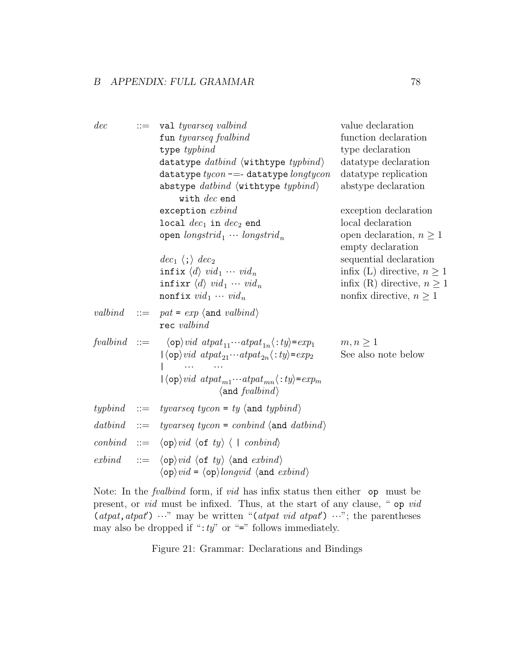#### B APPENDIX: FULL GRAMMAR 78

| dec                                                                                                                                                                                                         | $\mathrel{\mathop:}=$ | val tyvarseq valbind                                                                                                                                                                                                 | value declaration                                 |
|-------------------------------------------------------------------------------------------------------------------------------------------------------------------------------------------------------------|-----------------------|----------------------------------------------------------------------------------------------------------------------------------------------------------------------------------------------------------------------|---------------------------------------------------|
|                                                                                                                                                                                                             |                       | fun tyvarseq fvalbind                                                                                                                                                                                                | function declaration                              |
|                                                                                                                                                                                                             |                       | type $typbind$                                                                                                                                                                                                       | type declaration                                  |
|                                                                                                                                                                                                             |                       | datatype $dational$ (with type $typbind$ )                                                                                                                                                                           | datatype declaration                              |
|                                                                                                                                                                                                             |                       | datatype $tycon ==$ datatype $longtycon$                                                                                                                                                                             | data type replication                             |
|                                                                                                                                                                                                             |                       | abstype $\textit{dational}$ (withtype $\textit{typbind}$ )<br>with $dec$ end                                                                                                                                         | abstype declaration                               |
|                                                                                                                                                                                                             |                       | $exception\;~exbind$                                                                                                                                                                                                 | exception declaration                             |
|                                                                                                                                                                                                             |                       | local $dec_1$ in $dec_2$ end                                                                                                                                                                                         | local declaration                                 |
|                                                                                                                                                                                                             |                       | open $longstrid_1 \cdots longstrid_n$                                                                                                                                                                                | open declaration, $n \geq 1$<br>empty declaration |
|                                                                                                                                                                                                             |                       | $dec_1 \langle ; \rangle$ dec <sub>2</sub>                                                                                                                                                                           | sequential declaration                            |
|                                                                                                                                                                                                             |                       | infix $\langle d \rangle$ vid <sub>1</sub> $\cdots$ vid <sub>n</sub>                                                                                                                                                 | infix (L) directive, $n \geq 1$                   |
|                                                                                                                                                                                                             |                       | infixr $\langle d \rangle$ vid <sub>1</sub> $\cdots$ vid <sub>n</sub>                                                                                                                                                | infix (R) directive, $n \geq 1$                   |
|                                                                                                                                                                                                             |                       | nonfix $vid_1 \cdots$ $vid_n$                                                                                                                                                                                        | nonfix directive, $n \geq 1$                      |
|                                                                                                                                                                                                             |                       | valbind $ ::=$ pat = exp $\langle$ and valbind $\rangle$<br>rec valbind                                                                                                                                              |                                                   |
|                                                                                                                                                                                                             |                       | fualbind ::= $\langle op \rangle$ vid at pat <sub>11</sub> $\cdots$ at pat <sub>1n</sub> $\langle :ty \rangle = exp_1$<br>$\langle \text{op} \rangle$ vid $atpat_{21} \cdots atpat_{2n} \langle :ty \rangle = exp_2$ | $m, n \geq 1$<br>See also note below              |
|                                                                                                                                                                                                             |                       | $\langle \text{op} \rangle$ vid $atpat_{m1} \cdots atpat_{mn} \langle :ty \rangle = exp_m$<br>$\langle$ and fvalbind $\rangle$                                                                                       |                                                   |
|                                                                                                                                                                                                             |                       | typbind ::= tyvarseq tycon = ty $\langle$ and typbind $\rangle$                                                                                                                                                      |                                                   |
| $dational$ ::=                                                                                                                                                                                              |                       | <i>tyvarseq tycon</i> = <i>conbind</i> $\langle$ and <i>datbind</i> $\rangle$                                                                                                                                        |                                                   |
|                                                                                                                                                                                                             |                       | conbind ::= $\langle op \rangle$ vid $\langle of \, ty \rangle$ $\langle \,   \, \text{conbind} \rangle$                                                                                                             |                                                   |
| exbind $\cdots = \langle op \rangle \text{vid} \langle of \text{ty} \rangle \langle and \text{exbind} \rangle$<br>$\langle op \rangle$ $vid = \langle op \rangle$ longvid $\langle$ and $\langle x \rangle$ |                       |                                                                                                                                                                                                                      |                                                   |

Note: In the fvalbind form, if vid has infix status then either op must be present, or vid must be infixed. Thus, at the start of any clause, " op vid (atpat, atpat')  $\cdots$ " may be written "(atpat vid atpat')  $\cdots$ "; the parentheses may also be dropped if " $:ty$ " or "=" follows immediately.

Figure 21: Grammar: Declarations and Bindings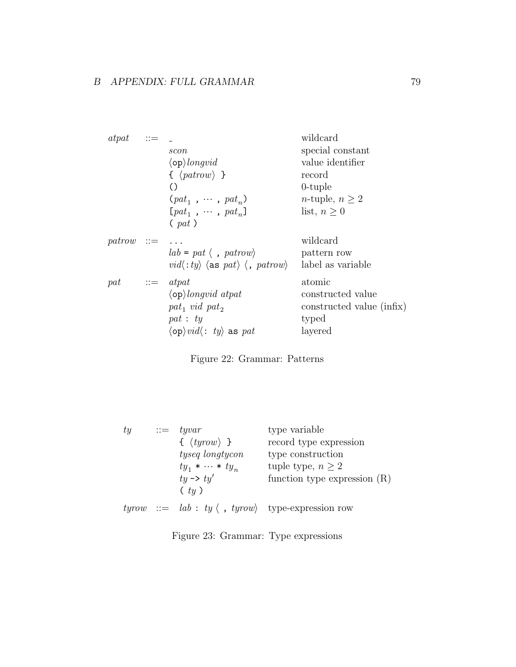| atpat  | $\mathbb{C} =$          |                                                                        | wildcard                    |
|--------|-------------------------|------------------------------------------------------------------------|-----------------------------|
|        |                         | scon                                                                   | special constant            |
|        |                         | $\langle op \rangle$ <i>longvid</i>                                    | value identifier            |
|        |                         | $\{$ (patrow) }                                                        | record                      |
|        |                         | $\left( \right)$                                                       | $0$ -tuple                  |
|        |                         | $(path_1, \cdots, pat_n)$                                              | <i>n</i> -tuple, $n \geq 2$ |
|        |                         | $[pat_1, \cdots, pat_n]$                                               | list, $n > 0$               |
|        |                         | $(\text{pat})$                                                         |                             |
| patrow | $\mathbb{C}=\mathbb{C}$ |                                                                        | wildcard                    |
|        |                         | $lab = pat \langle$ , patrow $\rangle$                                 | pattern row                 |
|        |                         | $vid\langle :ty\rangle$ $\langle$ as pat $\rangle$ $\langle$ , patrow) | label as variable           |
| pat    | $\therefore \mathbf{m}$ | atpat                                                                  | atomic                      |
|        |                         | $\langle op \rangle$ longvid atpat                                     | constructed value           |
|        |                         | $pat_1$ vid pat.                                                       | constructed value (infix)   |
|        |                         | pat:ty                                                                 | typed                       |
|        |                         | $\langle$ op $\rangle$ <i>vid</i> $\langle :$ ty $\rangle$ as pat      | layered                     |
|        |                         |                                                                        |                             |

Figure 22: Grammar: Patterns

| $ty$                          | $::=$                        | $tyvar$                            | $type$ variable     |
|-------------------------------|------------------------------|------------------------------------|---------------------|
| $\{ \langle tyrow \rangle \}$ | record type expression       |                                    |                     |
| $tyseq$ <i>longtycon</i>      | type construction            |                                    |                     |
| $ty_1 * \cdots * ty_n$        | tuple type, $n \geq 2$       |                                    |                     |
| $ty \rightarrow ty'$          | function type expression (R) |                                    |                     |
| $(ty)$                        |                              |                                    |                     |
| $tyrow$                       | $:=$                         | $lab : ty \langle , tyrow \rangle$ | type-expression row |

Figure 23: Grammar: Type expressions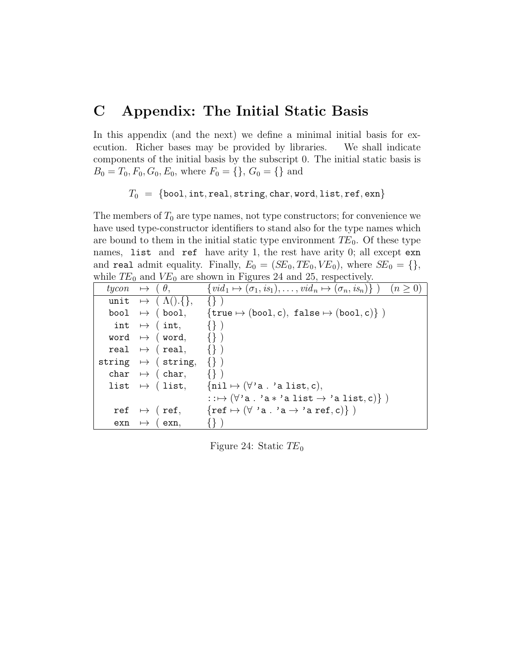# C Appendix: The Initial Static Basis

In this appendix (and the next) we define a minimal initial basis for execution. Richer bases may be provided by libraries. We shall indicate components of the initial basis by the subscript 0. The initial static basis is  $B_0 = T_0, F_0, G_0, E_0$ , where  $F_0 = \{\}, G_0 = \{\}$  and

 $T_0 = \{bool, int, real, string, char, word, list, ref, exam\}$ 

The members of  $T_0$  are type names, not type constructors; for convenience we have used type-constructor identifiers to stand also for the type names which are bound to them in the initial static type environment  $TE_0$ . Of these type names, list and ref have arity 1, the rest have arity 0; all except exn and real admit equality. Finally,  $E_0 = (SE_0, TE_0, VE_0)$ , where  $SE_0 = \{\},\$ while  $TE_0$  and  $VE_0$  are shown in Figures 24 and 25, respectively.

| $tycon \rightarrow (\theta,$              | $\{vid_1 \mapsto (\sigma_1, is_1), \dots, vid_n \mapsto (\sigma_n, is_n)\}\)$ $(n \geq 0)$ |
|-------------------------------------------|--------------------------------------------------------------------------------------------|
| unit $\mapsto (\Lambda(.).\{\},\$         |                                                                                            |
| $\texttt{bool}\ \mapsto\ (\texttt{bool},$ | $\{true \mapsto (bool, c), false \mapsto (bool, c) \}$ )                                   |
| int $\mapsto$ (int,                       | $\{\}\)$                                                                                   |
| word $\mapsto$ (word, {})                 |                                                                                            |
| $real \rightarrow (real,$                 | $\{\}\)$                                                                                   |
| string $\mapsto$ (string,                 | $\{\}\)$                                                                                   |
| $char \rightarrow (char,$                 | $\{\}$ )                                                                                   |
|                                           | list $\mapsto$ (list, $\{\text{nil}\mapsto (\forall'\text{a}.'\text{a list},c),\}$         |
|                                           | :: $\mapsto (\forall'$ a.'a*'a list $\rightarrow$ 'a list, c)})                            |
| $ref \rightarrow (ref,$                   | $\{ref \mapsto (\forall \text{'}a. \text{'}a \rightarrow \text{'a ref}, c)\})$             |
| $ext{exn} \rightarrow (ext{exn},$         |                                                                                            |

Figure 24: Static  $TE_0$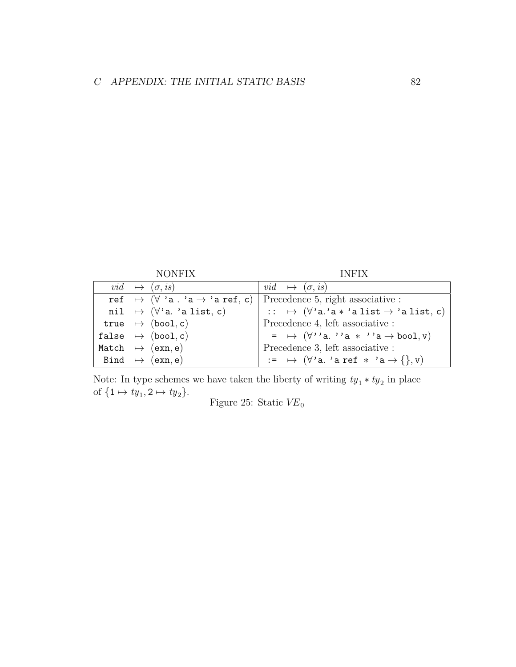NONFIX INFIX

|                         | $vid \rightarrow (\sigma, is)$           | vid $\mapsto (\sigma, is)$                                                                                           |
|-------------------------|------------------------------------------|----------------------------------------------------------------------------------------------------------------------|
|                         |                                          | ref $\mapsto (\forall \; a \cdot a \rightarrow a \; \text{ref}, \; c) \mid \text{Precedence 5, right associative :}$ |
|                         | nil $\mapsto$ $(\forall$ 'a. 'a list, c) | $\cdots$ $\mapsto$ $(\forall$ 'a.'a*'alist $\rightarrow$ 'alist, c)                                                  |
|                         | true $\mapsto$ (bool, c)                 | Precedence 4, left associative :                                                                                     |
|                         | false $\mapsto$ (bool, c)                | $=$ $\mapsto$ $(\forall$ ''a.''a * ''a $\rightarrow$ bool, v)                                                        |
|                         | Match $\mapsto$ (exn, e)                 | Precedence 3, left associative :                                                                                     |
| Bind $\mapsto$ (exn, e) |                                          | $\;\;:=\;\;\mapsto\;(\forall\;{\rm a.}\;{\rm a\;ref}\;*\;{\rm a}\to\{\},\mathrm{v})$                                 |
|                         |                                          |                                                                                                                      |

Note: In type schemes we have taken the liberty of writing  $ty_1 * ty_2$  in place of  $\{1 \mapsto ty_1, 2 \mapsto ty_2\}.$ 

Figure 25: Static  ${\ensuremath{V\!E}}_0$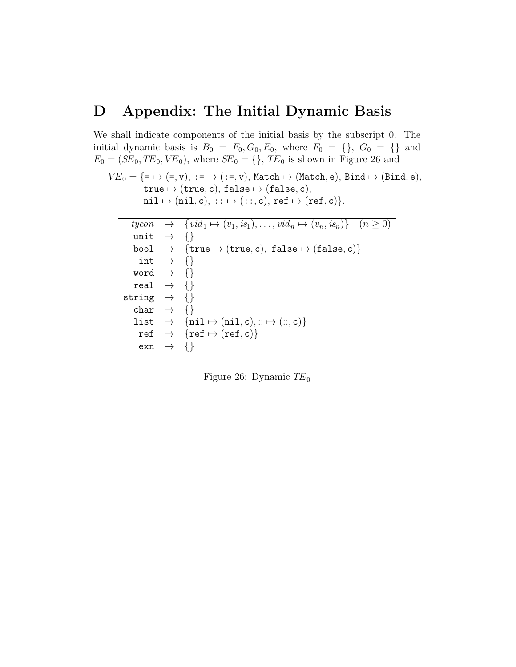# D Appendix: The Initial Dynamic Basis

We shall indicate components of the initial basis by the subscript 0. The initial dynamic basis is  $B_0 = F_0, G_0, E_0$ , where  $F_0 = \{\}, G_0 = \{\}\$ and  $E_0 = (SE_0, TE_0, VE_0)$ , where  $SE_0 = \{\}, TE_0$  is shown in Figure 26 and

$$
VE_0 = \{ = \mapsto (=, v), := \mapsto (: =, v), \text{Match} \mapsto (\text{Match}, e), \text{ Bind} \mapsto (\text{Bind}, e),
$$
  
true  $\mapsto (\text{true}, c), \text{false} \mapsto (\text{false}, c),$   
nil  $\mapsto (\text{nil}, c), :: \mapsto (:, c), \text{ref} \mapsto (\text{ref}, c) \}.$ 

|                             | $t y con \rightarrow \{ vid_1 \mapsto (v_1, is_1), \dots, vid_n \mapsto (v_n, is_n) \}$ $(n \geq 0)$ |
|-----------------------------|------------------------------------------------------------------------------------------------------|
| unit $\mapsto \{\}$         |                                                                                                      |
|                             | bool $\mapsto$ {true $\mapsto$ (true, c), false $\mapsto$ (false, c)}                                |
| int $\mapsto \{\}$          |                                                                                                      |
| word $\mapsto \{\}$         |                                                                                                      |
| real $\mapsto \{\}$         |                                                                                                      |
| string $\mapsto \{\}$       |                                                                                                      |
| char $\mapsto \{\}$         |                                                                                                      |
|                             | list $\mapsto$ {nil $\mapsto$ (nil, c), $:: \mapsto$ (::, c)}                                        |
|                             | ref $\mapsto$ {ref $\mapsto$ (ref, c)}                                                               |
| $ext{exn} \rightarrow \{\}$ |                                                                                                      |

Figure 26: Dynamic TE<sup>0</sup>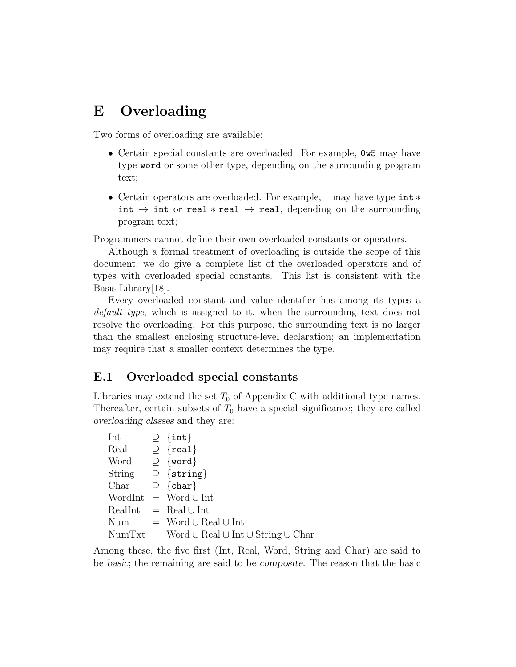# E Overloading

Two forms of overloading are available:

- Certain special constants are overloaded. For example, 0w5 may have type word or some other type, depending on the surrounding program text;
- Certain operators are overloaded. For example, + may have type int ∗ int  $\rightarrow$  int or real  $*$  real  $\rightarrow$  real, depending on the surrounding program text;

Programmers cannot define their own overloaded constants or operators.

Although a formal treatment of overloading is outside the scope of this document, we do give a complete list of the overloaded operators and of types with overloaded special constants. This list is consistent with the Basis Library<sup>[18]</sup>.

Every overloaded constant and value identifier has among its types a default type, which is assigned to it, when the surrounding text does not resolve the overloading. For this purpose, the surrounding text is no larger than the smallest enclosing structure-level declaration; an implementation may require that a smaller context determines the type.

# E.1 Overloaded special constants

Libraries may extend the set  $T_0$  of Appendix C with additional type names. Thereafter, certain subsets of  $T_0$  have a special significance; they are called overloading classes and they are:

Int  $\supseteq$  {int} Real  $\supset$  {real} Word ⊇ {word} String ⊇ {string} Char  $\supseteq$  {char} WordInt = Word ∪ Int RealInt = Real ∪ Int Num  $=$  Word ∪ Real ∪ Int NumTxt = Word ∪ Real ∪ Int ∪ String ∪ Char

Among these, the five first (Int, Real, Word, String and Char) are said to be basic; the remaining are said to be composite. The reason that the basic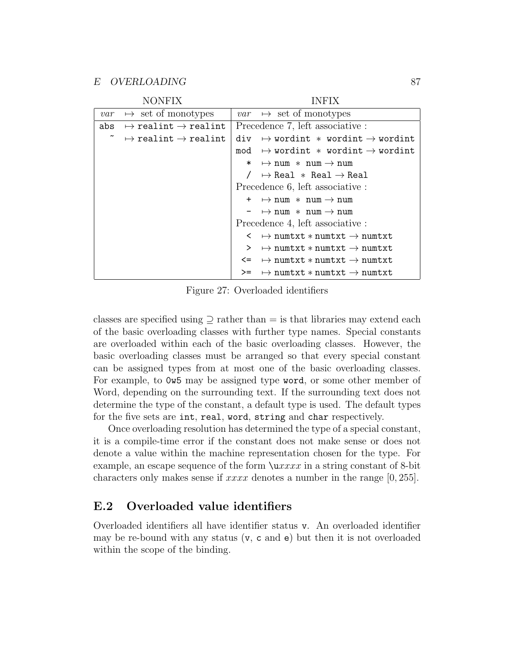|     | <b>NONFIX</b>                               |        | <b>INFIX</b>                                                  |
|-----|---------------------------------------------|--------|---------------------------------------------------------------|
| var | $\mapsto$ set of monotypes                  |        | $var \rightarrow$ set of monotypes                            |
|     | abs $\mapsto$ realint $\rightarrow$ realint |        | Precedence 7, left associative :                              |
|     | $\mapsto$ realint $\rightarrow$ realint     |        | div $\mapsto$ wordint $*$ wordint $\rightarrow$ wordint       |
|     |                                             |        | mod $\mapsto$ wordint $*$ wordint $\rightarrow$ wordint       |
|     |                                             |        | $* \mapsto \text{num} * \text{num} \rightarrow \text{num}$    |
|     |                                             |        | / $\mapsto$ Real $*$ Real $\rightarrow$ Real                  |
|     |                                             |        | Precedence 6, left associative :                              |
|     |                                             |        | $+$ $\mapsto$ num $*$ num $\rightarrow$ num                   |
|     |                                             |        | $- \mapsto$ num $*$ num $\rightarrow$ num                     |
|     |                                             |        | Precedence 4, left associative :                              |
|     |                                             |        | $\leftarrow$ $\mapsto$ numtxt $*$ numtxt $\rightarrow$ numtxt |
|     |                                             | $\geq$ | $\mapsto$ numtxt $*$ numtxt $\rightarrow$ numtxt              |
|     |                                             |        | $\leq$ $\rightarrow$ numtxt $*$ numtxt $\rightarrow$ numtxt   |
|     |                                             | $>=$   | $\mapsto$ numtxt $*$ numtxt $\rightarrow$ numtxt              |

Figure 27: Overloaded identifiers

classes are specified using  $\supseteq$  rather than  $=$  is that libraries may extend each of the basic overloading classes with further type names. Special constants are overloaded within each of the basic overloading classes. However, the basic overloading classes must be arranged so that every special constant can be assigned types from at most one of the basic overloading classes. For example, to 0w5 may be assigned type word, or some other member of Word, depending on the surrounding text. If the surrounding text does not determine the type of the constant, a default type is used. The default types for the five sets are int, real, word, string and char respectively.

Once overloading resolution has determined the type of a special constant, it is a compile-time error if the constant does not make sense or does not denote a value within the machine representation chosen for the type. For example, an escape sequence of the form  $\u x x x x$  in a string constant of 8-bit characters only makes sense if  $xxxx$  denotes a number in the range  $[0, 255]$ .

## E.2 Overloaded value identifiers

Overloaded identifiers all have identifier status v. An overloaded identifier may be re-bound with any status  $(v, c \text{ and } e)$  but then it is not overloaded within the scope of the binding.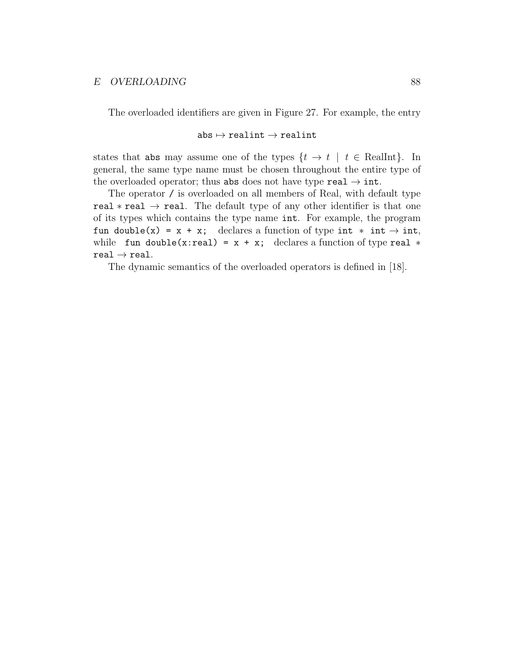#### E OVERLOADING 88

The overloaded identifiers are given in Figure 27. For example, the entry

#### $abs \mapsto$  realint  $\rightarrow$  realint

states that abs may assume one of the types  $\{t \to t \mid t \in \text{RealInt}\}\$ . In general, the same type name must be chosen throughout the entire type of the overloaded operator; thus abs does not have type real  $\rightarrow$  int.

The operator / is overloaded on all members of Real, with default type real  $*$  real  $\rightarrow$  real. The default type of any other identifier is that one of its types which contains the type name int. For example, the program fun double(x) = x + x; declares a function of type int  $*$  int  $\rightarrow$  int, while fun double(x:real) =  $x + x$ ; declares a function of type real  $*$  $real \rightarrow real.$ 

The dynamic semantics of the overloaded operators is defined in [18].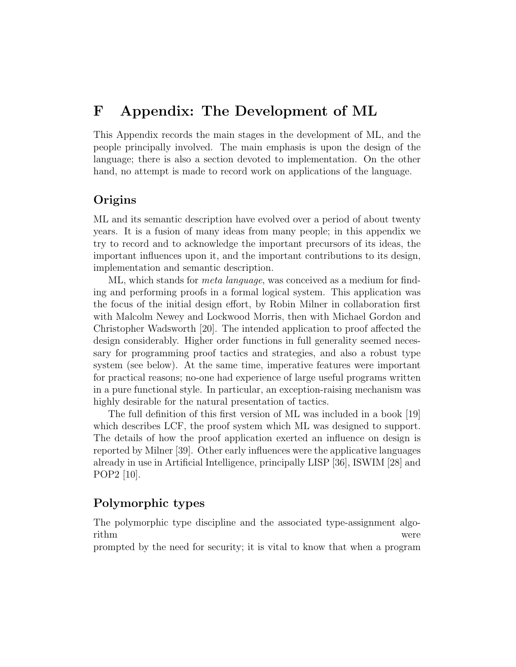# F Appendix: The Development of ML

This Appendix records the main stages in the development of ML, and the people principally involved. The main emphasis is upon the design of the language; there is also a section devoted to implementation. On the other hand, no attempt is made to record work on applications of the language.

# **Origins**

ML and its semantic description have evolved over a period of about twenty years. It is a fusion of many ideas from many people; in this appendix we try to record and to acknowledge the important precursors of its ideas, the important influences upon it, and the important contributions to its design, implementation and semantic description.

ML, which stands for *meta language*, was conceived as a medium for finding and performing proofs in a formal logical system. This application was the focus of the initial design effort, by Robin Milner in collaboration first with Malcolm Newey and Lockwood Morris, then with Michael Gordon and Christopher Wadsworth [20]. The intended application to proof affected the design considerably. Higher order functions in full generality seemed necessary for programming proof tactics and strategies, and also a robust type system (see below). At the same time, imperative features were important for practical reasons; no-one had experience of large useful programs written in a pure functional style. In particular, an exception-raising mechanism was highly desirable for the natural presentation of tactics.

The full definition of this first version of ML was included in a book [19] which describes LCF, the proof system which ML was designed to support. The details of how the proof application exerted an influence on design is reported by Milner [39]. Other early influences were the applicative languages already in use in Artificial Intelligence, principally LISP [36], ISWIM [28] and POP2 [10].

# Polymorphic types

The polymorphic type discipline and the associated type-assignment algorithm were prompted by the need for security; it is vital to know that when a program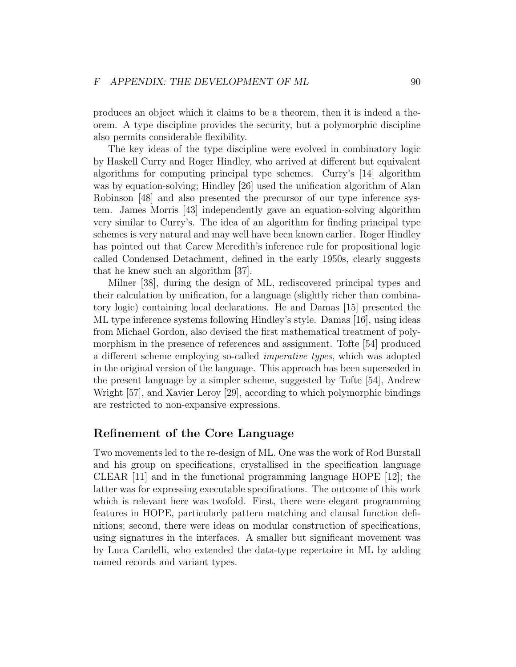produces an object which it claims to be a theorem, then it is indeed a theorem. A type discipline provides the security, but a polymorphic discipline also permits considerable flexibility.

The key ideas of the type discipline were evolved in combinatory logic by Haskell Curry and Roger Hindley, who arrived at different but equivalent algorithms for computing principal type schemes. Curry's [14] algorithm was by equation-solving; Hindley [26] used the unification algorithm of Alan Robinson [48] and also presented the precursor of our type inference system. James Morris [43] independently gave an equation-solving algorithm very similar to Curry's. The idea of an algorithm for finding principal type schemes is very natural and may well have been known earlier. Roger Hindley has pointed out that Carew Meredith's inference rule for propositional logic called Condensed Detachment, defined in the early 1950s, clearly suggests that he knew such an algorithm [37].

Milner [38], during the design of ML, rediscovered principal types and their calculation by unification, for a language (slightly richer than combinatory logic) containing local declarations. He and Damas [15] presented the ML type inference systems following Hindley's style. Damas [16], using ideas from Michael Gordon, also devised the first mathematical treatment of polymorphism in the presence of references and assignment. Tofte [54] produced a different scheme employing so-called imperative types, which was adopted in the original version of the language. This approach has been superseded in the present language by a simpler scheme, suggested by Tofte [54], Andrew Wright [57], and Xavier Leroy [29], according to which polymorphic bindings are restricted to non-expansive expressions.

### Refinement of the Core Language

Two movements led to the re-design of ML. One was the work of Rod Burstall and his group on specifications, crystallised in the specification language CLEAR [11] and in the functional programming language HOPE [12]; the latter was for expressing executable specifications. The outcome of this work which is relevant here was twofold. First, there were elegant programming features in HOPE, particularly pattern matching and clausal function definitions; second, there were ideas on modular construction of specifications, using signatures in the interfaces. A smaller but significant movement was by Luca Cardelli, who extended the data-type repertoire in ML by adding named records and variant types.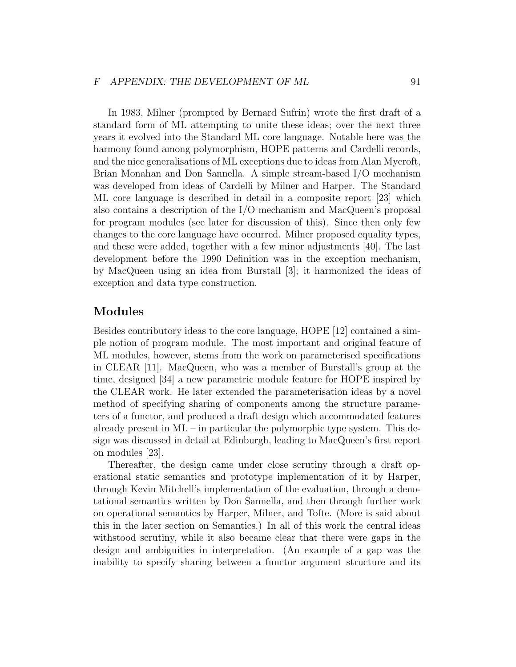#### F APPENDIX: THE DEVELOPMENT OF ML 91

In 1983, Milner (prompted by Bernard Sufrin) wrote the first draft of a standard form of ML attempting to unite these ideas; over the next three years it evolved into the Standard ML core language. Notable here was the harmony found among polymorphism, HOPE patterns and Cardelli records, and the nice generalisations of ML exceptions due to ideas from Alan Mycroft, Brian Monahan and Don Sannella. A simple stream-based I/O mechanism was developed from ideas of Cardelli by Milner and Harper. The Standard ML core language is described in detail in a composite report [23] which also contains a description of the I/O mechanism and MacQueen's proposal for program modules (see later for discussion of this). Since then only few changes to the core language have occurred. Milner proposed equality types, and these were added, together with a few minor adjustments [40]. The last development before the 1990 Definition was in the exception mechanism, by MacQueen using an idea from Burstall [3]; it harmonized the ideas of exception and data type construction.

# Modules

Besides contributory ideas to the core language, HOPE [12] contained a simple notion of program module. The most important and original feature of ML modules, however, stems from the work on parameterised specifications in CLEAR [11]. MacQueen, who was a member of Burstall's group at the time, designed [34] a new parametric module feature for HOPE inspired by the CLEAR work. He later extended the parameterisation ideas by a novel method of specifying sharing of components among the structure parameters of a functor, and produced a draft design which accommodated features already present in ML – in particular the polymorphic type system. This design was discussed in detail at Edinburgh, leading to MacQueen's first report on modules [23].

Thereafter, the design came under close scrutiny through a draft operational static semantics and prototype implementation of it by Harper, through Kevin Mitchell's implementation of the evaluation, through a denotational semantics written by Don Sannella, and then through further work on operational semantics by Harper, Milner, and Tofte. (More is said about this in the later section on Semantics.) In all of this work the central ideas withstood scrutiny, while it also became clear that there were gaps in the design and ambiguities in interpretation. (An example of a gap was the inability to specify sharing between a functor argument structure and its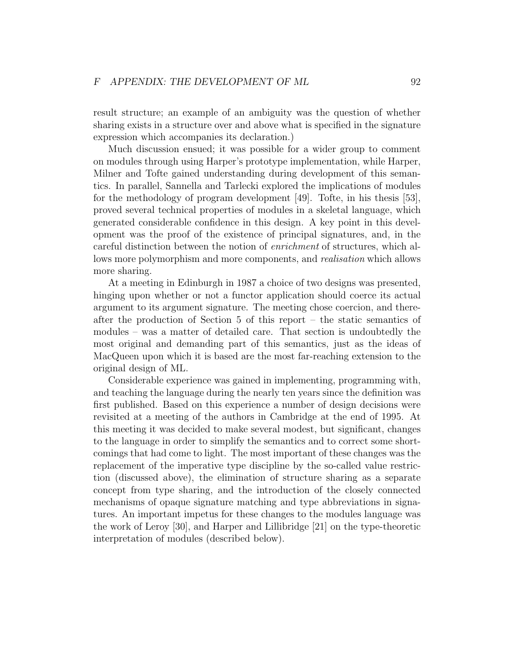result structure; an example of an ambiguity was the question of whether sharing exists in a structure over and above what is specified in the signature expression which accompanies its declaration.)

Much discussion ensued; it was possible for a wider group to comment on modules through using Harper's prototype implementation, while Harper, Milner and Tofte gained understanding during development of this semantics. In parallel, Sannella and Tarlecki explored the implications of modules for the methodology of program development [49]. Tofte, in his thesis [53], proved several technical properties of modules in a skeletal language, which generated considerable confidence in this design. A key point in this development was the proof of the existence of principal signatures, and, in the careful distinction between the notion of enrichment of structures, which allows more polymorphism and more components, and realisation which allows more sharing.

At a meeting in Edinburgh in 1987 a choice of two designs was presented, hinging upon whether or not a functor application should coerce its actual argument to its argument signature. The meeting chose coercion, and thereafter the production of Section 5 of this report – the static semantics of modules – was a matter of detailed care. That section is undoubtedly the most original and demanding part of this semantics, just as the ideas of MacQueen upon which it is based are the most far-reaching extension to the original design of ML.

Considerable experience was gained in implementing, programming with, and teaching the language during the nearly ten years since the definition was first published. Based on this experience a number of design decisions were revisited at a meeting of the authors in Cambridge at the end of 1995. At this meeting it was decided to make several modest, but significant, changes to the language in order to simplify the semantics and to correct some shortcomings that had come to light. The most important of these changes was the replacement of the imperative type discipline by the so-called value restriction (discussed above), the elimination of structure sharing as a separate concept from type sharing, and the introduction of the closely connected mechanisms of opaque signature matching and type abbreviations in signatures. An important impetus for these changes to the modules language was the work of Leroy [30], and Harper and Lillibridge [21] on the type-theoretic interpretation of modules (described below).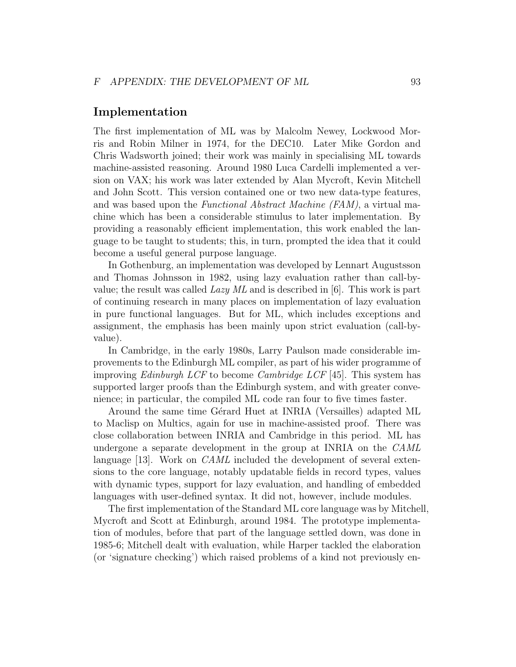### Implementation

The first implementation of ML was by Malcolm Newey, Lockwood Morris and Robin Milner in 1974, for the DEC10. Later Mike Gordon and Chris Wadsworth joined; their work was mainly in specialising ML towards machine-assisted reasoning. Around 1980 Luca Cardelli implemented a version on VAX; his work was later extended by Alan Mycroft, Kevin Mitchell and John Scott. This version contained one or two new data-type features, and was based upon the Functional Abstract Machine (FAM), a virtual machine which has been a considerable stimulus to later implementation. By providing a reasonably efficient implementation, this work enabled the language to be taught to students; this, in turn, prompted the idea that it could become a useful general purpose language.

In Gothenburg, an implementation was developed by Lennart Augustsson and Thomas Johnsson in 1982, using lazy evaluation rather than call-byvalue; the result was called  $Lazy ML$  and is described in [6]. This work is part of continuing research in many places on implementation of lazy evaluation in pure functional languages. But for ML, which includes exceptions and assignment, the emphasis has been mainly upon strict evaluation (call-byvalue).

In Cambridge, in the early 1980s, Larry Paulson made considerable improvements to the Edinburgh ML compiler, as part of his wider programme of improving Edinburgh LCF to become Cambridge LCF [45]. This system has supported larger proofs than the Edinburgh system, and with greater convenience; in particular, the compiled ML code ran four to five times faster.

Around the same time Gérard Huet at INRIA (Versailles) adapted ML to Maclisp on Multics, again for use in machine-assisted proof. There was close collaboration between INRIA and Cambridge in this period. ML has undergone a separate development in the group at INRIA on the CAML language [13]. Work on CAML included the development of several extensions to the core language, notably updatable fields in record types, values with dynamic types, support for lazy evaluation, and handling of embedded languages with user-defined syntax. It did not, however, include modules.

The first implementation of the Standard ML core language was by Mitchell, Mycroft and Scott at Edinburgh, around 1984. The prototype implementation of modules, before that part of the language settled down, was done in 1985-6; Mitchell dealt with evaluation, while Harper tackled the elaboration (or 'signature checking') which raised problems of a kind not previously en-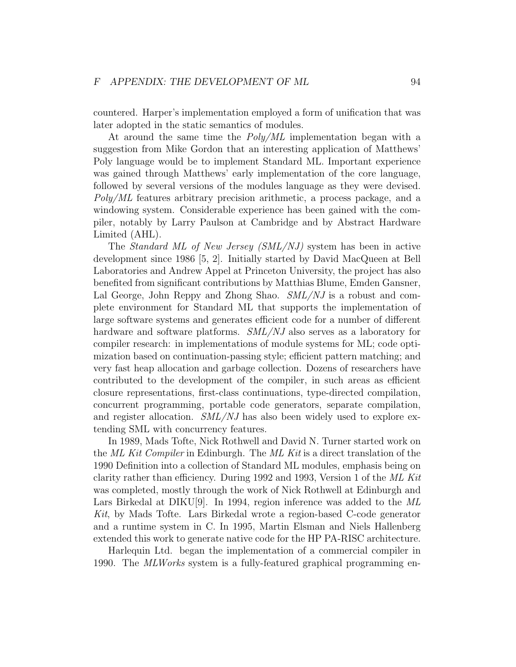#### F APPENDIX: THE DEVELOPMENT OF ML 94

countered. Harper's implementation employed a form of unification that was later adopted in the static semantics of modules.

At around the same time the *Poly/ML* implementation began with a suggestion from Mike Gordon that an interesting application of Matthews' Poly language would be to implement Standard ML. Important experience was gained through Matthews' early implementation of the core language, followed by several versions of the modules language as they were devised. Poly/ML features arbitrary precision arithmetic, a process package, and a windowing system. Considerable experience has been gained with the compiler, notably by Larry Paulson at Cambridge and by Abstract Hardware Limited (AHL).

The Standard ML of New Jersey (SML/NJ) system has been in active development since 1986 [5, 2]. Initially started by David MacQueen at Bell Laboratories and Andrew Appel at Princeton University, the project has also benefited from significant contributions by Matthias Blume, Emden Gansner, Lal George, John Reppy and Zhong Shao. *SML/NJ* is a robust and complete environment for Standard ML that supports the implementation of large software systems and generates efficient code for a number of different hardware and software platforms. *SML/NJ* also serves as a laboratory for compiler research: in implementations of module systems for ML; code optimization based on continuation-passing style; efficient pattern matching; and very fast heap allocation and garbage collection. Dozens of researchers have contributed to the development of the compiler, in such areas as efficient closure representations, first-class continuations, type-directed compilation, concurrent programming, portable code generators, separate compilation, and register allocation. SML/NJ has also been widely used to explore extending SML with concurrency features.

In 1989, Mads Tofte, Nick Rothwell and David N. Turner started work on the ML Kit Compiler in Edinburgh. The ML Kit is a direct translation of the 1990 Definition into a collection of Standard ML modules, emphasis being on clarity rather than efficiency. During 1992 and 1993, Version 1 of the ML Kit was completed, mostly through the work of Nick Rothwell at Edinburgh and Lars Birkedal at DIKU[9]. In 1994, region inference was added to the ML Kit, by Mads Tofte. Lars Birkedal wrote a region-based C-code generator and a runtime system in C. In 1995, Martin Elsman and Niels Hallenberg extended this work to generate native code for the HP PA-RISC architecture.

Harlequin Ltd. began the implementation of a commercial compiler in 1990. The *MLWorks* system is a fully-featured graphical programming en-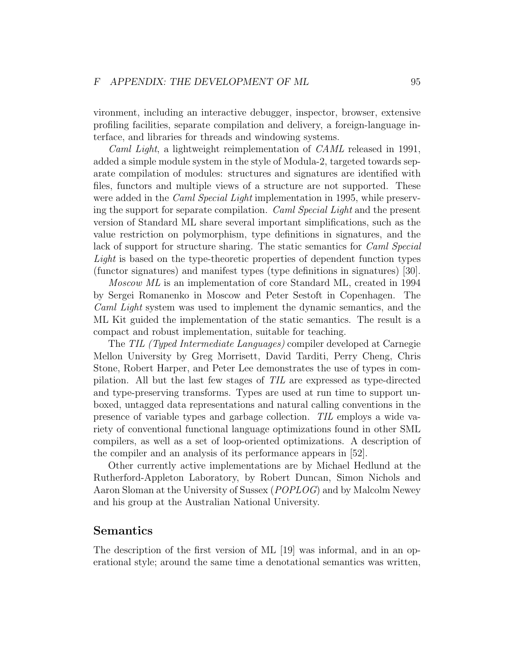vironment, including an interactive debugger, inspector, browser, extensive profiling facilities, separate compilation and delivery, a foreign-language interface, and libraries for threads and windowing systems.

Caml Light, a lightweight reimplementation of CAML released in 1991, added a simple module system in the style of Modula-2, targeted towards separate compilation of modules: structures and signatures are identified with files, functors and multiple views of a structure are not supported. These were added in the *Caml Special Light* implementation in 1995, while preserving the support for separate compilation. Caml Special Light and the present version of Standard ML share several important simplifications, such as the value restriction on polymorphism, type definitions in signatures, and the lack of support for structure sharing. The static semantics for *Caml Special* Light is based on the type-theoretic properties of dependent function types (functor signatures) and manifest types (type definitions in signatures) [30].

Moscow ML is an implementation of core Standard ML, created in 1994 by Sergei Romanenko in Moscow and Peter Sestoft in Copenhagen. The Caml Light system was used to implement the dynamic semantics, and the ML Kit guided the implementation of the static semantics. The result is a compact and robust implementation, suitable for teaching.

The TIL (Typed Intermediate Languages) compiler developed at Carnegie Mellon University by Greg Morrisett, David Tarditi, Perry Cheng, Chris Stone, Robert Harper, and Peter Lee demonstrates the use of types in compilation. All but the last few stages of TIL are expressed as type-directed and type-preserving transforms. Types are used at run time to support unboxed, untagged data representations and natural calling conventions in the presence of variable types and garbage collection. TIL employs a wide variety of conventional functional language optimizations found in other SML compilers, as well as a set of loop-oriented optimizations. A description of the compiler and an analysis of its performance appears in [52].

Other currently active implementations are by Michael Hedlund at the Rutherford-Appleton Laboratory, by Robert Duncan, Simon Nichols and Aaron Sloman at the University of Sussex (POPLOG) and by Malcolm Newey and his group at the Australian National University.

#### Semantics

The description of the first version of ML [19] was informal, and in an operational style; around the same time a denotational semantics was written,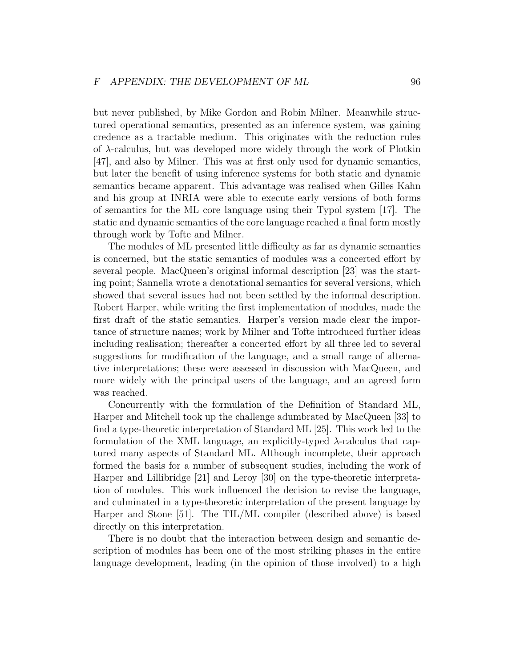but never published, by Mike Gordon and Robin Milner. Meanwhile structured operational semantics, presented as an inference system, was gaining credence as a tractable medium. This originates with the reduction rules of λ-calculus, but was developed more widely through the work of Plotkin [47], and also by Milner. This was at first only used for dynamic semantics, but later the benefit of using inference systems for both static and dynamic semantics became apparent. This advantage was realised when Gilles Kahn and his group at INRIA were able to execute early versions of both forms of semantics for the ML core language using their Typol system [17]. The static and dynamic semantics of the core language reached a final form mostly through work by Tofte and Milner.

The modules of ML presented little difficulty as far as dynamic semantics is concerned, but the static semantics of modules was a concerted effort by several people. MacQueen's original informal description [23] was the starting point; Sannella wrote a denotational semantics for several versions, which showed that several issues had not been settled by the informal description. Robert Harper, while writing the first implementation of modules, made the first draft of the static semantics. Harper's version made clear the importance of structure names; work by Milner and Tofte introduced further ideas including realisation; thereafter a concerted effort by all three led to several suggestions for modification of the language, and a small range of alternative interpretations; these were assessed in discussion with MacQueen, and more widely with the principal users of the language, and an agreed form was reached.

Concurrently with the formulation of the Definition of Standard ML, Harper and Mitchell took up the challenge adumbrated by MacQueen [33] to find a type-theoretic interpretation of Standard ML [25]. This work led to the formulation of the XML language, an explicitly-typed  $\lambda$ -calculus that captured many aspects of Standard ML. Although incomplete, their approach formed the basis for a number of subsequent studies, including the work of Harper and Lillibridge [21] and Leroy [30] on the type-theoretic interpretation of modules. This work influenced the decision to revise the language, and culminated in a type-theoretic interpretation of the present language by Harper and Stone [51]. The TIL/ML compiler (described above) is based directly on this interpretation.

There is no doubt that the interaction between design and semantic description of modules has been one of the most striking phases in the entire language development, leading (in the opinion of those involved) to a high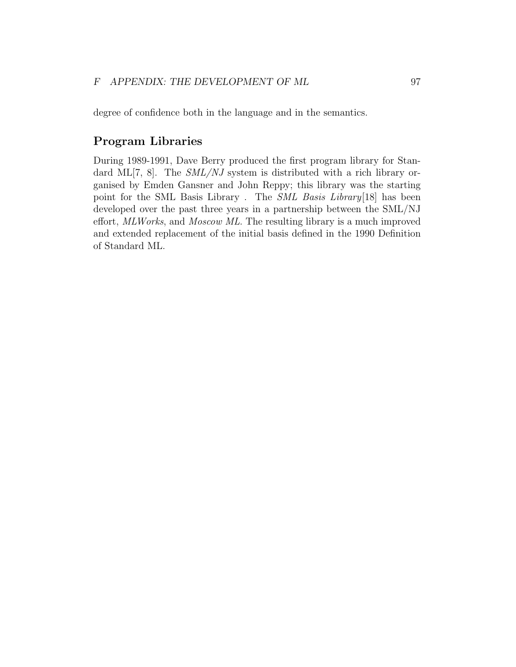#### F APPENDIX: THE DEVELOPMENT OF ML 97

degree of confidence both in the language and in the semantics.

### Program Libraries

During 1989-1991, Dave Berry produced the first program library for Standard ML[7, 8]. The SML/NJ system is distributed with a rich library organised by Emden Gansner and John Reppy; this library was the starting point for the SML Basis Library . The SML Basis Library<sup>[18]</sup> has been developed over the past three years in a partnership between the SML/NJ effort, MLWorks, and Moscow ML. The resulting library is a much improved and extended replacement of the initial basis defined in the 1990 Definition of Standard ML.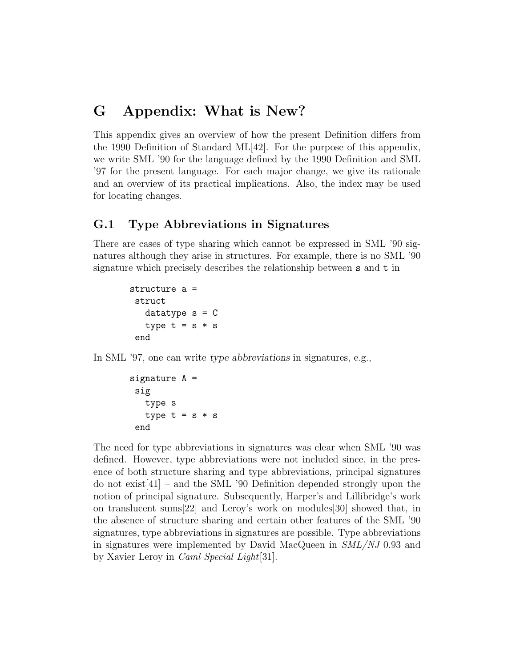# G Appendix: What is New?

This appendix gives an overview of how the present Definition differs from the 1990 Definition of Standard ML $[42]$ . For the purpose of this appendix, we write SML '90 for the language defined by the 1990 Definition and SML '97 for the present language. For each major change, we give its rationale and an overview of its practical implications. Also, the index may be used for locating changes.

# G.1 Type Abbreviations in Signatures

There are cases of type sharing which cannot be expressed in SML '90 signatures although they arise in structures. For example, there is no SML '90 signature which precisely describes the relationship between s and t in

> structure a = struct datatype  $s = C$ type  $t = s * s$ end

In SML '97, one can write type abbreviations in signatures, e.g.,

```
signature A =
 sig
   type s
   type t = s * send
```
The need for type abbreviations in signatures was clear when SML '90 was defined. However, type abbreviations were not included since, in the presence of both structure sharing and type abbreviations, principal signatures do not exist  $[41]$  – and the SML '90 Definition depended strongly upon the notion of principal signature. Subsequently, Harper's and Lillibridge's work on translucent sums[22] and Leroy's work on modules[30] showed that, in the absence of structure sharing and certain other features of the SML '90 signatures, type abbreviations in signatures are possible. Type abbreviations in signatures were implemented by David MacQueen in SML/NJ 0.93 and by Xavier Leroy in Caml Special Light[31].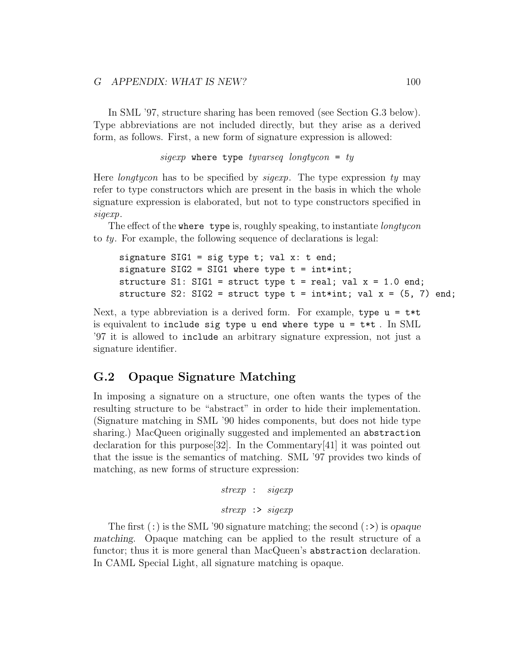#### G APPENDIX: WHAT IS NEW? 100

In SML '97, structure sharing has been removed (see Section G.3 below). Type abbreviations are not included directly, but they arise as a derived form, as follows. First, a new form of signature expression is allowed:

#### sigexp where type tyvarseq longtycon = ty

Here *longtycon* has to be specified by *sigexp*. The type expression ty may refer to type constructors which are present in the basis in which the whole signature expression is elaborated, but not to type constructors specified in sigexp.

The effect of the where type is, roughly speaking, to instantiate *longtycon* to ty. For example, the following sequence of declarations is legal:

```
signature SIG1 = sig type t; val x: t end;
signature SIG2 = SIG1 where type t = int*int;structure S1: SIG1 = struct type t = real; val x = 1.0 end;
structure S2: SIG2 = struct type t = int*int; val x = (5, 7) end;
```
Next, a type abbreviation is a derived form. For example, type  $u = t*t$ is equivalent to include sig type u end where type  $u = t*t$ . In SML '97 it is allowed to include an arbitrary signature expression, not just a signature identifier.

### G.2 Opaque Signature Matching

In imposing a signature on a structure, one often wants the types of the resulting structure to be "abstract" in order to hide their implementation. (Signature matching in SML '90 hides components, but does not hide type sharing.) MacQueen originally suggested and implemented an abstraction declaration for this purpose[32]. In the Commentary[41] it was pointed out that the issue is the semantics of matching. SML '97 provides two kinds of matching, as new forms of structure expression:

```
strexp : sigexp
strexp :> sigexp
```
The first  $(\cdot)$  is the SML '90 signature matching; the second  $(\cdot)$  is opaque matching. Opaque matching can be applied to the result structure of a functor; thus it is more general than MacQueen's abstraction declaration. In CAML Special Light, all signature matching is opaque.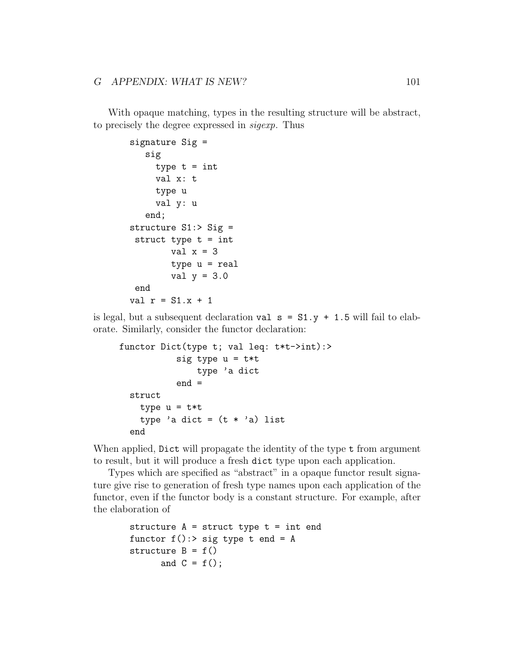#### G APPENDIX: WHAT IS NEW? 101

With opaque matching, types in the resulting structure will be abstract, to precisely the degree expressed in sigexp. Thus

```
signature Sig =
  sig
     type t = intval x: t
     type u
     val y: u
   end;
structure S1: Sig =
struct type t = int
       val x = 3type u = real
        val y = 3.0end
val r = S1.x + 1
```
is legal, but a subsequent declaration val  $s = S1. y + 1.5$  will fail to elaborate. Similarly, consider the functor declaration:

```
functor Dict(type t; val leq: t*t->int):>
           sig type u = t*ttype 'a dict
           end =
 struct
   type u = t*ttype 'a dict = (t * 'a) list
 end
```
When applied, Dict will propagate the identity of the type  $t$  from argument to result, but it will produce a fresh dict type upon each application.

Types which are specified as "abstract" in a opaque functor result signature give rise to generation of fresh type names upon each application of the functor, even if the functor body is a constant structure. For example, after the elaboration of

```
structure A = struct type t = int end
functor f(): > sig type t end = A
structure B = f()and C = f();
```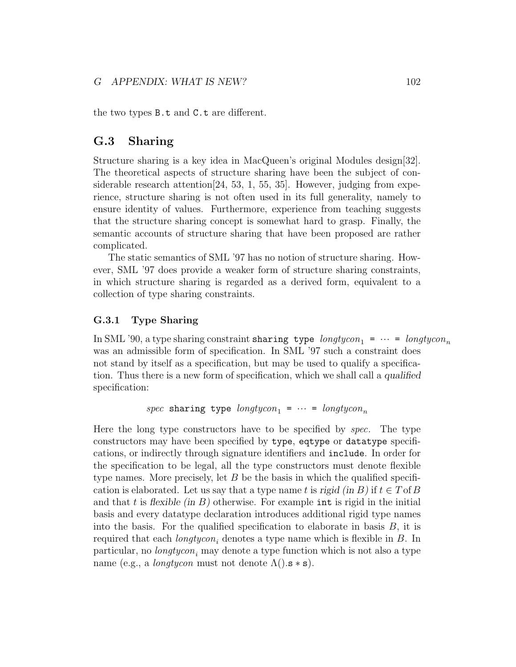the two types B.t and C.t are different.

### G.3 Sharing

Structure sharing is a key idea in MacQueen's original Modules design[32]. The theoretical aspects of structure sharing have been the subject of considerable research attention[24, 53, 1, 55, 35]. However, judging from experience, structure sharing is not often used in its full generality, namely to ensure identity of values. Furthermore, experience from teaching suggests that the structure sharing concept is somewhat hard to grasp. Finally, the semantic accounts of structure sharing that have been proposed are rather complicated.

The static semantics of SML '97 has no notion of structure sharing. However, SML '97 does provide a weaker form of structure sharing constraints, in which structure sharing is regarded as a derived form, equivalent to a collection of type sharing constraints.

#### G.3.1 Type Sharing

In SML '90, a type sharing constraint sharing type  $\text{longtycon}_1 = \cdots = \text{longtycon}_n$ was an admissible form of specification. In SML '97 such a constraint does not stand by itself as a specification, but may be used to qualify a specification. Thus there is a new form of specification, which we shall call a qualified specification:

```
spec sharing type longtycon_1 = \cdots = longtycon_n
```
Here the long type constructors have to be specified by spec. The type constructors may have been specified by type, eqtype or datatype specifications, or indirectly through signature identifiers and include. In order for the specification to be legal, all the type constructors must denote flexible type names. More precisely, let  $B$  be the basis in which the qualified specification is elaborated. Let us say that a type name t is rigid (in B) if  $t \in T$  of B and that t is flexible (in B) otherwise. For example int is rigid in the initial basis and every datatype declaration introduces additional rigid type names into the basis. For the qualified specification to elaborate in basis  $B$ , it is required that each *longtycon*<sub>i</sub> denotes a type name which is flexible in  $B$ . In particular, no *longtycon*<sub>i</sub> may denote a type function which is not also a type name (e.g., a *longtycon* must not denote  $\Lambda$ ().s  $*$  s).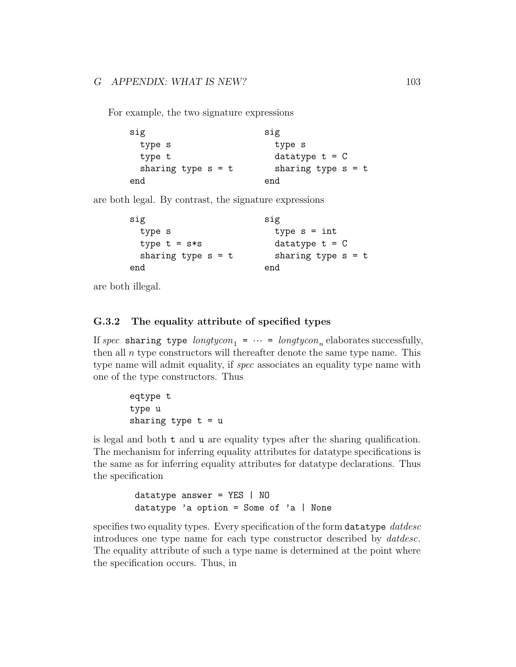For example, the two signature expressions

```
sig sig
type s type s
type t = Csharing type s = t sharing type s = tend end
```
are both legal. By contrast, the signature expressions

```
sig sig
type s type s = int
type t = s*s datatype t = Csharing type s = t sharing type s = tend end
```
are both illegal.

#### G.3.2 The equality attribute of specified types

If spec sharing type  $longtycon_1 = \cdots = longtycon_n$  elaborates successfully, then all  $n$  type constructors will thereafter denote the same type name. This type name will admit equality, if *spec* associates an equality type name with one of the type constructors. Thus

> eqtype t type u sharing type  $t = u$

is legal and both t and u are equality types after the sharing qualification. The mechanism for inferring equality attributes for datatype specifications is the same as for inferring equality attributes for datatype declarations. Thus the specification

> datatype answer = YES | NO datatype 'a option = Some of 'a  $\vert$  None

specifies two equality types. Every specification of the form datatype *datdesc* introduces one type name for each type constructor described by datdesc. The equality attribute of such a type name is determined at the point where the specification occurs. Thus, in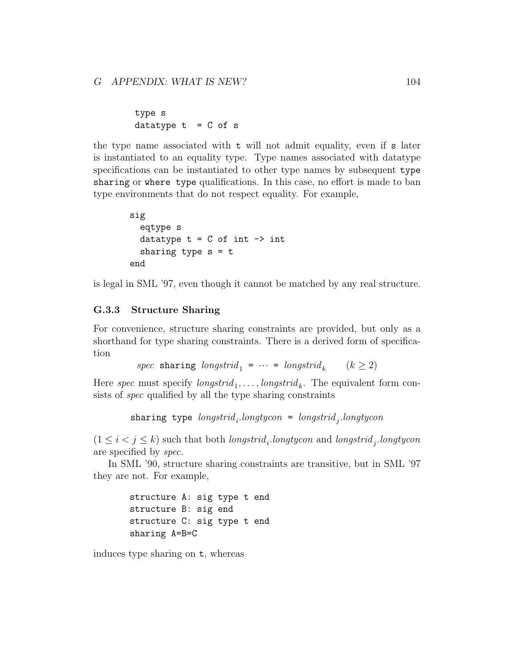```
type s
datatype t = C of s
```
the type name associated with  $t$  will not admit equality, even if  $s$  later is instantiated to an equality type. Type names associated with datatype specifications can be instantiated to other type names by subsequent type sharing or where type qualifications. In this case, no effort is made to ban type environments that do not respect equality. For example,

```
sig
  eqtype s
  datatype t = C of int \rightarrow int
  sharing type s = tend
```
is legal in SML '97, even though it cannot be matched by any real structure.

#### G.3.3 Structure Sharing

For convenience, structure sharing constraints are provided, but only as a shorthand for type sharing constraints. There is a derived form of specification

```
spec sharing longstrid<sub>1</sub> = \cdots = longstrid<sub>k</sub>
                                                                    (k > 2)
```
Here spec must specify  $longstrid_1, \ldots, longstrid_k$ . The equivalent form consists of *spec* qualified by all the type sharing constraints

```
sharing type longstrid_i.length<math display="inline">empty con = longstrid_j.length
```
 $(1 \leq i < j \leq k)$  such that both *longstrid<sub>i</sub>*.longtycon and *longstrid<sub>j</sub>*.longtycon are specified by spec.

In SML '90, structure sharing constraints are transitive, but in SML '97 they are not. For example,

> structure A: sig type t end structure B: sig end structure C: sig type t end sharing A=B=C

induces type sharing on t, whereas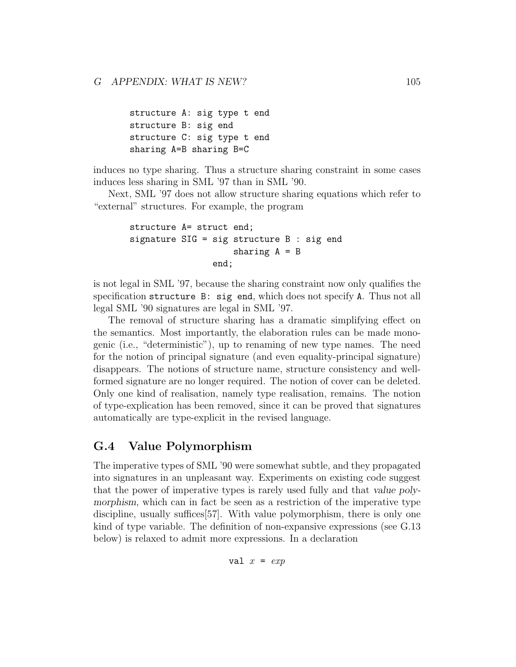```
structure A: sig type t end
structure B: sig end
structure C: sig type t end
sharing A=B sharing B=C
```
induces no type sharing. Thus a structure sharing constraint in some cases induces less sharing in SML '97 than in SML '90.

Next, SML '97 does not allow structure sharing equations which refer to "external" structures. For example, the program

```
structure A= struct end;
signature SIG = sig structure B : sig end
                    sharing A = Bend;
```
is not legal in SML '97, because the sharing constraint now only qualifies the specification structure B: sig end, which does not specify A. Thus not all legal SML '90 signatures are legal in SML '97.

The removal of structure sharing has a dramatic simplifying effect on the semantics. Most importantly, the elaboration rules can be made monogenic (i.e., "deterministic"), up to renaming of new type names. The need for the notion of principal signature (and even equality-principal signature) disappears. The notions of structure name, structure consistency and wellformed signature are no longer required. The notion of cover can be deleted. Only one kind of realisation, namely type realisation, remains. The notion of type-explication has been removed, since it can be proved that signatures automatically are type-explicit in the revised language.

### G.4 Value Polymorphism

The imperative types of SML '90 were somewhat subtle, and they propagated into signatures in an unpleasant way. Experiments on existing code suggest that the power of imperative types is rarely used fully and that value polymorphism, which can in fact be seen as a restriction of the imperative type discipline, usually suffices[57]. With value polymorphism, there is only one kind of type variable. The definition of non-expansive expressions (see G.13 below) is relaxed to admit more expressions. In a declaration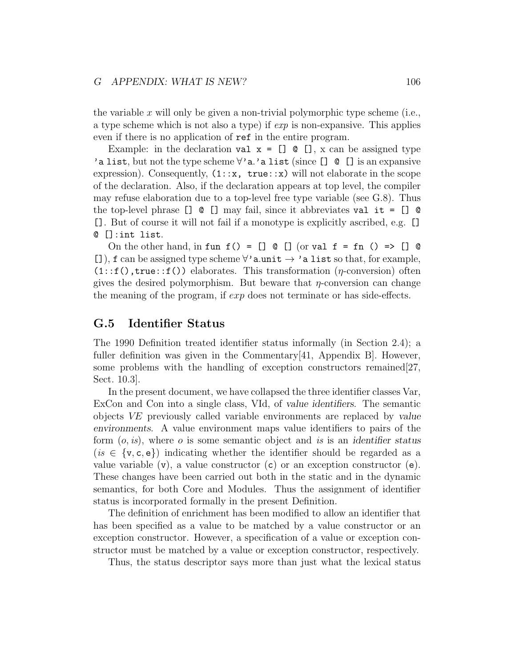the variable x will only be given a non-trivial polymorphic type scheme (i.e., a type scheme which is not also a type) if  $exp$  is non-expansive. This applies even if there is no application of ref in the entire program.

Example: in the declaration val  $x = [] @$   $, x$  can be assigned type 'a list, but not the type scheme ∀'a.'a list (since [] @ [] is an expansive expression). Consequently,  $(1::x, true::x)$  will not elaborate in the scope of the declaration. Also, if the declaration appears at top level, the compiler may refuse elaboration due to a top-level free type variable (see G.8). Thus the top-level phrase  $[] \circ []$  may fail, since it abbreviates val it =  $[] \circ$ []. But of course it will not fail if a monotype is explicitly ascribed, e.g. [] @ []:int list.

On the other hand, in fun  $f() = [] @$   $[$  (or val  $f = fn$   $() \Rightarrow [] @$ []), f can be assigned type scheme  $\forall$ 'a.unit  $\rightarrow$ 'a list so that, for example,  $(1: f()$ , true::f()) elaborates. This transformation ( $\eta$ -conversion) often gives the desired polymorphism. But beware that  $\eta$ -conversion can change the meaning of the program, if  $exp$  does not terminate or has side-effects.

### G.5 Identifier Status

The 1990 Definition treated identifier status informally (in Section 2.4); a fuller definition was given in the Commentary [41, Appendix B]. However, some problems with the handling of exception constructors remained[27, Sect. 10.3].

In the present document, we have collapsed the three identifier classes Var, ExCon and Con into a single class, VId, of value identifiers. The semantic objects VE previously called variable environments are replaced by value environments. A value environment maps value identifiers to pairs of the form  $(o, is)$ , where o is some semantic object and is is an identifier status  $(is \in \{v, c, e\})$  indicating whether the identifier should be regarded as a value variable  $(v)$ , a value constructor  $(c)$  or an exception constructor  $(e)$ . These changes have been carried out both in the static and in the dynamic semantics, for both Core and Modules. Thus the assignment of identifier status is incorporated formally in the present Definition.

The definition of enrichment has been modified to allow an identifier that has been specified as a value to be matched by a value constructor or an exception constructor. However, a specification of a value or exception constructor must be matched by a value or exception constructor, respectively.

Thus, the status descriptor says more than just what the lexical status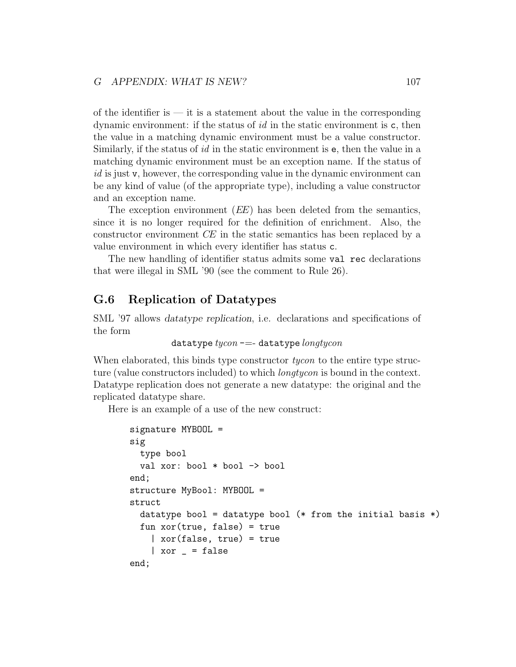of the identifier is  $\frac{d}{dx}$  is a statement about the value in the corresponding dynamic environment: if the status of id in the static environment is c, then the value in a matching dynamic environment must be a value constructor. Similarly, if the status of id in the static environment is e, then the value in a matching dynamic environment must be an exception name. If the status of id is just v, however, the corresponding value in the dynamic environment can be any kind of value (of the appropriate type), including a value constructor and an exception name.

The exception environment  $(EE)$  has been deleted from the semantics, since it is no longer required for the definition of enrichment. Also, the constructor environment CE in the static semantics has been replaced by a value environment in which every identifier has status c.

The new handling of identifier status admits some val rec declarations that were illegal in SML '90 (see the comment to Rule 26).

### G.6 Replication of Datatypes

SML '97 allows datatype replication, i.e. declarations and specifications of the form

```
datatype tycon == datatype longtycon
```
When elaborated, this binds type constructor tycon to the entire type structure (value constructors included) to which longtycon is bound in the context. Datatype replication does not generate a new datatype: the original and the replicated datatype share.

Here is an example of a use of the new construct:

```
signature MYBOOL =
sig
 type bool
 val xor: bool * bool -> bool
end;
structure MyBool: MYBOOL =
struct
 datatype bool = datatype bool (* from the initial basis *)fun xor(true, false) = true| xor(false, true) = true
    | xor = false
end;
```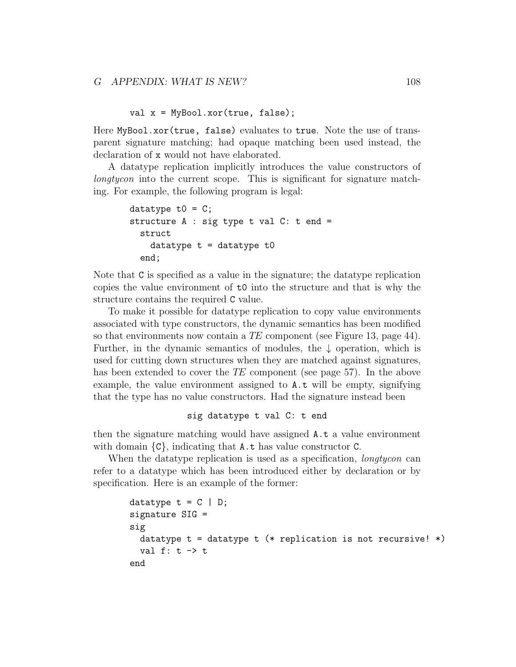val  $x = MyBool.xor(true, false);$ 

Here MyBool.xor(true, false) evaluates to true. Note the use of transparent signature matching; had opaque matching been used instead, the declaration of x would not have elaborated.

A datatype replication implicitly introduces the value constructors of longtycon into the current scope. This is significant for signature matching. For example, the following program is legal:

```
datatype t0 = C;
structure A : sig type t val C: t end =
  struct
    datatype t = datatype t0end;
```
Note that C is specified as a value in the signature; the datatype replication copies the value environment of t0 into the structure and that is why the structure contains the required C value.

To make it possible for datatype replication to copy value environments associated with type constructors, the dynamic semantics has been modified so that environments now contain a TE component (see Figure 13, page 44). Further, in the dynamic semantics of modules, the  $\downarrow$  operation, which is used for cutting down structures when they are matched against signatures, has been extended to cover the TE component (see page 57). In the above example, the value environment assigned to A.t will be empty, signifying that the type has no value constructors. Had the signature instead been

```
sig datatype t val C: t end
```
then the signature matching would have assigned A.t a value environment with domain  $\{C\}$ , indicating that A.t has value constructor C.

When the datatype replication is used as a specification, *longtycon* can refer to a datatype which has been introduced either by declaration or by specification. Here is an example of the former:

```
datatype t = C | D;signature SIG =
sig
  datatype t = datatype t (* replication is not recursive! *)
  val f: t \rightarrow tend
```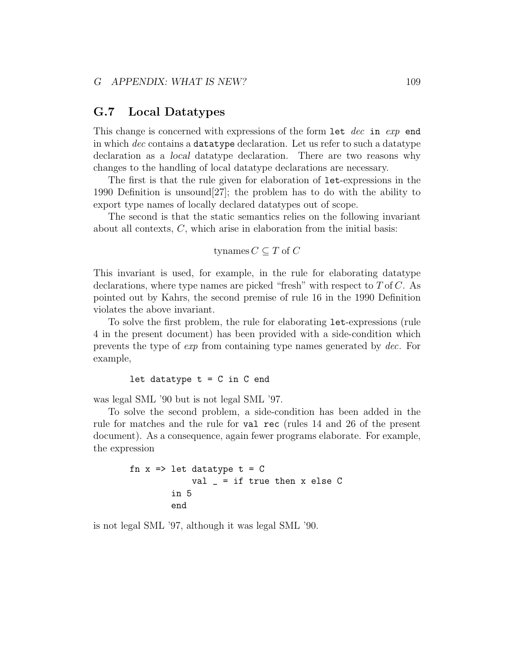### G.7 Local Datatypes

This change is concerned with expressions of the form let dec in exp end in which dec contains a datatype declaration. Let us refer to such a datatype declaration as a local datatype declaration. There are two reasons why changes to the handling of local datatype declarations are necessary.

The first is that the rule given for elaboration of let-expressions in the 1990 Definition is unsound[27]; the problem has to do with the ability to export type names of locally declared datatypes out of scope.

The second is that the static semantics relies on the following invariant about all contexts, C, which arise in elaboration from the initial basis:

tynames  $C \subseteq T$  of  $C$ 

This invariant is used, for example, in the rule for elaborating datatype declarations, where type names are picked "fresh" with respect to  $T$  of  $C$ . As pointed out by Kahrs, the second premise of rule 16 in the 1990 Definition violates the above invariant.

To solve the first problem, the rule for elaborating let-expressions (rule 4 in the present document) has been provided with a side-condition which prevents the type of exp from containing type names generated by dec. For example,

let datatype  $t = C$  in  $C$  end

was legal SML '90 but is not legal SML '97.

To solve the second problem, a side-condition has been added in the rule for matches and the rule for val rec (rules 14 and 26 of the present document). As a consequence, again fewer programs elaborate. For example, the expression

```
fn x \Rightarrow let datatype t = Cval = = if true then x else Cin 5
         end
```
is not legal SML '97, although it was legal SML '90.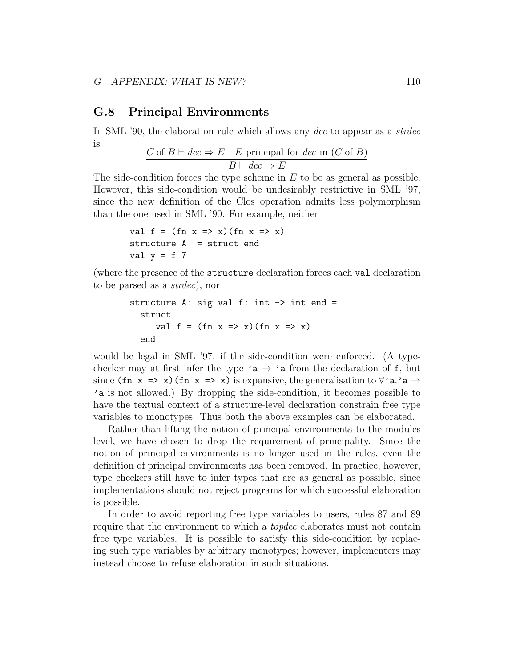#### G.8 Principal Environments

In SML '90, the elaboration rule which allows any dec to appear as a *strdec* is

$$
\frac{C \text{ of } B \vdash dec \Rightarrow E \quad E \text{ principal for } dec \text{ in } (C \text{ of } B)}{B \vdash dec \Rightarrow E}
$$

The side-condition forces the type scheme in  $E$  to be as general as possible. However, this side-condition would be undesirably restrictive in SML '97, since the new definition of the Clos operation admits less polymorphism than the one used in SML '90. For example, neither

```
val f = (fn x \Rightarrow x)(fn x \Rightarrow x)structure A = struct end
val y = f 7
```
(where the presence of the structure declaration forces each val declaration to be parsed as a strdec), nor

```
structure A: sig val f: int \rightarrow int end =
  struct
      val f = (fn x \Rightarrow x)(fn x \Rightarrow x)end
```
would be legal in SML '97, if the side-condition were enforced. (A typechecker may at first infer the type 'a  $\rightarrow$  'a from the declaration of f, but since (fn x => x)(fn x => x) is expansive, the generalisation to  $\forall$ 'a.'a  $\rightarrow$ 'a is not allowed.) By dropping the side-condition, it becomes possible to have the textual context of a structure-level declaration constrain free type variables to monotypes. Thus both the above examples can be elaborated.

Rather than lifting the notion of principal environments to the modules level, we have chosen to drop the requirement of principality. Since the notion of principal environments is no longer used in the rules, even the definition of principal environments has been removed. In practice, however, type checkers still have to infer types that are as general as possible, since implementations should not reject programs for which successful elaboration is possible.

In order to avoid reporting free type variables to users, rules 87 and 89 require that the environment to which a topdec elaborates must not contain free type variables. It is possible to satisfy this side-condition by replacing such type variables by arbitrary monotypes; however, implementers may instead choose to refuse elaboration in such situations.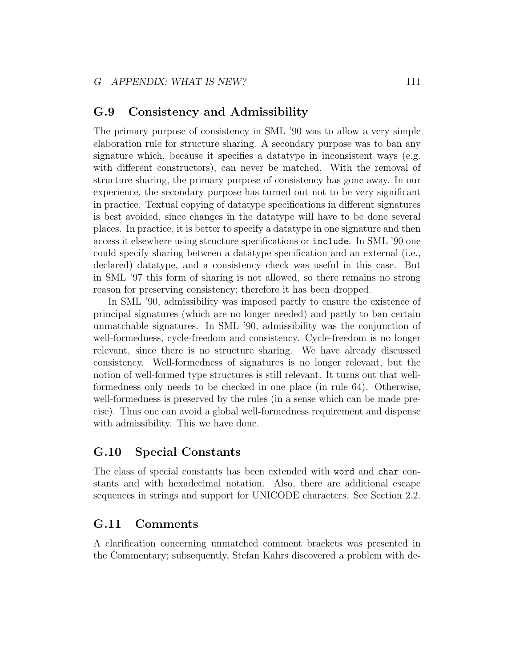#### G.9 Consistency and Admissibility

The primary purpose of consistency in SML '90 was to allow a very simple elaboration rule for structure sharing. A secondary purpose was to ban any signature which, because it specifies a datatype in inconsistent ways (e.g. with different constructors), can never be matched. With the removal of structure sharing, the primary purpose of consistency has gone away. In our experience, the secondary purpose has turned out not to be very significant in practice. Textual copying of datatype specifications in different signatures is best avoided, since changes in the datatype will have to be done several places. In practice, it is better to specify a datatype in one signature and then access it elsewhere using structure specifications or include. In SML '90 one could specify sharing between a datatype specification and an external (i.e., declared) datatype, and a consistency check was useful in this case. But in SML '97 this form of sharing is not allowed, so there remains no strong reason for preserving consistency; therefore it has been dropped.

In SML '90, admissibility was imposed partly to ensure the existence of principal signatures (which are no longer needed) and partly to ban certain unmatchable signatures. In SML '90, admissibility was the conjunction of well-formedness, cycle-freedom and consistency. Cycle-freedom is no longer relevant, since there is no structure sharing. We have already discussed consistency. Well-formedness of signatures is no longer relevant, but the notion of well-formed type structures is still relevant. It turns out that wellformedness only needs to be checked in one place (in rule 64). Otherwise, well-formedness is preserved by the rules (in a sense which can be made precise). Thus one can avoid a global well-formedness requirement and dispense with admissibility. This we have done.

#### G.10 Special Constants

The class of special constants has been extended with word and char constants and with hexadecimal notation. Also, there are additional escape sequences in strings and support for UNICODE characters. See Section 2.2.

### G.11 Comments

A clarification concerning unmatched comment brackets was presented in the Commentary; subsequently, Stefan Kahrs discovered a problem with de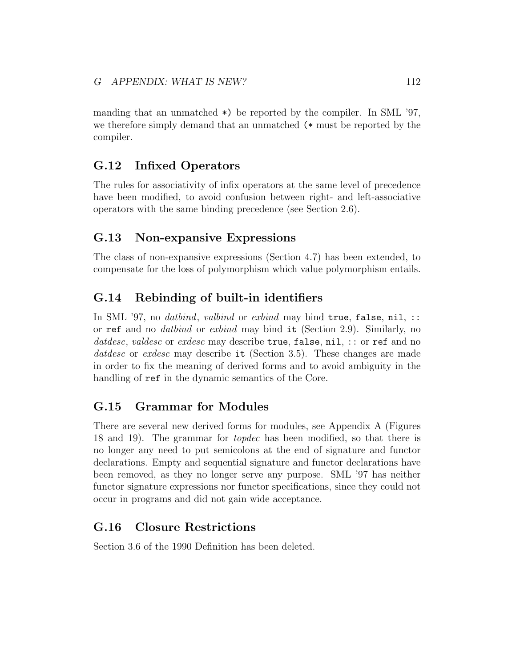manding that an unmatched \*) be reported by the compiler. In SML '97, we therefore simply demand that an unmatched (\* must be reported by the compiler.

# G.12 Infixed Operators

The rules for associativity of infix operators at the same level of precedence have been modified, to avoid confusion between right- and left-associative operators with the same binding precedence (see Section 2.6).

# G.13 Non-expansive Expressions

The class of non-expansive expressions (Section 4.7) has been extended, to compensate for the loss of polymorphism which value polymorphism entails.

# G.14 Rebinding of built-in identifiers

In SML '97, no *datbind*, *valbind* or *exbind* may bind true, false, nil, :: or ref and no datbind or exbind may bind it (Section 2.9). Similarly, no datdesc, valdesc or exdesc may describe true, false, nil, :: or ref and no datdesc or exdesc may describe it (Section 3.5). These changes are made in order to fix the meaning of derived forms and to avoid ambiguity in the handling of **ref** in the dynamic semantics of the Core.

# G.15 Grammar for Modules

There are several new derived forms for modules, see Appendix A (Figures 18 and 19). The grammar for topdec has been modified, so that there is no longer any need to put semicolons at the end of signature and functor declarations. Empty and sequential signature and functor declarations have been removed, as they no longer serve any purpose. SML '97 has neither functor signature expressions nor functor specifications, since they could not occur in programs and did not gain wide acceptance.

# G.16 Closure Restrictions

Section 3.6 of the 1990 Definition has been deleted.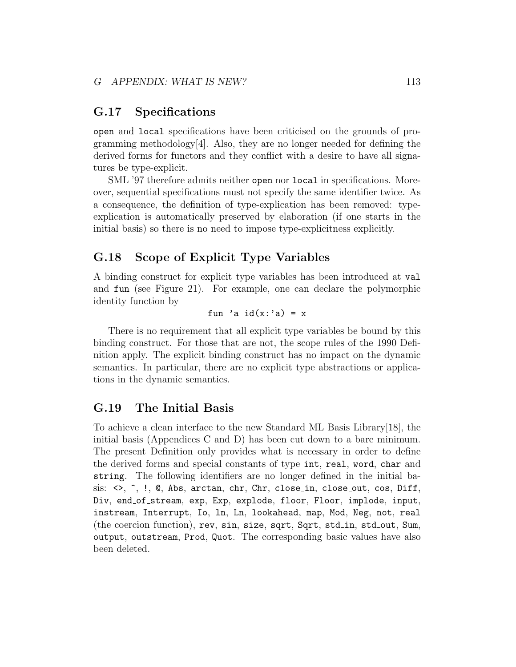### G.17 Specifications

open and local specifications have been criticised on the grounds of programming methodology $[4]$ . Also, they are no longer needed for defining the derived forms for functors and they conflict with a desire to have all signatures be type-explicit.

SML '97 therefore admits neither open nor local in specifications. Moreover, sequential specifications must not specify the same identifier twice. As a consequence, the definition of type-explication has been removed: typeexplication is automatically preserved by elaboration (if one starts in the initial basis) so there is no need to impose type-explicitness explicitly.

### G.18 Scope of Explicit Type Variables

A binding construct for explicit type variables has been introduced at val and fun (see Figure 21). For example, one can declare the polymorphic identity function by

fun 'a  $id(x: a) = x$ 

There is no requirement that all explicit type variables be bound by this binding construct. For those that are not, the scope rules of the 1990 Definition apply. The explicit binding construct has no impact on the dynamic semantics. In particular, there are no explicit type abstractions or applications in the dynamic semantics.

### G.19 The Initial Basis

To achieve a clean interface to the new Standard ML Basis Library[18], the initial basis (Appendices C and D) has been cut down to a bare minimum. The present Definition only provides what is necessary in order to define the derived forms and special constants of type int, real, word, char and string. The following identifiers are no longer defined in the initial basis:  $\langle \rangle$ ,  $\hat{ }$ ,  $\langle$ ,  $\hat{ }$ ,  $\hat{ }$ ,  $\hat{ }$ ,  $\hat{ }$ ,  $\hat{ }$ ,  $\hat{ }$  abs, arctan, chr, Chr, close in, close out, cos, Diff, Div, end of stream, exp, Exp, explode, floor, Floor, implode, input, instream, Interrupt, Io, ln, Ln, lookahead, map, Mod, Neg, not, real (the coercion function), rev, sin, size, sqrt, Sqrt, std\_in, std\_out, Sum, output, outstream, Prod, Quot. The corresponding basic values have also been deleted.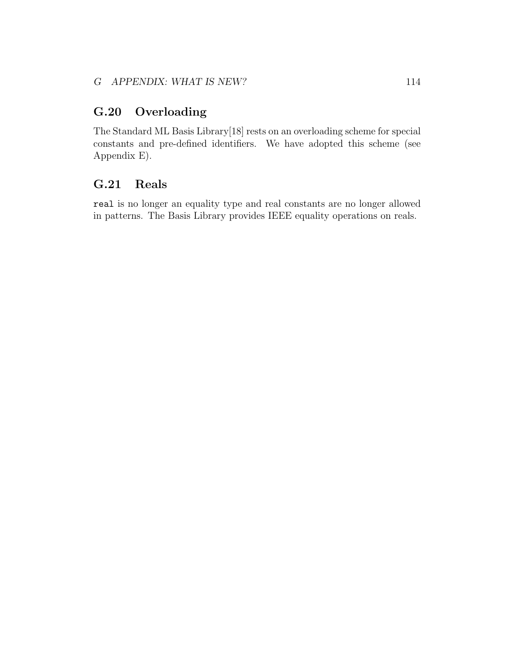# G.20 Overloading

The Standard ML Basis Library[18] rests on an overloading scheme for special constants and pre-defined identifiers. We have adopted this scheme (see Appendix E).

# G.21 Reals

real is no longer an equality type and real constants are no longer allowed in patterns. The Basis Library provides IEEE equality operations on reals.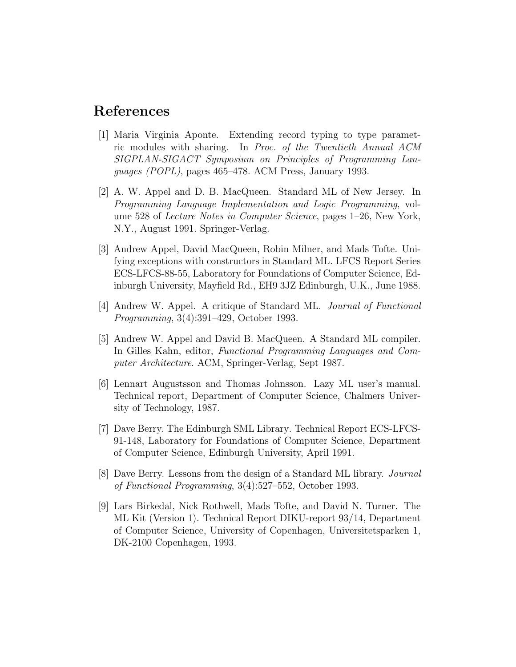# References

- [1] Maria Virginia Aponte. Extending record typing to type parametric modules with sharing. In Proc. of the Twentieth Annual ACM SIGPLAN-SIGACT Symposium on Principles of Programming Languages (POPL), pages 465–478. ACM Press, January 1993.
- [2] A. W. Appel and D. B. MacQueen. Standard ML of New Jersey. In Programming Language Implementation and Logic Programming, volume 528 of Lecture Notes in Computer Science, pages 1–26, New York, N.Y., August 1991. Springer-Verlag.
- [3] Andrew Appel, David MacQueen, Robin Milner, and Mads Tofte. Unifying exceptions with constructors in Standard ML. LFCS Report Series ECS-LFCS-88-55, Laboratory for Foundations of Computer Science, Edinburgh University, Mayfield Rd., EH9 3JZ Edinburgh, U.K., June 1988.
- [4] Andrew W. Appel. A critique of Standard ML. Journal of Functional Programming, 3(4):391–429, October 1993.
- [5] Andrew W. Appel and David B. MacQueen. A Standard ML compiler. In Gilles Kahn, editor, Functional Programming Languages and Computer Architecture. ACM, Springer-Verlag, Sept 1987.
- [6] Lennart Augustsson and Thomas Johnsson. Lazy ML user's manual. Technical report, Department of Computer Science, Chalmers University of Technology, 1987.
- [7] Dave Berry. The Edinburgh SML Library. Technical Report ECS-LFCS-91-148, Laboratory for Foundations of Computer Science, Department of Computer Science, Edinburgh University, April 1991.
- [8] Dave Berry. Lessons from the design of a Standard ML library. Journal of Functional Programming, 3(4):527–552, October 1993.
- [9] Lars Birkedal, Nick Rothwell, Mads Tofte, and David N. Turner. The ML Kit (Version 1). Technical Report DIKU-report 93/14, Department of Computer Science, University of Copenhagen, Universitetsparken 1, DK-2100 Copenhagen, 1993.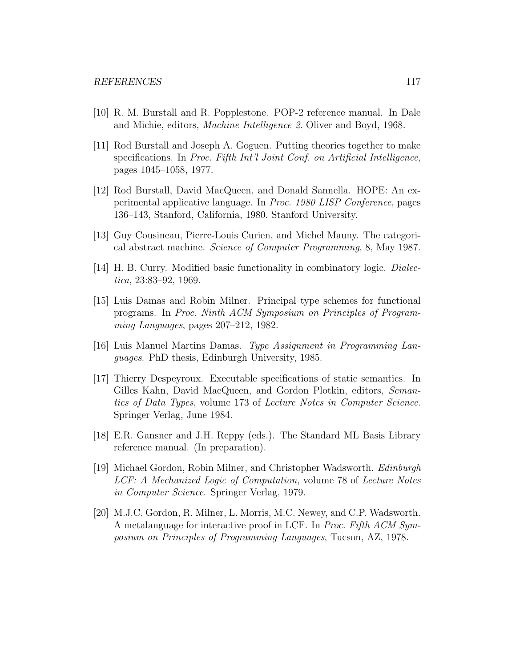- [10] R. M. Burstall and R. Popplestone. POP-2 reference manual. In Dale and Michie, editors, Machine Intelligence 2. Oliver and Boyd, 1968.
- [11] Rod Burstall and Joseph A. Goguen. Putting theories together to make specifications. In Proc. Fifth Int'l Joint Conf. on Artificial Intelligence, pages 1045–1058, 1977.
- [12] Rod Burstall, David MacQueen, and Donald Sannella. HOPE: An experimental applicative language. In Proc. 1980 LISP Conference, pages 136–143, Stanford, California, 1980. Stanford University.
- [13] Guy Cousineau, Pierre-Louis Curien, and Michel Mauny. The categorical abstract machine. Science of Computer Programming, 8, May 1987.
- [14] H. B. Curry. Modified basic functionality in combinatory logic. Dialectica, 23:83–92, 1969.
- [15] Luis Damas and Robin Milner. Principal type schemes for functional programs. In Proc. Ninth ACM Symposium on Principles of Programming Languages, pages 207–212, 1982.
- [16] Luis Manuel Martins Damas. Type Assignment in Programming Languages. PhD thesis, Edinburgh University, 1985.
- [17] Thierry Despeyroux. Executable specifications of static semantics. In Gilles Kahn, David MacQueen, and Gordon Plotkin, editors, Semantics of Data Types, volume 173 of Lecture Notes in Computer Science. Springer Verlag, June 1984.
- [18] E.R. Gansner and J.H. Reppy (eds.). The Standard ML Basis Library reference manual. (In preparation).
- [19] Michael Gordon, Robin Milner, and Christopher Wadsworth. Edinburgh LCF: A Mechanized Logic of Computation, volume 78 of Lecture Notes in Computer Science. Springer Verlag, 1979.
- [20] M.J.C. Gordon, R. Milner, L. Morris, M.C. Newey, and C.P. Wadsworth. A metalanguage for interactive proof in LCF. In Proc. Fifth ACM Symposium on Principles of Programming Languages, Tucson, AZ, 1978.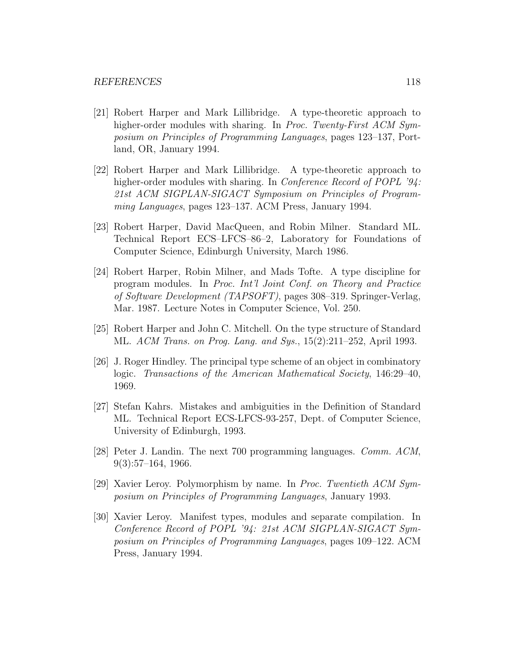- [21] Robert Harper and Mark Lillibridge. A type-theoretic approach to higher-order modules with sharing. In *Proc. Twenty-First ACM Sym*posium on Principles of Programming Languages, pages 123–137, Portland, OR, January 1994.
- [22] Robert Harper and Mark Lillibridge. A type-theoretic approach to higher-order modules with sharing. In *Conference Record of POPL* '94: 21st ACM SIGPLAN-SIGACT Symposium on Principles of Programming Languages, pages 123–137. ACM Press, January 1994.
- [23] Robert Harper, David MacQueen, and Robin Milner. Standard ML. Technical Report ECS–LFCS–86–2, Laboratory for Foundations of Computer Science, Edinburgh University, March 1986.
- [24] Robert Harper, Robin Milner, and Mads Tofte. A type discipline for program modules. In Proc. Int'l Joint Conf. on Theory and Practice of Software Development (TAPSOFT), pages 308–319. Springer-Verlag, Mar. 1987. Lecture Notes in Computer Science, Vol. 250.
- [25] Robert Harper and John C. Mitchell. On the type structure of Standard ML. ACM Trans. on Prog. Lang. and Sys., 15(2):211–252, April 1993.
- [26] J. Roger Hindley. The principal type scheme of an object in combinatory logic. Transactions of the American Mathematical Society, 146:29–40, 1969.
- [27] Stefan Kahrs. Mistakes and ambiguities in the Definition of Standard ML. Technical Report ECS-LFCS-93-257, Dept. of Computer Science, University of Edinburgh, 1993.
- [28] Peter J. Landin. The next 700 programming languages. Comm. ACM, 9(3):57–164, 1966.
- [29] Xavier Leroy. Polymorphism by name. In Proc. Twentieth ACM Symposium on Principles of Programming Languages, January 1993.
- [30] Xavier Leroy. Manifest types, modules and separate compilation. In Conference Record of POPL '94: 21st ACM SIGPLAN-SIGACT Symposium on Principles of Programming Languages, pages 109–122. ACM Press, January 1994.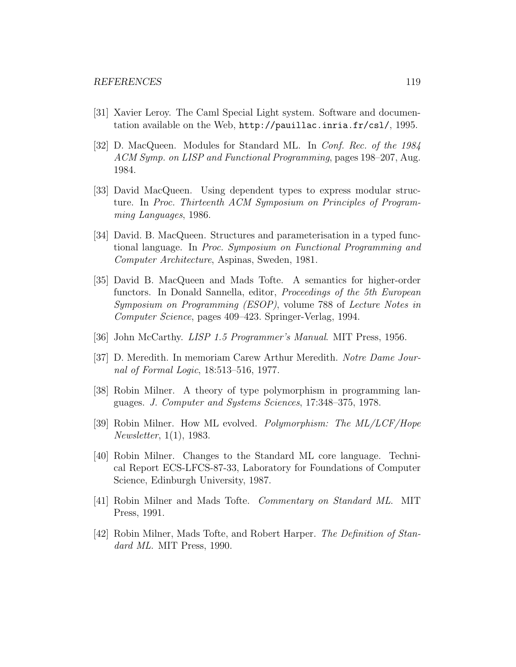- [31] Xavier Leroy. The Caml Special Light system. Software and documentation available on the Web, http://pauillac.inria.fr/csl/, 1995.
- [32] D. MacQueen. Modules for Standard ML. In Conf. Rec. of the 1984 ACM Symp. on LISP and Functional Programming, pages 198–207, Aug. 1984.
- [33] David MacQueen. Using dependent types to express modular structure. In Proc. Thirteenth ACM Symposium on Principles of Programming Languages, 1986.
- [34] David. B. MacQueen. Structures and parameterisation in a typed functional language. In Proc. Symposium on Functional Programming and Computer Architecture, Aspinas, Sweden, 1981.
- [35] David B. MacQueen and Mads Tofte. A semantics for higher-order functors. In Donald Sannella, editor, Proceedings of the 5th European Symposium on Programming (ESOP), volume 788 of Lecture Notes in Computer Science, pages 409–423. Springer-Verlag, 1994.
- [36] John McCarthy. *LISP 1.5 Programmer's Manual*. MIT Press, 1956.
- [37] D. Meredith. In memoriam Carew Arthur Meredith. Notre Dame Journal of Formal Logic, 18:513–516, 1977.
- [38] Robin Milner. A theory of type polymorphism in programming languages. J. Computer and Systems Sciences, 17:348–375, 1978.
- [39] Robin Milner. How ML evolved. Polymorphism: The ML/LCF/Hope Newsletter, 1(1), 1983.
- [40] Robin Milner. Changes to the Standard ML core language. Technical Report ECS-LFCS-87-33, Laboratory for Foundations of Computer Science, Edinburgh University, 1987.
- [41] Robin Milner and Mads Tofte. Commentary on Standard ML. MIT Press, 1991.
- [42] Robin Milner, Mads Tofte, and Robert Harper. The Definition of Standard ML. MIT Press, 1990.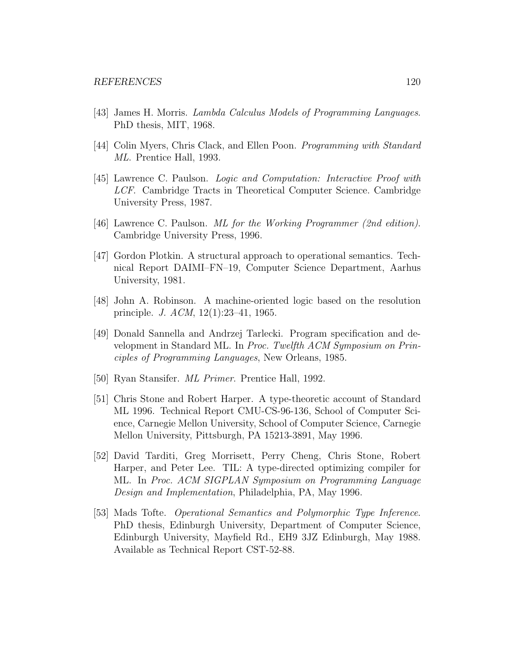- [43] James H. Morris. Lambda Calculus Models of Programming Languages. PhD thesis, MIT, 1968.
- [44] Colin Myers, Chris Clack, and Ellen Poon. Programming with Standard ML. Prentice Hall, 1993.
- [45] Lawrence C. Paulson. Logic and Computation: Interactive Proof with LCF. Cambridge Tracts in Theoretical Computer Science. Cambridge University Press, 1987.
- [46] Lawrence C. Paulson. ML for the Working Programmer (2nd edition). Cambridge University Press, 1996.
- [47] Gordon Plotkin. A structural approach to operational semantics. Technical Report DAIMI–FN–19, Computer Science Department, Aarhus University, 1981.
- [48] John A. Robinson. A machine-oriented logic based on the resolution principle. J. ACM, 12(1):23–41, 1965.
- [49] Donald Sannella and Andrzej Tarlecki. Program specification and development in Standard ML. In Proc. Twelfth ACM Symposium on Principles of Programming Languages, New Orleans, 1985.
- [50] Ryan Stansifer. ML Primer. Prentice Hall, 1992.
- [51] Chris Stone and Robert Harper. A type-theoretic account of Standard ML 1996. Technical Report CMU-CS-96-136, School of Computer Science, Carnegie Mellon University, School of Computer Science, Carnegie Mellon University, Pittsburgh, PA 15213-3891, May 1996.
- [52] David Tarditi, Greg Morrisett, Perry Cheng, Chris Stone, Robert Harper, and Peter Lee. TIL: A type-directed optimizing compiler for ML. In Proc. ACM SIGPLAN Symposium on Programming Language Design and Implementation, Philadelphia, PA, May 1996.
- [53] Mads Tofte. Operational Semantics and Polymorphic Type Inference. PhD thesis, Edinburgh University, Department of Computer Science, Edinburgh University, Mayfield Rd., EH9 3JZ Edinburgh, May 1988. Available as Technical Report CST-52-88.